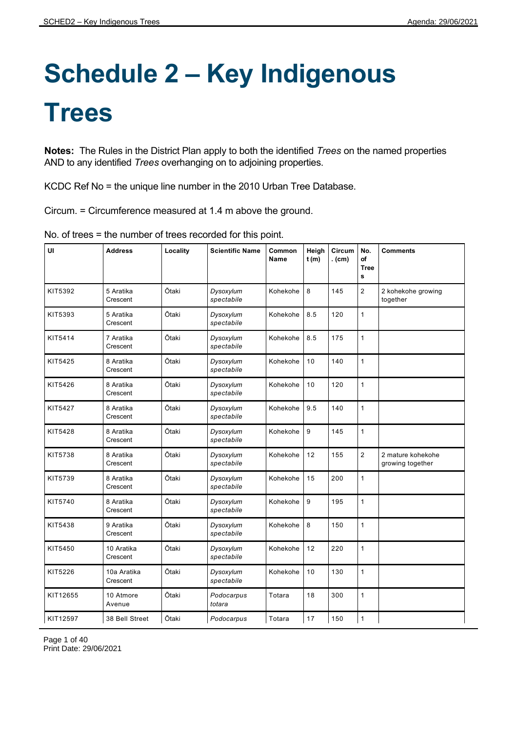## **Schedule 2 – Key Indigenous Trees**

**Notes:** The Rules in the District Plan apply to both the identified *Trees* on the named properties AND to any identified *Trees* overhanging on to adjoining properties.

KCDC Ref No = the unique line number in the 2010 Urban Tree Database.

Circum. = Circumference measured at 1.4 m above the ground.

| UI       | <b>Address</b>          | Locality | <b>Scientific Name</b>  | Common<br><b>Name</b> | Heigh<br>t(m) | Circum<br>. (cm) | No.<br>of<br><b>Tree</b><br>s | <b>Comments</b>                       |
|----------|-------------------------|----------|-------------------------|-----------------------|---------------|------------------|-------------------------------|---------------------------------------|
| KIT5392  | 5 Aratika<br>Crescent   | Ōtaki    | Dysoxylum<br>spectabile | Kohekohe              | 8             | 145              | $\overline{2}$                | 2 kohekohe growing<br>together        |
| KIT5393  | 5 Aratika<br>Crescent   | Ōtaki    | Dysoxylum<br>spectabile | Kohekohe              | 8.5           | 120              | 1                             |                                       |
| KIT5414  | 7 Aratika<br>Crescent   | Ōtaki    | Dysoxylum<br>spectabile | Kohekohe              | 8.5           | 175              | 1                             |                                       |
| KIT5425  | 8 Aratika<br>Crescent   | Ōtaki    | Dysoxylum<br>spectabile | Kohekohe              | 10            | 140              | 1                             |                                       |
| KIT5426  | 8 Aratika<br>Crescent   | Ōtaki    | Dysoxylum<br>spectabile | Kohekohe              | 10            | 120              | 1                             |                                       |
| KIT5427  | 8 Aratika<br>Crescent   | Ōtaki    | Dysoxylum<br>spectabile | Kohekohe              | 9.5           | 140              | $\mathbf{1}$                  |                                       |
| KIT5428  | 8 Aratika<br>Crescent   | Ōtaki    | Dysoxylum<br>spectabile | Kohekohe              | 9             | 145              | 1                             |                                       |
| KIT5738  | 8 Aratika<br>Crescent   | Ōtaki    | Dysoxylum<br>spectabile | Kohekohe              | 12            | 155              | $\overline{2}$                | 2 mature kohekohe<br>growing together |
| KIT5739  | 8 Aratika<br>Crescent   | Ōtaki    | Dysoxylum<br>spectabile | Kohekohe              | 15            | 200              | 1                             |                                       |
| KIT5740  | 8 Aratika<br>Crescent   | Ōtaki    | Dysoxylum<br>spectabile | Kohekohe              | 9             | 195              | 1                             |                                       |
| KIT5438  | 9 Aratika<br>Crescent   | Ōtaki    | Dysoxylum<br>spectabile | Kohekohe              | 8             | 150              | 1                             |                                       |
| KIT5450  | 10 Aratika<br>Crescent  | Ōtaki    | Dysoxylum<br>spectabile | Kohekohe              | 12            | 220              | 1                             |                                       |
| KIT5226  | 10a Aratika<br>Crescent | Ōtaki    | Dysoxylum<br>spectabile | Kohekohe              | 10            | 130              | 1                             |                                       |
| KIT12655 | 10 Atmore<br>Avenue     | Ōtaki    | Podocarpus<br>totara    | Totara                | 18            | 300              | 1                             |                                       |
| KIT12597 | 38 Bell Street          | Ōtaki    | Podocarpus              | Totara                | $17$          | 150              | 1                             |                                       |

No. of trees = the number of trees recorded for this point.

Page 1 of 40 Print Date: 29/06/2021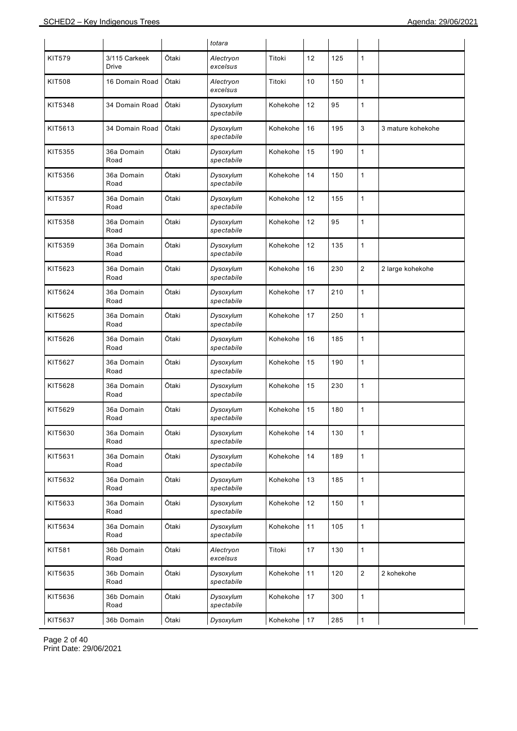|               |                               |       | totara                  |          |    |     |                |                   |
|---------------|-------------------------------|-------|-------------------------|----------|----|-----|----------------|-------------------|
| <b>KIT579</b> | 3/115 Carkeek<br><b>Drive</b> | Ōtaki | Alectryon<br>excelsus   | Titoki   | 12 | 125 | $\mathbf{1}$   |                   |
| <b>KIT508</b> | 16 Domain Road                | Ōtaki | Alectryon<br>excelsus   | Titoki   | 10 | 150 | 1              |                   |
| KIT5348       | 34 Domain Road                | Ōtaki | Dysoxylum<br>spectabile | Kohekohe | 12 | 95  | 1              |                   |
| KIT5613       | 34 Domain Road                | Ōtaki | Dysoxylum<br>spectabile | Kohekohe | 16 | 195 | 3              | 3 mature kohekohe |
| KIT5355       | 36a Domain<br>Road            | Ōtaki | Dysoxylum<br>spectabile | Kohekohe | 15 | 190 | 1              |                   |
| KIT5356       | 36a Domain<br>Road            | Ōtaki | Dysoxylum<br>spectabile | Kohekohe | 14 | 150 | 1              |                   |
| KIT5357       | 36a Domain<br>Road            | Ōtaki | Dysoxylum<br>spectabile | Kohekohe | 12 | 155 | 1              |                   |
| KIT5358       | 36a Domain<br>Road            | Ōtaki | Dysoxylum<br>spectabile | Kohekohe | 12 | 95  | $\mathbf{1}$   |                   |
| KIT5359       | 36a Domain<br>Road            | Ōtaki | Dysoxylum<br>spectabile | Kohekohe | 12 | 135 | 1              |                   |
| KIT5623       | 36a Domain<br>Road            | Ōtaki | Dysoxylum<br>spectabile | Kohekohe | 16 | 230 | $\overline{c}$ | 2 large kohekohe  |
| KIT5624       | 36a Domain<br>Road            | Ōtaki | Dysoxylum<br>spectabile | Kohekohe | 17 | 210 | 1              |                   |
| KIT5625       | 36a Domain<br>Road            | Ōtaki | Dysoxylum<br>spectabile | Kohekohe | 17 | 250 | $\mathbf{1}$   |                   |
| KIT5626       | 36a Domain<br>Road            | Ōtaki | Dysoxylum<br>spectabile | Kohekohe | 16 | 185 | 1              |                   |
| KIT5627       | 36a Domain<br>Road            | Ōtaki | Dysoxylum<br>spectabile | Kohekohe | 15 | 190 | $\mathbf{1}$   |                   |
| KIT5628       | 36a Domain<br>Road            | Ōtaki | Dysoxylum<br>spectabile | Kohekohe | 15 | 230 | 1              |                   |
| KIT5629       | 36a Domain<br>Road            | Ōtaki | Dysoxylum<br>spectabile | Kohekohe | 15 | 180 | 1              |                   |
| KIT5630       | 36a Domain<br>Road            | Ōtaki | Dysoxylum<br>spectabile | Kohekohe | 14 | 130 | 1              |                   |
| KIT5631       | 36a Domain<br>Road            | Ōtaki | Dysoxylum<br>spectabile | Kohekohe | 14 | 189 | $\mathbf{1}$   |                   |
| KIT5632       | 36a Domain<br>Road            | Ōtaki | Dysoxylum<br>spectabile | Kohekohe | 13 | 185 | $\mathbf{1}$   |                   |
| KIT5633       | 36a Domain<br>Road            | Ōtaki | Dysoxylum<br>spectabile | Kohekohe | 12 | 150 | $\mathbf{1}$   |                   |
| KIT5634       | 36a Domain<br>Road            | Ōtaki | Dysoxylum<br>spectabile | Kohekohe | 11 | 105 | $\mathbf{1}$   |                   |
| <b>KIT581</b> | 36b Domain<br>Road            | Ōtaki | Alectryon<br>excelsus   | Titoki   | 17 | 130 | $\mathbf{1}$   |                   |
| KIT5635       | 36b Domain<br>Road            | Ōtaki | Dysoxylum<br>spectabile | Kohekohe | 11 | 120 | $\mathbf 2$    | 2 kohekohe        |
| KIT5636       | 36b Domain<br>Road            | Ōtaki | Dysoxylum<br>spectabile | Kohekohe | 17 | 300 | $\mathbf{1}$   |                   |
| KIT5637       | 36b Domain                    | Ōtaki | Dysoxylum               | Kohekohe | 17 | 285 | $\overline{1}$ |                   |

Page 2 of 40 Print Date: 29/06/2021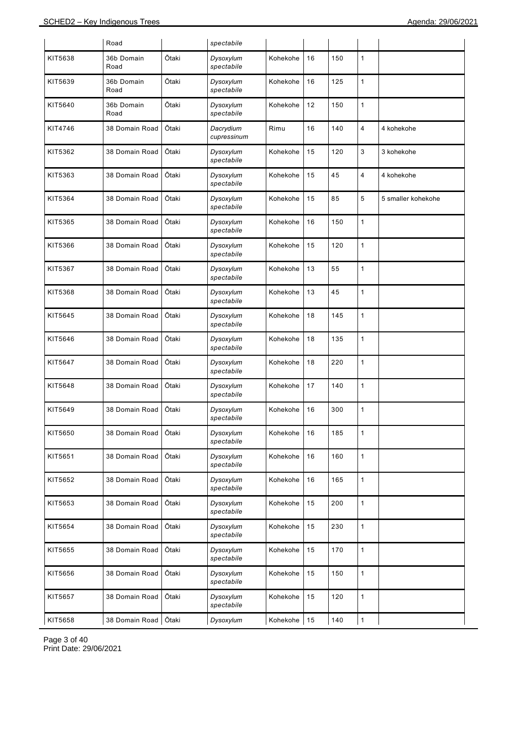|         | Road               |       | spectabile               |          |    |     |              |                    |
|---------|--------------------|-------|--------------------------|----------|----|-----|--------------|--------------------|
| KIT5638 | 36b Domain<br>Road | Ōtaki | Dysoxylum<br>spectabile  | Kohekohe | 16 | 150 | 1            |                    |
| KIT5639 | 36b Domain<br>Road | Ōtaki | Dysoxylum<br>spectabile  | Kohekohe | 16 | 125 | 1            |                    |
| KIT5640 | 36b Domain<br>Road | Ōtaki | Dysoxylum<br>spectabile  | Kohekohe | 12 | 150 | 1            |                    |
| KIT4746 | 38 Domain Road     | Ōtaki | Dacrydium<br>cupressinum | Rimu     | 16 | 140 | 4            | 4 kohekohe         |
| KIT5362 | 38 Domain Road     | Ōtaki | Dysoxylum<br>spectabile  | Kohekohe | 15 | 120 | 3            | 3 kohekohe         |
| KIT5363 | 38 Domain Road     | Ōtaki | Dysoxylum<br>spectabile  | Kohekohe | 15 | 45  | 4            | 4 kohekohe         |
| KIT5364 | 38 Domain Road     | Ōtaki | Dysoxylum<br>spectabile  | Kohekohe | 15 | 85  | 5            | 5 smaller kohekohe |
| KIT5365 | 38 Domain Road     | Ōtaki | Dysoxylum<br>spectabile  | Kohekohe | 16 | 150 | 1            |                    |
| KIT5366 | 38 Domain Road     | Ōtaki | Dysoxylum<br>spectabile  | Kohekohe | 15 | 120 | 1            |                    |
| KIT5367 | 38 Domain Road     | Ōtaki | Dysoxylum<br>spectabile  | Kohekohe | 13 | 55  | 1            |                    |
| KIT5368 | 38 Domain Road     | Ōtaki | Dysoxylum<br>spectabile  | Kohekohe | 13 | 45  | 1            |                    |
| KIT5645 | 38 Domain Road     | Ōtaki | Dysoxylum<br>spectabile  | Kohekohe | 18 | 145 | 1            |                    |
| KIT5646 | 38 Domain Road     | Ōtaki | Dysoxylum<br>spectabile  | Kohekohe | 18 | 135 | 1            |                    |
| KIT5647 | 38 Domain Road     | Ōtaki | Dysoxylum<br>spectabile  | Kohekohe | 18 | 220 | 1            |                    |
| KIT5648 | 38 Domain Road     | Ōtaki | Dysoxylum<br>spectabile  | Kohekohe | 17 | 140 | 1            |                    |
| KIT5649 | 38 Domain Road     | Ōtaki | Dysoxylum<br>spectabile  | Kohekohe | 16 | 300 | 1            |                    |
| KIT5650 | 38 Domain Road     | Ōtaki | Dysoxylum<br>spectabile  | Kohekohe | 16 | 185 | 1            |                    |
| KIT5651 | 38 Domain Road     | Ōtaki | Dysoxylum<br>spectabile  | Kohekohe | 16 | 160 | $\mathbf{1}$ |                    |
| KIT5652 | 38 Domain Road     | Ōtaki | Dysoxylum<br>spectabile  | Kohekohe | 16 | 165 | 1            |                    |
| KIT5653 | 38 Domain Road     | Ōtaki | Dysoxylum<br>spectabile  | Kohekohe | 15 | 200 | 1            |                    |
| KIT5654 | 38 Domain Road     | Ōtaki | Dysoxylum<br>spectabile  | Kohekohe | 15 | 230 | 1            |                    |
| KIT5655 | 38 Domain Road     | Ōtaki | Dysoxylum<br>spectabile  | Kohekohe | 15 | 170 | $\mathbf{1}$ |                    |
| KIT5656 | 38 Domain Road     | Ōtaki | Dysoxylum<br>spectabile  | Kohekohe | 15 | 150 | 1            |                    |
| KIT5657 | 38 Domain Road     | Ōtaki | Dysoxylum<br>spectabile  | Kohekohe | 15 | 120 | 1            |                    |
| KIT5658 | 38 Domain Road     | Ōtaki | Dysoxylum                | Kohekohe | 15 | 140 | 1            |                    |

Page 3 of 40 Print Date: 29/06/2021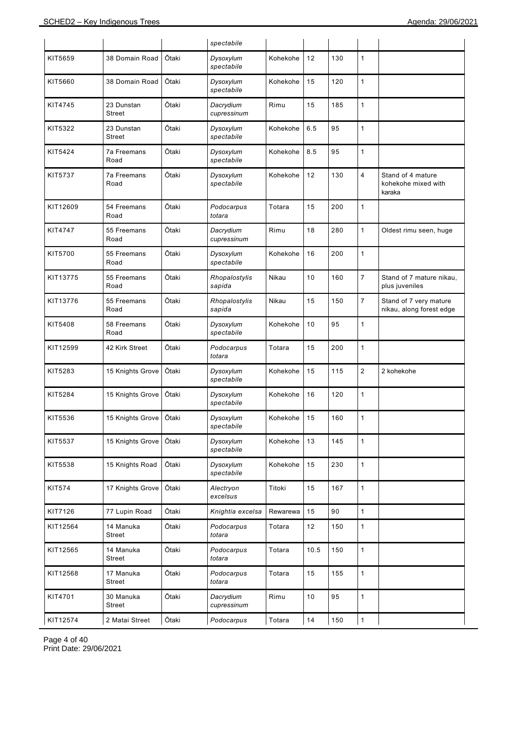|               |                             |       | spectabile               |          |      |     |                |                                                    |
|---------------|-----------------------------|-------|--------------------------|----------|------|-----|----------------|----------------------------------------------------|
| KIT5659       | 38 Domain Road              | Ōtaki | Dysoxylum<br>spectabile  | Kohekohe | 12   | 130 | $\mathbf{1}$   |                                                    |
| KIT5660       | 38 Domain Road              | Ōtaki | Dysoxylum<br>spectabile  | Kohekohe | 15   | 120 | $\mathbf{1}$   |                                                    |
| KIT4745       | 23 Dunstan<br><b>Street</b> | Ōtaki | Dacrydium<br>cupressinum | Rimu     | 15   | 185 | $\mathbf{1}$   |                                                    |
| KIT5322       | 23 Dunstan<br>Street        | Ōtaki | Dysoxylum<br>spectabile  | Kohekohe | 6.5  | 95  | $\mathbf{1}$   |                                                    |
| KIT5424       | <b>7a Freemans</b><br>Road  | Ōtaki | Dysoxylum<br>spectabile  | Kohekohe | 8.5  | 95  | $\mathbf{1}$   |                                                    |
| KIT5737       | <b>7a Freemans</b><br>Road  | Ōtaki | Dysoxylum<br>spectabile  | Kohekohe | 12   | 130 | 4              | Stand of 4 mature<br>kohekohe mixed with<br>karaka |
| KIT12609      | 54 Freemans<br>Road         | Ōtaki | Podocarpus<br>totara     | Totara   | 15   | 200 | $\mathbf{1}$   |                                                    |
| KIT4747       | 55 Freemans<br>Road         | Ōtaki | Dacrydium<br>cupressinum | Rimu     | 18   | 280 | $\mathbf{1}$   | Oldest rimu seen, huge                             |
| KIT5700       | 55 Freemans<br>Road         | Ōtaki | Dysoxylum<br>spectabile  | Kohekohe | 16   | 200 | $\mathbf{1}$   |                                                    |
| KIT13775      | 55 Freemans<br>Road         | Ōtaki | Rhopalostylis<br>sapida  | Nikau    | 10   | 160 | $\overline{7}$ | Stand of 7 mature nikau,<br>plus juveniles         |
| KIT13776      | 55 Freemans<br>Road         | Ōtaki | Rhopalostylis<br>sapida  | Nikau    | 15   | 150 | $\overline{7}$ | Stand of 7 very mature<br>nikau, along forest edge |
| KIT5408       | 58 Freemans<br>Road         | Ōtaki | Dysoxylum<br>spectabile  | Kohekohe | 10   | 95  | $\mathbf{1}$   |                                                    |
| KIT12599      | 42 Kirk Street              | Ōtaki | Podocarpus<br>totara     | Totara   | 15   | 200 | $\mathbf{1}$   |                                                    |
| KIT5283       | 15 Knights Grove            | Ōtaki | Dysoxylum<br>spectabile  | Kohekohe | 15   | 115 | $\overline{2}$ | 2 kohekohe                                         |
| KIT5284       | 15 Knights Grove            | Ōtaki | Dysoxylum<br>spectabile  | Kohekohe | 16   | 120 | $\mathbf{1}$   |                                                    |
| KIT5536       | 15 Knights Grove            | Ōtaki | Dysoxylum<br>spectabile  | Kohekohe | 15   | 160 | 1              |                                                    |
| KIT5537       | 15 Knights Grove            | Ōtaki | Dysoxylum<br>spectabile  | Kohekohe | 13   | 145 | $\mathbf{1}$   |                                                    |
| KIT5538       | 15 Knights Road             | Ōtaki | Dysoxylum<br>spectabile  | Kohekohe | 15   | 230 | $\mathbf{1}$   |                                                    |
| <b>KIT574</b> | 17 Knights Grove            | Ōtaki | Alectryon<br>excelsus    | Titoki   | 15   | 167 | $\mathbf{1}$   |                                                    |
| KIT7126       | 77 Lupin Road               | Ōtaki | Knightia excelsa         | Rewarewa | 15   | 90  | $\mathbf{1}$   |                                                    |
| KIT12564      | 14 Manuka<br>Street         | Ōtaki | Podocarpus<br>totara     | Totara   | 12   | 150 | $\mathbf{1}$   |                                                    |
| KIT12565      | 14 Manuka<br>Street         | Ōtaki | Podocarpus<br>totara     | Totara   | 10.5 | 150 | $\mathbf{1}$   |                                                    |
| KIT12568      | 17 Manuka<br>Street         | Ōtaki | Podocarpus<br>totara     | Totara   | 15   | 155 | $\mathbf{1}$   |                                                    |
| KIT4701       | 30 Manuka<br>Street         | Ōtaki | Dacrydium<br>cupressinum | Rimu     | $10$ | 95  | $\mathbf{1}$   |                                                    |
| KIT12574      | 2 Matai Street              | Ōtaki | Podocarpus               | Totara   | 14   | 150 | $\mathbf{1}$   |                                                    |

Page 4 of 40 Print Date: 29/06/2021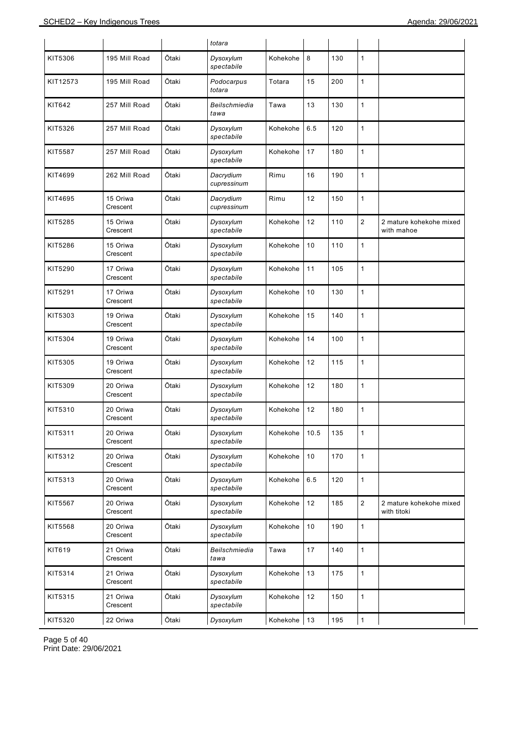|          |                      |       | totara                   |          |      |     |                |                                        |
|----------|----------------------|-------|--------------------------|----------|------|-----|----------------|----------------------------------------|
| KIT5306  | 195 Mill Road        | Ōtaki | Dysoxylum<br>spectabile  | Kohekohe | 8    | 130 | 1              |                                        |
| KIT12573 | 195 Mill Road        | Ōtaki | Podocarpus<br>totara     | Totara   | 15   | 200 | 1              |                                        |
| KIT642   | 257 Mill Road        | Ōtaki | Beilschmiedia<br>tawa    | Tawa     | 13   | 130 | 1              |                                        |
| KIT5326  | 257 Mill Road        | Ōtaki | Dysoxylum<br>spectabile  | Kohekohe | 6.5  | 120 | 1              |                                        |
| KIT5587  | 257 Mill Road        | Ōtaki | Dysoxylum<br>spectabile  | Kohekohe | 17   | 180 | 1              |                                        |
| KIT4699  | 262 Mill Road        | Ōtaki | Dacrydium<br>cupressinum | Rimu     | 16   | 190 | 1              |                                        |
| KIT4695  | 15 Oriwa<br>Crescent | Ōtaki | Dacrydium<br>cupressinum | Rimu     | 12   | 150 | 1              |                                        |
| KIT5285  | 15 Oriwa<br>Crescent | Ōtaki | Dysoxylum<br>spectabile  | Kohekohe | 12   | 110 | $\overline{2}$ | 2 mature kohekohe mixed<br>with mahoe  |
| KIT5286  | 15 Oriwa<br>Crescent | Ōtaki | Dysoxylum<br>spectabile  | Kohekohe | 10   | 110 | 1              |                                        |
| KIT5290  | 17 Oriwa<br>Crescent | Ōtaki | Dysoxylum<br>spectabile  | Kohekohe | 11   | 105 | 1              |                                        |
| KIT5291  | 17 Oriwa<br>Crescent | Ōtaki | Dysoxylum<br>spectabile  | Kohekohe | 10   | 130 | 1              |                                        |
| KIT5303  | 19 Oriwa<br>Crescent | Ōtaki | Dysoxylum<br>spectabile  | Kohekohe | 15   | 140 | 1              |                                        |
| KIT5304  | 19 Oriwa<br>Crescent | Ōtaki | Dysoxylum<br>spectabile  | Kohekohe | 14   | 100 | 1              |                                        |
| KIT5305  | 19 Oriwa<br>Crescent | Ōtaki | Dysoxylum<br>spectabile  | Kohekohe | 12   | 115 | 1              |                                        |
| KIT5309  | 20 Oriwa<br>Crescent | Ōtaki | Dysoxylum<br>spectabile  | Kohekohe | 12   | 180 | 1              |                                        |
| KIT5310  | 20 Oriwa<br>Crescent | Ōtaki | Dysoxylum<br>spectabile  | Kohekohe | 12   | 180 | 1              |                                        |
| KIT5311  | 20 Oriwa<br>Crescent | Ōtaki | Dysoxylum<br>spectabile  | Kohekohe | 10.5 | 135 | 1              |                                        |
| KIT5312  | 20 Oriwa<br>Crescent | Ōtaki | Dysoxylum<br>spectabile  | Kohekohe | 10   | 170 | $\mathbf{1}$   |                                        |
| KIT5313  | 20 Oriwa<br>Crescent | Ōtaki | Dysoxylum<br>spectabile  | Kohekohe | 6.5  | 120 | 1              |                                        |
| KIT5567  | 20 Oriwa<br>Crescent | Ōtaki | Dysoxylum<br>spectabile  | Kohekohe | 12   | 185 | $\sqrt{2}$     | 2 mature kohekohe mixed<br>with titoki |
| KIT5568  | 20 Oriwa<br>Crescent | Ōtaki | Dysoxylum<br>spectabile  | Kohekohe | 10   | 190 | 1              |                                        |
| KIT619   | 21 Oriwa<br>Crescent | Ōtaki | Beilschmiedia<br>tawa    | Tawa     | 17   | 140 | $\mathbf{1}$   |                                        |
| KIT5314  | 21 Oriwa<br>Crescent | Ōtaki | Dysoxylum<br>spectabile  | Kohekohe | 13   | 175 | 1              |                                        |
| KIT5315  | 21 Oriwa<br>Crescent | Ōtaki | Dysoxylum<br>spectabile  | Kohekohe | 12   | 150 | $\mathbf{1}$   |                                        |
| KIT5320  | 22 Oriwa             | Ōtaki | Dysoxylum                | Kohekohe | 13   | 195 | 1              |                                        |

Page 5 of 40 Print Date: 29/06/2021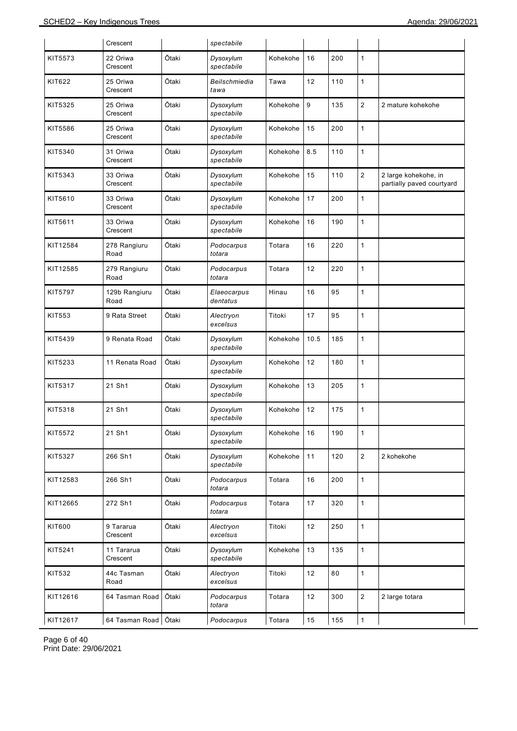|          | Crescent               |       | spectabile              |          |      |     |                  |                                                   |
|----------|------------------------|-------|-------------------------|----------|------|-----|------------------|---------------------------------------------------|
| KIT5573  | 22 Oriwa<br>Crescent   | Ōtaki | Dysoxylum<br>spectabile | Kohekohe | 16   | 200 | $\mathbf{1}$     |                                                   |
| KIT622   | 25 Oriwa<br>Crescent   | Ōtaki | Beilschmiedia<br>tawa   | Tawa     | 12   | 110 | $\mathbf{1}$     |                                                   |
| KIT5325  | 25 Oriwa<br>Crescent   | Ōtaki | Dysoxylum<br>spectabile | Kohekohe | 9    | 135 | $\overline{c}$   | 2 mature kohekohe                                 |
| KIT5586  | 25 Oriwa<br>Crescent   | Ōtaki | Dysoxylum<br>spectabile | Kohekohe | 15   | 200 | $\mathbf{1}$     |                                                   |
| KIT5340  | 31 Oriwa<br>Crescent   | Ōtaki | Dysoxylum<br>spectabile | Kohekohe | 8.5  | 110 | $\mathbf{1}$     |                                                   |
| KIT5343  | 33 Oriwa<br>Crescent   | Ōtaki | Dysoxylum<br>spectabile | Kohekohe | 15   | 110 | $\boldsymbol{2}$ | 2 large kohekohe, in<br>partially paved courtyard |
| KIT5610  | 33 Oriwa<br>Crescent   | Ōtaki | Dysoxylum<br>spectabile | Kohekohe | 17   | 200 | $\mathbf{1}$     |                                                   |
| KIT5611  | 33 Oriwa<br>Crescent   | Ōtaki | Dysoxylum<br>spectabile | Kohekohe | 16   | 190 | $\mathbf{1}$     |                                                   |
| KIT12584 | 278 Rangiuru<br>Road   | Ōtaki | Podocarpus<br>totara    | Totara   | 16   | 220 | $\mathbf{1}$     |                                                   |
| KIT12585 | 279 Rangiuru<br>Road   | Ōtaki | Podocarpus<br>totara    | Totara   | 12   | 220 | $\mathbf{1}$     |                                                   |
| KIT5797  | 129b Rangiuru<br>Road  | Ōtaki | Elaeocarpus<br>dentatus | Hinau    | 16   | 95  | $\mathbf{1}$     |                                                   |
| KIT553   | 9 Rata Street          | Ōtaki | Alectryon<br>excelsus   | Titoki   | 17   | 95  | $\mathbf{1}$     |                                                   |
| KIT5439  | 9 Renata Road          | Ōtaki | Dysoxylum<br>spectabile | Kohekohe | 10.5 | 185 | $\mathbf{1}$     |                                                   |
| KIT5233  | 11 Renata Road         | Ōtaki | Dysoxylum<br>spectabile | Kohekohe | 12   | 180 | $\mathbf{1}$     |                                                   |
| KIT5317  | 21 Sh1                 | Ōtaki | Dysoxylum<br>spectabile | Kohekohe | 13   | 205 | $\mathbf{1}$     |                                                   |
| KIT5318  | 21 Sh1                 | Ōtaki | Dysoxylum<br>spectabile | Kohekohe | 12   | 175 | $\mathbf{1}$     |                                                   |
| KIT5572  | 21 Sh1                 | Ōtaki | Dysoxylum<br>spectabile | Kohekohe | 16   | 190 | 1                |                                                   |
| KIT5327  | 266 Sh1                | Ōtaki | Dysoxylum<br>spectabile | Kohekohe | 11   | 120 | $\mathbf 2$      | 2 kohekohe                                        |
| KIT12583 | 266 Sh1                | Ōtaki | Podocarpus<br>totara    | Totara   | 16   | 200 | $\mathbf{1}$     |                                                   |
| KIT12665 | 272 Sh1                | Ōtaki | Podocarpus<br>totara    | Totara   | 17   | 320 | $\mathbf{1}$     |                                                   |
| KIT600   | 9 Tararua<br>Crescent  | Ōtaki | Alectryon<br>excelsus   | Titoki   | 12   | 250 | $\mathbf{1}$     |                                                   |
| KIT5241  | 11 Tararua<br>Crescent | Ōtaki | Dysoxylum<br>spectabile | Kohekohe | 13   | 135 | $\mathbf{1}$     |                                                   |
| KIT532   | 44c Tasman<br>Road     | Ōtaki | Alectryon<br>excelsus   | Titoki   | 12   | 80  | $\mathbf{1}$     |                                                   |
| KIT12616 | 64 Tasman Road         | Ōtaki | Podocarpus<br>totara    | Totara   | 12   | 300 | $\overline{c}$   | 2 large totara                                    |
| KIT12617 | 64 Tasman Road         | Ōtaki | Podocarpus              | Totara   | 15   | 155 | $\mathbf{1}$     |                                                   |

Page 6 of 40 Print Date: 29/06/2021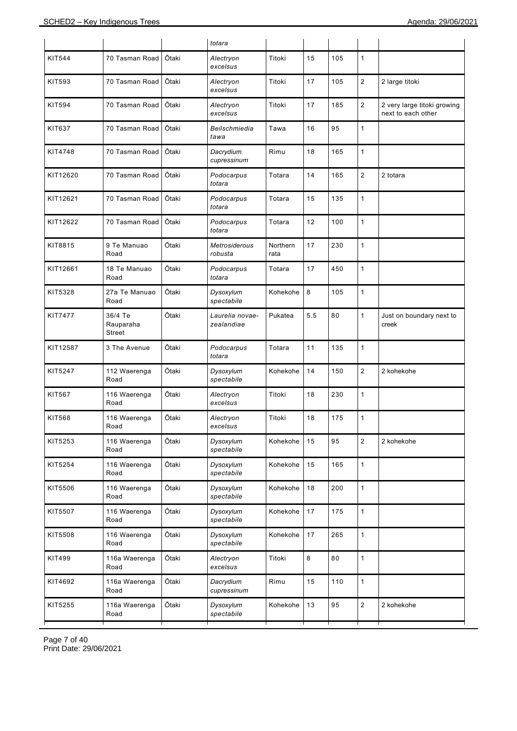|          |                                |       | totara                          |                  |     |     |                |                                                   |
|----------|--------------------------------|-------|---------------------------------|------------------|-----|-----|----------------|---------------------------------------------------|
| KIT544   | 70 Tasman Road                 | Ōtaki | Alectryon<br>excelsus           | Titoki           | 15  | 105 | $\mathbf{1}$   |                                                   |
| KIT593   | 70 Tasman Road                 | Ōtaki | Alectryon<br>excelsus           | Titoki           | 17  | 105 | $\overline{2}$ | 2 large titoki                                    |
| KIT594   | 70 Tasman Road                 | Ōtaki | Alectryon<br>excelsus           | Titoki           | 17  | 185 | $\overline{c}$ | 2 very large titoki growing<br>next to each other |
| KIT637   | 70 Tasman Road                 | Ōtaki | Beilschmiedia<br>tawa           | Tawa             | 16  | 95  | $\mathbf{1}$   |                                                   |
| KIT4748  | 70 Tasman Road                 | Ōtaki | Dacrydium<br>cupressinum        | Rimu             | 18  | 165 | $\mathbf{1}$   |                                                   |
| KIT12620 | 70 Tasman Road                 | Ōtaki | Podocarpus<br>totara            | Totara           | 14  | 165 | $\overline{2}$ | 2 totara                                          |
| KIT12621 | 70 Tasman Road                 | Ōtaki | Podocarpus<br>totara            | Totara           | 15  | 135 | $\mathbf{1}$   |                                                   |
| KIT12622 | 70 Tasman Road                 | Ōtaki | Podocarpus<br>totara            | Totara           | 12  | 100 | $\mathbf{1}$   |                                                   |
| KIT8815  | 9 Te Manuao<br>Road            | Ōtaki | <b>Metrosiderous</b><br>robusta | Northern<br>rata | 17  | 230 | $\mathbf{1}$   |                                                   |
| KIT12661 | 18 Te Manuao<br>Road           | Ōtaki | Podocarpus<br>totara            | Totara           | 17  | 450 | $\mathbf{1}$   |                                                   |
| KIT5328  | 27a Te Manuao<br>Road          | Ōtaki | Dysoxylum<br>spectabile         | Kohekohe         | 8   | 105 | $\mathbf{1}$   |                                                   |
| KIT7477  | 36/4 Te<br>Rauparaha<br>Street | Ōtaki | Laurelia novae-<br>zealandiae   | Pukatea          | 5.5 | 80  | $\mathbf{1}$   | Just on boundary next to<br>creek                 |
| KIT12587 | 3 The Avenue                   | Ōtaki | Podocarpus<br>totara            | Totara           | 11  | 135 | $\mathbf{1}$   |                                                   |
| KIT5247  | 112 Waerenga<br>Road           | Ōtaki | Dysoxylum<br>spectabile         | Kohekohe         | 14  | 150 | $\overline{2}$ | 2 kohekohe                                        |
| KIT567   | 116 Waerenga<br>Road           | Ōtaki | Alectryon<br>excelsus           | Titoki           | 18  | 230 | $\mathbf{1}$   |                                                   |
| KIT568   | 116 Waerenga<br>Road           | Ōtaki | Alectryon<br>excelsus           | Titoki           | 18  | 175 | $\mathbf{1}$   |                                                   |
| KIT5253  | 116 Waerenga<br>Road           | Ōtaki | Dysoxylum<br>spectabile         | Kohekohe         | 15  | 95  | $\sqrt{2}$     | 2 kohekohe                                        |
| KIT5254  | 116 Waerenga<br>Road           | Ōtaki | Dysoxylum<br>spectabile         | Kohekohe         | 15  | 165 | $\mathbf{1}$   |                                                   |
| KIT5506  | 116 Waerenga<br>Road           | Ōtaki | Dysoxylum<br>spectabile         | Kohekohe         | 18  | 200 | $\mathbf{1}$   |                                                   |
| KIT5507  | 116 Waerenga<br>Road           | Ōtaki | Dysoxylum<br>spectabile         | Kohekohe         | 17  | 175 | $\mathbf{1}$   |                                                   |
| KIT5508  | 116 Waerenga<br>Road           | Ōtaki | Dysoxylum<br>spectabile         | Kohekohe         | 17  | 265 | $\mathbf{1}$   |                                                   |
| KIT499   | 116a Waerenga<br>Road          | Ōtaki | Alectryon<br>excelsus           | Titoki           | 8   | 80  | $\mathbf{1}$   |                                                   |
| KIT4692  | 116a Waerenga<br>Road          | Ōtaki | Dacrydium<br>cupressinum        | Rimu             | 15  | 110 | $\mathbf{1}$   |                                                   |
| KIT5255  | 116a Waerenga<br>Road          | Ōtaki | Dysoxylum<br>spectabile         | Kohekohe         | 13  | 95  | $\overline{c}$ | 2 kohekohe                                        |
|          |                                |       |                                 |                  |     |     |                |                                                   |

Page 7 of 40 Print Date: 29/06/2021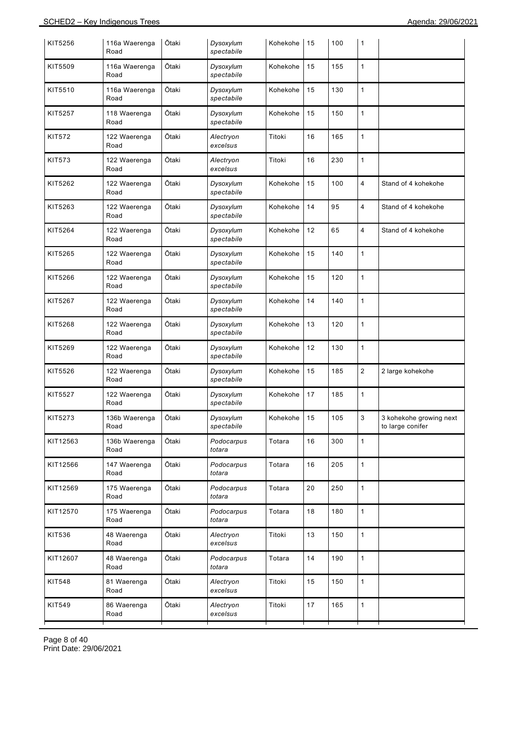| KIT5256       | 116a Waerenga<br>Road | Ōtaki | Dysoxylum<br>spectabile | Kohekohe | 15 | 100 | 1                       |                                             |
|---------------|-----------------------|-------|-------------------------|----------|----|-----|-------------------------|---------------------------------------------|
| KIT5509       | 116a Waerenga<br>Road | Ōtaki | Dysoxylum<br>spectabile | Kohekohe | 15 | 155 | $\mathbf{1}$            |                                             |
| KIT5510       | 116a Waerenga<br>Road | Ōtaki | Dysoxylum<br>spectabile | Kohekohe | 15 | 130 | $\mathbf{1}$            |                                             |
| KIT5257       | 118 Waerenga<br>Road  | Ōtaki | Dysoxylum<br>spectabile | Kohekohe | 15 | 150 | $\mathbf{1}$            |                                             |
| KIT572        | 122 Waerenga<br>Road  | Ōtaki | Alectryon<br>excelsus   | Titoki   | 16 | 165 | $\mathbf{1}$            |                                             |
| <b>KIT573</b> | 122 Waerenga<br>Road  | Ōtaki | Alectryon<br>excelsus   | Titoki   | 16 | 230 | $\mathbf{1}$            |                                             |
| KIT5262       | 122 Waerenga<br>Road  | Ōtaki | Dysoxylum<br>spectabile | Kohekohe | 15 | 100 | $\overline{4}$          | Stand of 4 kohekohe                         |
| KIT5263       | 122 Waerenga<br>Road  | Ōtaki | Dysoxylum<br>spectabile | Kohekohe | 14 | 95  | $\overline{4}$          | Stand of 4 kohekohe                         |
| KIT5264       | 122 Waerenga<br>Road  | Ōtaki | Dysoxylum<br>spectabile | Kohekohe | 12 | 65  | $\overline{\mathbf{4}}$ | Stand of 4 kohekohe                         |
| KIT5265       | 122 Waerenga<br>Road  | Ōtaki | Dysoxylum<br>spectabile | Kohekohe | 15 | 140 | $\mathbf{1}$            |                                             |
| KIT5266       | 122 Waerenga<br>Road  | Ōtaki | Dysoxylum<br>spectabile | Kohekohe | 15 | 120 | $\mathbf{1}$            |                                             |
| KIT5267       | 122 Waerenga<br>Road  | Ōtaki | Dysoxylum<br>spectabile | Kohekohe | 14 | 140 | $\mathbf{1}$            |                                             |
| KIT5268       | 122 Waerenga<br>Road  | Ōtaki | Dysoxylum<br>spectabile | Kohekohe | 13 | 120 | $\mathbf{1}$            |                                             |
| KIT5269       | 122 Waerenga<br>Road  | Ōtaki | Dysoxylum<br>spectabile | Kohekohe | 12 | 130 | $\mathbf{1}$            |                                             |
| KIT5526       | 122 Waerenga<br>Road  | Ōtaki | Dysoxylum<br>spectabile | Kohekohe | 15 | 185 | $\overline{2}$          | 2 large kohekohe                            |
| KIT5527       | 122 Waerenga<br>Road  | Ōtaki | Dysoxylum<br>spectabile | Kohekohe | 17 | 185 | $\mathbf{1}$            |                                             |
| KIT5273       | 136b Waerenga<br>Road | Ōtaki | Dysoxylum<br>spectabile | Kohekohe | 15 | 105 | 3                       | 3 kohekohe growing next<br>to large conifer |
| KIT12563      | 136b Waerenga<br>Road | Ōtaki | Podocarpus<br>totara    | Totara   | 16 | 300 | $\mathbf{1}$            |                                             |
| KIT12566      | 147 Waerenga<br>Road  | Ōtaki | Podocarpus<br>totara    | Totara   | 16 | 205 | $\mathbf{1}$            |                                             |
| KIT12569      | 175 Waerenga<br>Road  | Ōtaki | Podocarpus<br>totara    | Totara   | 20 | 250 | $\mathbf{1}$            |                                             |
| KIT12570      | 175 Waerenga<br>Road  | Ōtaki | Podocarpus<br>totara    | Totara   | 18 | 180 | $\mathbf{1}$            |                                             |
| KIT536        | 48 Waerenga<br>Road   | Ōtaki | Alectryon<br>excelsus   | Titoki   | 13 | 150 | $\mathbf{1}$            |                                             |
| KIT12607      | 48 Waerenga<br>Road   | Ōtaki | Podocarpus<br>totara    | Totara   | 14 | 190 | $\mathbf{1}$            |                                             |
| KIT548        | 81 Waerenga<br>Road   | Ōtaki | Alectryon<br>excelsus   | Titoki   | 15 | 150 | $\mathbf{1}$            |                                             |
| KIT549        | 86 Waerenga<br>Road   | Ōtaki | Alectryon<br>excelsus   | Titoki   | 17 | 165 | $\mathbf{1}$            |                                             |

Page 8 of 40 Print Date: 29/06/2021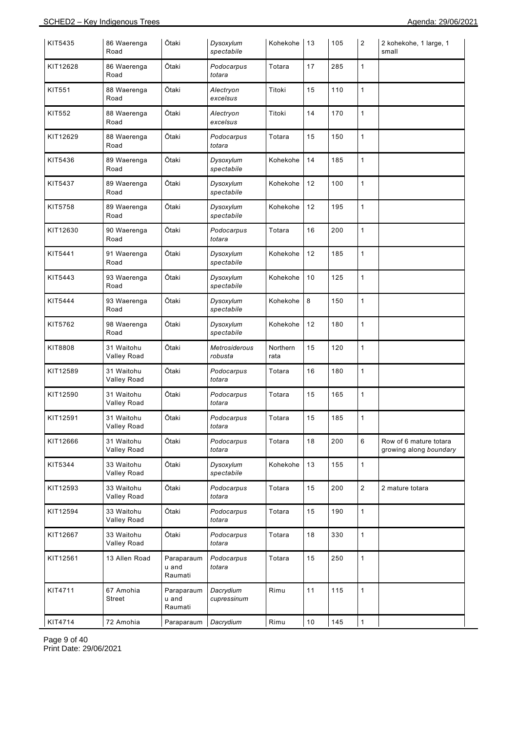| KIT5435       | 86 Waerenga<br>Road              | Ōtaki                          | Dysoxylum<br>spectabile  | Kohekohe         | 13   | 105 | $\overline{2}$ | 2 kohekohe, 1 large, 1<br>small                  |
|---------------|----------------------------------|--------------------------------|--------------------------|------------------|------|-----|----------------|--------------------------------------------------|
| KIT12628      | 86 Waerenga<br>Road              | Ōtaki                          | Podocarpus<br>totara     | Totara           | 17   | 285 | $\mathbf{1}$   |                                                  |
| <b>KIT551</b> | 88 Waerenga<br>Road              | Ōtaki                          | Alectryon<br>excelsus    | Titoki           | 15   | 110 | $\mathbf{1}$   |                                                  |
| <b>KIT552</b> | 88 Waerenga<br>Road              | Ōtaki                          | Alectryon<br>excelsus    | Titoki           | 14   | 170 | $\mathbf{1}$   |                                                  |
| KIT12629      | 88 Waerenga<br>Road              | Ōtaki                          | Podocarpus<br>totara     | Totara           | 15   | 150 | $\mathbf{1}$   |                                                  |
| KIT5436       | 89 Waerenga<br>Road              | Ōtaki                          | Dysoxylum<br>spectabile  | Kohekohe         | 14   | 185 | $\mathbf{1}$   |                                                  |
| KIT5437       | 89 Waerenga<br>Road              | Ōtaki                          | Dysoxylum<br>spectabile  | Kohekohe         | 12   | 100 | $\mathbf{1}$   |                                                  |
| KIT5758       | 89 Waerenga<br>Road              | Ōtaki                          | Dysoxylum<br>spectabile  | Kohekohe         | 12   | 195 | $\mathbf{1}$   |                                                  |
| KIT12630      | 90 Waerenga<br>Road              | Ōtaki                          | Podocarpus<br>totara     | Totara           | 16   | 200 | $\mathbf{1}$   |                                                  |
| KIT5441       | 91 Waerenga<br>Road              | Ōtaki                          | Dysoxylum<br>spectabile  | Kohekohe         | 12   | 185 | $\mathbf{1}$   |                                                  |
| KIT5443       | 93 Waerenga<br>Road              | Ōtaki                          | Dysoxylum<br>spectabile  | Kohekohe         | 10   | 125 | $\mathbf{1}$   |                                                  |
| KIT5444       | 93 Waerenga<br>Road              | Ōtaki                          | Dysoxylum<br>spectabile  | Kohekohe         | 8    | 150 | $\mathbf{1}$   |                                                  |
| KIT5762       | 98 Waerenga<br>Road              | Ōtaki                          | Dysoxylum<br>spectabile  | Kohekohe         | 12   | 180 | $\mathbf{1}$   |                                                  |
| KIT8808       | 31 Waitohu<br><b>Valley Road</b> | Ōtaki                          | Metrosiderous<br>robusta | Northern<br>rata | 15   | 120 | $\mathbf{1}$   |                                                  |
| KIT12589      | 31 Waitohu<br>Valley Road        | Ōtaki                          | Podocarpus<br>totara     | Totara           | 16   | 180 | $\mathbf{1}$   |                                                  |
| KIT12590      | 31 Waitohu<br><b>Valley Road</b> | Ōtaki                          | Podocarpus<br>totara     | Totara           | 15   | 165 | $\mathbf{1}$   |                                                  |
| KIT12591      | 31 Waitohu<br>Valley Road        | Ōtaki                          | Podocarpus<br>totara     | Totara           | 15   | 185 | 1              |                                                  |
| KIT12666      | 31 Waitohu<br>Valley Road        | Ōtaki                          | Podocarpus<br>totara     | Totara           | 18   | 200 | 6              | Row of 6 mature totara<br>growing along boundary |
| KIT5344       | 33 Waitohu<br><b>Valley Road</b> | Ōtaki                          | Dysoxylum<br>spectabile  | Kohekohe         | 13   | 155 | $\mathbf{1}$   |                                                  |
| KIT12593      | 33 Waitohu<br>Valley Road        | Ōtaki                          | Podocarpus<br>totara     | Totara           | 15   | 200 | $\overline{2}$ | 2 mature totara                                  |
| KIT12594      | 33 Waitohu<br><b>Valley Road</b> | Ōtaki                          | Podocarpus<br>totara     | Totara           | 15   | 190 | $\mathbf{1}$   |                                                  |
| KIT12667      | 33 Waitohu<br>Valley Road        | Ōtaki                          | Podocarpus<br>totara     | Totara           | 18   | 330 | $\mathbf{1}$   |                                                  |
| KIT12561      | 13 Allen Road                    | Paraparaum<br>u and<br>Raumati | Podocarpus<br>totara     | Totara           | 15   | 250 | $\mathbf{1}$   |                                                  |
| KIT4711       | 67 Amohia<br>Street              | Paraparaum<br>u and<br>Raumati | Dacrydium<br>cupressinum | Rimu             | 11   | 115 | $\mathbf{1}$   |                                                  |
| KIT4714       | 72 Amohia                        | Paraparaum                     | Dacrydium                | Rimu             | $10$ | 145 | $\mathbf{1}$   |                                                  |

Page 9 of 40 Print Date: 29/06/2021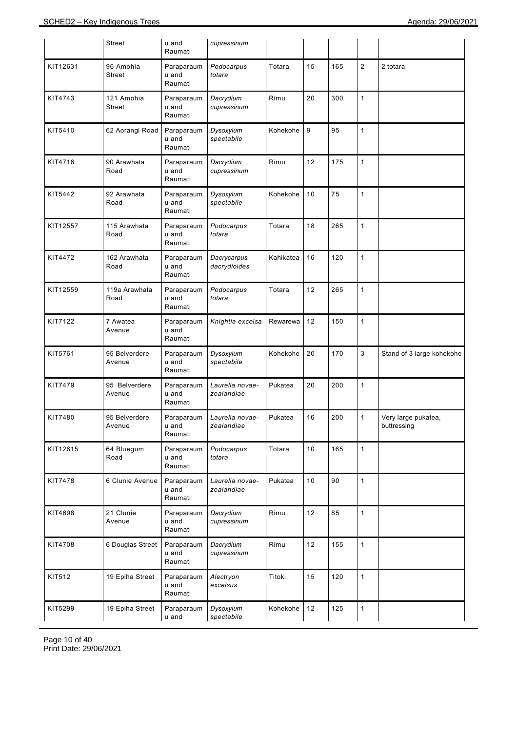|          | Street                  | u and<br>Raumati               | cupressinum                   |           |    |     |                |                                    |
|----------|-------------------------|--------------------------------|-------------------------------|-----------|----|-----|----------------|------------------------------------|
| KIT12631 | 96 Amohia<br>Street     | Paraparaum<br>u and<br>Raumati | Podocarpus<br>totara          | Totara    | 15 | 165 | $\overline{2}$ | 2 totara                           |
| KIT4743  | 121 Amohia<br>Street    | Paraparaum<br>u and<br>Raumati | Dacrydium<br>cupressinum      | Rimu      | 20 | 300 | $\mathbf{1}$   |                                    |
| KIT5410  | 62 Aorangi Road         | Paraparaum<br>u and<br>Raumati | Dysoxylum<br>spectabile       | Kohekohe  | 9  | 95  | $\mathbf{1}$   |                                    |
| KIT4716  | 90 Arawhata<br>Road     | Paraparaum<br>u and<br>Raumati | Dacrydium<br>cupressinum      | Rimu      | 12 | 175 | $\mathbf{1}$   |                                    |
| KIT5442  | 92 Arawhata<br>Road     | Paraparaum<br>u and<br>Raumati | Dysoxylum<br>spectabile       | Kohekohe  | 10 | 75  | $\mathbf{1}$   |                                    |
| KIT12557 | 115 Arawhata<br>Road    | Paraparaum<br>u and<br>Raumati | Podocarpus<br>totara          | Totara    | 18 | 265 | $\mathbf{1}$   |                                    |
| KIT4472  | 162 Arawhata<br>Road    | Paraparaum<br>u and<br>Raumati | Dacrycarpus<br>dacrydioides   | Kahikatea | 16 | 120 | $\mathbf{1}$   |                                    |
| KIT12559 | 119a Arawhata<br>Road   | Paraparaum<br>u and<br>Raumati | Podocarpus<br>totara          | Totara    | 12 | 265 | $\mathbf{1}$   |                                    |
| KIT7122  | 7 Awatea<br>Avenue      | Paraparaum<br>u and<br>Raumati | Knightia excelsa              | Rewarewa  | 12 | 150 | $\mathbf{1}$   |                                    |
| KIT5761  | 95 Belverdere<br>Avenue | Paraparaum<br>u and<br>Raumati | Dysoxylum<br>spectabile       | Kohekohe  | 20 | 170 | 3              | Stand of 3 large kohekohe          |
| KIT7479  | 95 Belverdere<br>Avenue | Paraparaum<br>u and<br>Raumati | Laurelia novae-<br>zealandiae | Pukatea   | 20 | 200 | $\mathbf{1}$   |                                    |
| KIT7480  | 95 Belverdere<br>Avenue | Paraparaum<br>u and<br>Raumati | Laurelia novae-<br>zealandiae | Pukatea   | 16 | 200 | $\mathbf{1}$   | Very large pukatea,<br>buttressing |
| KIT12615 | 64 Bluegum<br>Road      | Paraparaum<br>u and<br>Raumati | Podocarpus<br>totara          | Totara    | 10 | 165 | $\mathbf{1}$   |                                    |
| KIT7478  | 6 Clunie Avenue         | Paraparaum<br>u and<br>Raumati | Laurelia novae-<br>zealandiae | Pukatea   | 10 | 90  | $\mathbf{1}$   |                                    |
| KIT4698  | 21 Clunie<br>Avenue     | Paraparaum<br>u and<br>Raumati | Dacrydium<br>cupressinum      | Rimu      | 12 | 85  | $\mathbf{1}$   |                                    |
| KIT4708  | 6 Douglas Street        | Paraparaum<br>u and<br>Raumati | Dacrydium<br>cupressinum      | Rimu      | 12 | 155 | $\mathbf{1}$   |                                    |
| KIT512   | 19 Epiha Street         | Paraparaum<br>u and<br>Raumati | Alectryon<br>excelsus         | Titoki    | 15 | 120 | $\mathbf{1}$   |                                    |
| KIT5299  | 19 Epiha Street         | Paraparaum<br>u and            | Dysoxylum<br>spectabile       | Kohekohe  | 12 | 125 | $\mathbf{1}$   |                                    |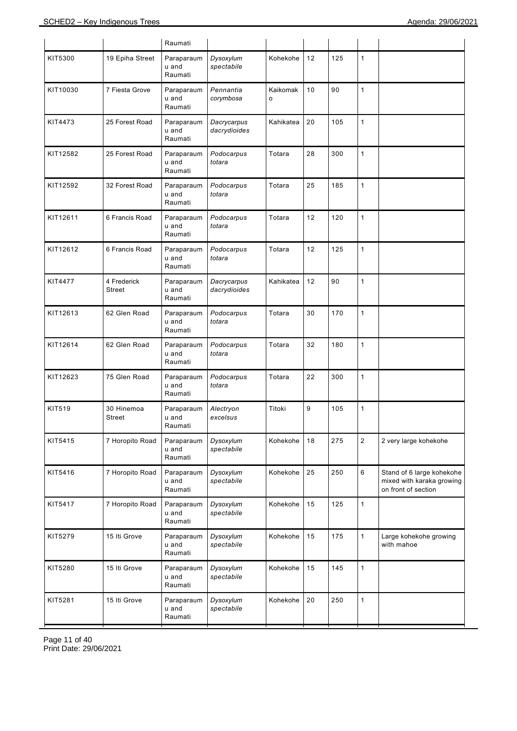|               |                       | Raumati                        |                             |               |    |     |                |                                                                               |
|---------------|-----------------------|--------------------------------|-----------------------------|---------------|----|-----|----------------|-------------------------------------------------------------------------------|
| KIT5300       | 19 Epiha Street       | Paraparaum<br>u and<br>Raumati | Dysoxylum<br>spectabile     | Kohekohe      | 12 | 125 | 1              |                                                                               |
| KIT10030      | 7 Fiesta Grove        | Paraparaum<br>u and<br>Raumati | Pennantia<br>corymbosa      | Kaikomak<br>o | 10 | 90  | $\mathbf{1}$   |                                                                               |
| KIT4473       | 25 Forest Road        | Paraparaum<br>u and<br>Raumati | Dacrycarpus<br>dacrydioides | Kahikatea     | 20 | 105 | 1              |                                                                               |
| KIT12582      | 25 Forest Road        | Paraparaum<br>u and<br>Raumati | Podocarpus<br>totara        | Totara        | 28 | 300 | $\mathbf{1}$   |                                                                               |
| KIT12592      | 32 Forest Road        | Paraparaum<br>u and<br>Raumati | Podocarpus<br>totara        | Totara        | 25 | 185 | $\mathbf{1}$   |                                                                               |
| KIT12611      | 6 Francis Road        | Paraparaum<br>u and<br>Raumati | Podocarpus<br>totara        | Totara        | 12 | 120 | $\mathbf{1}$   |                                                                               |
| KIT12612      | 6 Francis Road        | Paraparaum<br>u and<br>Raumati | Podocarpus<br>totara        | Totara        | 12 | 125 | 1              |                                                                               |
| KIT4477       | 4 Frederick<br>Street | Paraparaum<br>u and<br>Raumati | Dacrycarpus<br>dacrydioides | Kahikatea     | 12 | 90  | 1              |                                                                               |
| KIT12613      | 62 Glen Road          | Paraparaum<br>u and<br>Raumati | Podocarpus<br>totara        | Totara        | 30 | 170 | 1              |                                                                               |
| KIT12614      | 62 Glen Road          | Paraparaum<br>u and<br>Raumati | Podocarpus<br>totara        | Totara        | 32 | 180 | $\mathbf{1}$   |                                                                               |
| KIT12623      | 75 Glen Road          | Paraparaum<br>u and<br>Raumati | Podocarpus<br>totara        | Totara        | 22 | 300 | 1              |                                                                               |
| <b>KIT519</b> | 30 Hinemoa<br>Street  | Paraparaum<br>u and<br>Raumati | Alectryon<br>excelsus       | Titoki        | 9  | 105 | 1              |                                                                               |
| KIT5415       | 7 Horopito Road       | Paraparaum<br>u and<br>Raumati | Dysoxylum<br>spectabile     | Kohekohe      | 18 | 275 | $\overline{2}$ | 2 very large kohekohe                                                         |
| KIT5416       | 7 Horopito Road       | Paraparaum<br>u and<br>Raumati | Dysoxylum<br>spectabile     | Kohekohe      | 25 | 250 | 6              | Stand of 6 large kohekohe<br>mixed with karaka growing<br>on front of section |
| KIT5417       | 7 Horopito Road       | Paraparaum<br>u and<br>Raumati | Dysoxylum<br>spectabile     | Kohekohe      | 15 | 125 | 1              |                                                                               |
| KIT5279       | 15 Iti Grove          | Paraparaum<br>u and<br>Raumati | Dysoxylum<br>spectabile     | Kohekohe      | 15 | 175 | 1              | Large kohekohe growing<br>with mahoe                                          |
| KIT5280       | 15 Iti Grove          | Paraparaum<br>u and<br>Raumati | Dysoxylum<br>spectabile     | Kohekohe      | 15 | 145 | $\mathbf{1}$   |                                                                               |
| KIT5281       | 15 Iti Grove          | Paraparaum<br>u and<br>Raumati | Dysoxylum<br>spectabile     | Kohekohe      | 20 | 250 | 1              |                                                                               |

Page 11 of 40 Print Date: 29/06/2021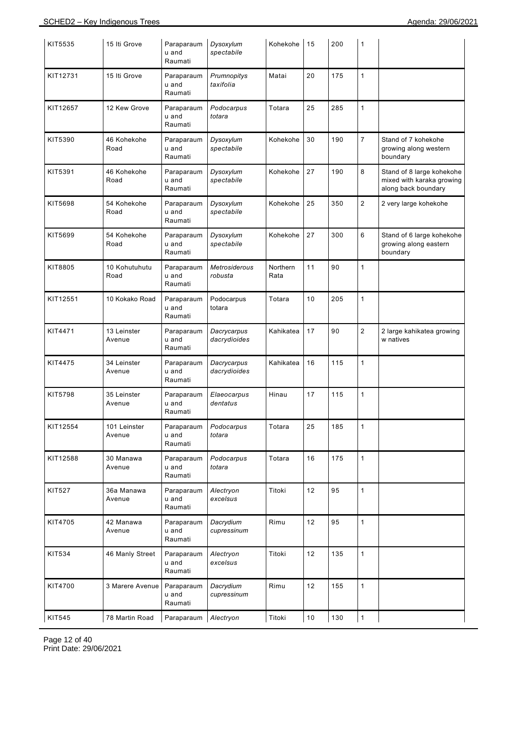| KIT5535       | 15 Iti Grove           | Paraparaum<br>u and<br>Raumati | Dysoxylum<br>spectabile     | Kohekohe         | 15 | 200 | 1              |                                                                               |
|---------------|------------------------|--------------------------------|-----------------------------|------------------|----|-----|----------------|-------------------------------------------------------------------------------|
| KIT12731      | 15 Iti Grove           | Paraparaum<br>u and<br>Raumati | Prumnopitys<br>taxifolia    | Matai            | 20 | 175 | $\mathbf{1}$   |                                                                               |
| KIT12657      | 12 Kew Grove           | Paraparaum<br>u and<br>Raumati | Podocarpus<br>totara        | Totara           | 25 | 285 | $\mathbf{1}$   |                                                                               |
| KIT5390       | 46 Kohekohe<br>Road    | Paraparaum<br>u and<br>Raumati | Dysoxylum<br>spectabile     | Kohekohe         | 30 | 190 | $\overline{7}$ | Stand of 7 kohekohe<br>growing along western<br>boundary                      |
| KIT5391       | 46 Kohekohe<br>Road    | Paraparaum<br>u and<br>Raumati | Dysoxylum<br>spectabile     | Kohekohe         | 27 | 190 | 8              | Stand of 8 large kohekohe<br>mixed with karaka growing<br>along back boundary |
| KIT5698       | 54 Kohekohe<br>Road    | Paraparaum<br>u and<br>Raumati | Dysoxylum<br>spectabile     | Kohekohe         | 25 | 350 | $\overline{2}$ | 2 very large kohekohe                                                         |
| KIT5699       | 54 Kohekohe<br>Road    | Paraparaum<br>u and<br>Raumati | Dysoxylum<br>spectabile     | Kohekohe         | 27 | 300 | 6              | Stand of 6 large kohekohe<br>growing along eastern<br>boundary                |
| KIT8805       | 10 Kohutuhutu<br>Road  | Paraparaum<br>u and<br>Raumati | Metrosiderous<br>robusta    | Northern<br>Rata | 11 | 90  | $\mathbf{1}$   |                                                                               |
| KIT12551      | 10 Kokako Road         | Paraparaum<br>u and<br>Raumati | Podocarpus<br>totara        | Totara           | 10 | 205 | $\mathbf{1}$   |                                                                               |
| KIT4471       | 13 Leinster<br>Avenue  | Paraparaum<br>u and<br>Raumati | Dacrycarpus<br>dacrydioides | Kahikatea        | 17 | 90  | $\mathbf 2$    | 2 large kahikatea growing<br>w natives                                        |
| KIT4475       | 34 Leinster<br>Avenue  | Paraparaum<br>u and<br>Raumati | Dacrycarpus<br>dacrydioides | Kahikatea        | 16 | 115 | $\mathbf{1}$   |                                                                               |
| KIT5798       | 35 Leinster<br>Avenue  | Paraparaum<br>u and<br>Raumati | Elaeocarpus<br>dentatus     | Hinau            | 17 | 115 | $\mathbf{1}$   |                                                                               |
| KIT12554      | 101 Leinster<br>Avenue | Paraparaum<br>u and<br>Raumati | Podocarpus<br>totara        | Totara           | 25 | 185 | 1              |                                                                               |
| KIT12588      | 30 Manawa<br>Avenue    | Paraparaum<br>u and<br>Raumati | Podocarpus<br>totara        | Totara           | 16 | 175 | $\mathbf{1}$   |                                                                               |
| <b>KIT527</b> | 36a Manawa<br>Avenue   | Paraparaum<br>u and<br>Raumati | Alectryon<br>excelsus       | Titoki           | 12 | 95  | $\mathbf{1}$   |                                                                               |
| KIT4705       | 42 Manawa<br>Avenue    | Paraparaum<br>u and<br>Raumati | Dacrydium<br>cupressinum    | Rimu             | 12 | 95  | $\mathbf{1}$   |                                                                               |
| KIT534        | 46 Manly Street        | Paraparaum<br>u and<br>Raumati | Alectryon<br>excelsus       | Titoki           | 12 | 135 | $\mathbf{1}$   |                                                                               |
| KIT4700       | 3 Marere Avenue        | Paraparaum<br>u and<br>Raumati | Dacrydium<br>cupressinum    | Rimu             | 12 | 155 | $\mathbf{1}$   |                                                                               |
| KIT545        | 78 Martin Road         | Paraparaum                     | Alectryon                   | Titoki           | 10 | 130 | $\mathbf{1}$   |                                                                               |

Page 12 of 40 Print Date: 29/06/2021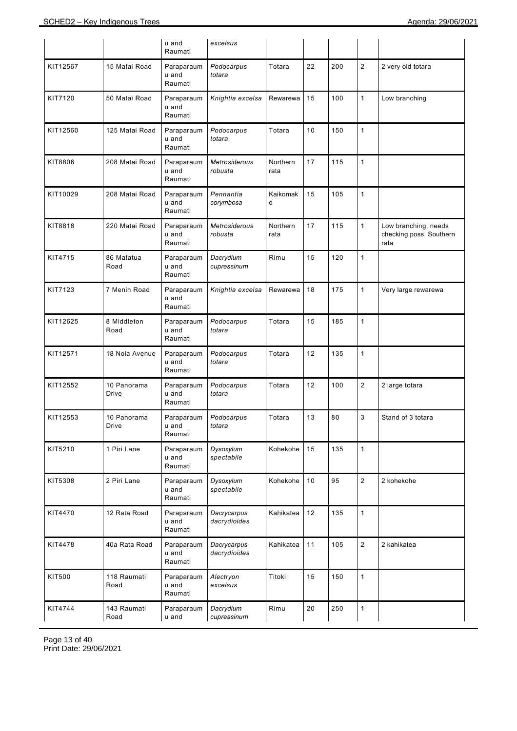|          |                      | u and<br>Raumati               | excelsus                        |                         |        |     |                |                                                         |
|----------|----------------------|--------------------------------|---------------------------------|-------------------------|--------|-----|----------------|---------------------------------------------------------|
| KIT12567 | 15 Matai Road        | Paraparaum<br>u and<br>Raumati | Podocarpus<br>totara            | Totara                  | 22     | 200 | $\overline{c}$ | 2 very old totara                                       |
| KIT7120  | 50 Matai Road        | Paraparaum<br>u and<br>Raumati | Knightia excelsa                | Rewarewa                | 15     | 100 | $\mathbf{1}$   | Low branching                                           |
| KIT12560 | 125 Matai Road       | Paraparaum<br>u and<br>Raumati | Podocarpus<br>totara            | Totara                  | 10     | 150 | 1              |                                                         |
| KIT8806  | 208 Matai Road       | Paraparaum<br>u and<br>Raumati | <b>Metrosiderous</b><br>robusta | <b>Northern</b><br>rata | 17     | 115 | 1              |                                                         |
| KIT10029 | 208 Matai Road       | Paraparaum<br>u and<br>Raumati | Pennantia<br>corymbosa          | Kaikomak<br>o           | 15     | 105 | 1              |                                                         |
| KIT8818  | 220 Matai Road       | Paraparaum<br>u and<br>Raumati | Metrosiderous<br>robusta        | Northern<br>rata        | 17     | 115 | 1              | Low branching, needs<br>checking poss. Southern<br>rata |
| KIT4715  | 86 Matatua<br>Road   | Paraparaum<br>u and<br>Raumati | Dacrydium<br>cupressinum        | Rimu                    | 15     | 120 | 1              |                                                         |
| KIT7123  | 7 Menin Road         | Paraparaum<br>u and<br>Raumati | Knightia excelsa                | Rewarewa                | 18     | 175 | 1              | Very large rewarewa                                     |
| KIT12625 | 8 Middleton<br>Road  | Paraparaum<br>u and<br>Raumati | Podocarpus<br>totara            | Totara                  | 15     | 185 | 1              |                                                         |
| KIT12571 | 18 Nola Avenue       | Paraparaum<br>u and<br>Raumati | Podocarpus<br>totara            | Totara                  | 12     | 135 | 1              |                                                         |
| KIT12552 | 10 Panorama<br>Drive | Paraparaum<br>u and<br>Raumati | Podocarpus<br>totara            | Totara                  | 12     | 100 | $\overline{2}$ | 2 large totara                                          |
| KIT12553 | 10 Panorama<br>Drive | Paraparaum<br>u and<br>Raumati | Podocarpus<br>totara            | Totara                  | 13     | 80  | 3              | Stand of 3 totara                                       |
| KIT5210  | 1 Piri Lane          | Paraparaum<br>u and<br>Raumati | Dysoxylum<br>spectabile         | Kohekohe                | 15     | 135 | 1              |                                                         |
| KIT5308  | 2 Piri Lane          | Paraparaum<br>u and<br>Raumati | Dysoxylum<br>spectabile         | Kohekohe                | 10     | 95  | $\overline{2}$ | 2 kohekohe                                              |
| KIT4470  | 12 Rata Road         | Paraparaum<br>u and<br>Raumati | Dacrycarpus<br>dacrydioides     | Kahikatea               | 12     | 135 | $\mathbf{1}$   |                                                         |
| KIT4478  | 40a Rata Road        | Paraparaum<br>u and<br>Raumati | Dacrycarpus<br>dacrydioides     | Kahikatea               | 11     | 105 | $\overline{2}$ | 2 kahikatea                                             |
| KIT500   | 118 Raumati<br>Road  | Paraparaum<br>u and<br>Raumati | Alectryon<br>excelsus           | Titoki                  | 15     | 150 | $\mathbf{1}$   |                                                         |
| KIT4744  | 143 Raumati<br>Road  | Paraparaum<br>u and            | Dacrydium<br>cupressinum        | Rimu                    | $20\,$ | 250 | 1              |                                                         |

Page 13 of 40 Print Date: 29/06/2021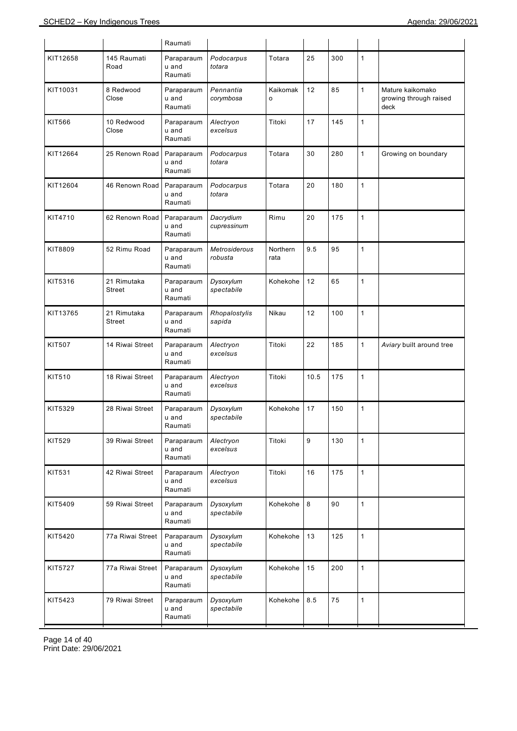|               |                       | Raumati                        |                                 |                     |      |     |              |                                                    |
|---------------|-----------------------|--------------------------------|---------------------------------|---------------------|------|-----|--------------|----------------------------------------------------|
| KIT12658      | 145 Raumati<br>Road   | Paraparaum<br>u and<br>Raumati | Podocarpus<br>totara            | Totara              | 25   | 300 | $\mathbf{1}$ |                                                    |
| KIT10031      | 8 Redwood<br>Close    | Paraparaum<br>u and<br>Raumati | Pennantia<br>corymbosa          | Kaikomak<br>$\circ$ | 12   | 85  | $\mathbf{1}$ | Mature kaikomako<br>growing through raised<br>deck |
| KIT566        | 10 Redwood<br>Close   | Paraparaum<br>u and<br>Raumati | Alectryon<br>excelsus           | Titoki              | 17   | 145 | $\mathbf{1}$ |                                                    |
| KIT12664      | 25 Renown Road        | Paraparaum<br>u and<br>Raumati | Podocarpus<br>totara            | Totara              | 30   | 280 | $\mathbf{1}$ | Growing on boundary                                |
| KIT12604      | 46 Renown Road        | Paraparaum<br>u and<br>Raumati | Podocarpus<br>totara            | Totara              | 20   | 180 | $\mathbf{1}$ |                                                    |
| KIT4710       | 62 Renown Road        | Paraparaum<br>u and<br>Raumati | Dacrydium<br>cupressinum        | Rimu                | 20   | 175 | $\mathbf{1}$ |                                                    |
| KIT8809       | 52 Rimu Road          | Paraparaum<br>u and<br>Raumati | <b>Metrosiderous</b><br>robusta | Northern<br>rata    | 9.5  | 95  | $\mathbf{1}$ |                                                    |
| KIT5316       | 21 Rimutaka<br>Street | Paraparaum<br>u and<br>Raumati | Dysoxylum<br>spectabile         | Kohekohe            | 12   | 65  | $\mathbf{1}$ |                                                    |
| KIT13765      | 21 Rimutaka<br>Street | Paraparaum<br>u and<br>Raumati | Rhopalostylis<br>sapida         | Nikau               | 12   | 100 | $\mathbf{1}$ |                                                    |
| <b>KIT507</b> | 14 Riwai Street       | Paraparaum<br>u and<br>Raumati | Alectryon<br>excelsus           | Titoki              | 22   | 185 | $\mathbf{1}$ | Aviary built around tree                           |
| <b>KIT510</b> | 18 Riwai Street       | Paraparaum<br>u and<br>Raumati | Alectryon<br>excelsus           | Titoki              | 10.5 | 175 | $\mathbf{1}$ |                                                    |
| KIT5329       | 28 Riwai Street       | Paraparaum<br>u and<br>Raumati | Dysoxylum<br>spectabile         | Kohekohe            | 17   | 150 | $\mathbf{1}$ |                                                    |
| KIT529        | 39 Riwai Street       | Paraparaum<br>u and<br>Raumati | Alectryon<br>excelsus           | Titoki              | 9    | 130 | $\mathbf{1}$ |                                                    |
| KIT531        | 42 Riwai Street       | Paraparaum<br>u and<br>Raumati | Alectryon<br>excelsus           | Titoki              | 16   | 175 | $\mathbf{1}$ |                                                    |
| KIT5409       | 59 Riwai Street       | Paraparaum<br>u and<br>Raumati | Dysoxylum<br>spectabile         | Kohekohe            | 8    | 90  | $\mathbf{1}$ |                                                    |
| KIT5420       | 77a Riwai Street      | Paraparaum<br>u and<br>Raumati | Dysoxylum<br>spectabile         | Kohekohe            | 13   | 125 | $\mathbf{1}$ |                                                    |
| KIT5727       | 77a Riwai Street      | Paraparaum<br>u and<br>Raumati | Dysoxylum<br>spectabile         | Kohekohe            | 15   | 200 | $\mathbf{1}$ |                                                    |
| KIT5423       | 79 Riwai Street       | Paraparaum<br>u and<br>Raumati | Dysoxylum<br>spectabile         | Kohekohe            | 8.5  | 75  | $\mathbf{1}$ |                                                    |

Page 14 of 40 Print Date: 29/06/2021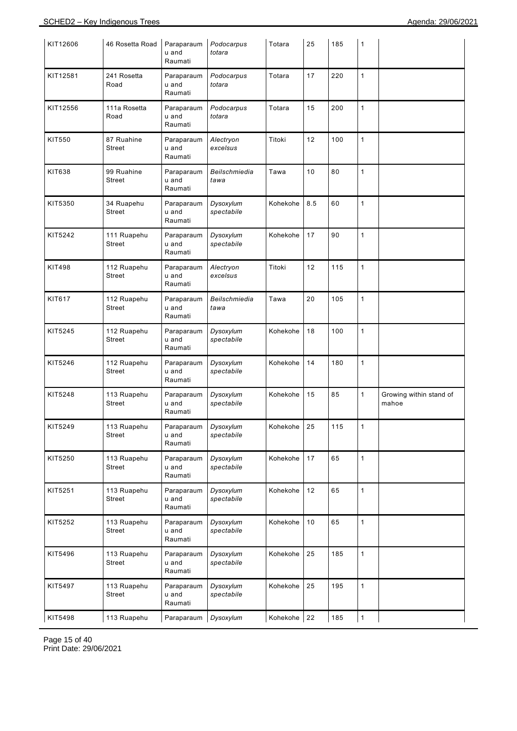| KIT12606      | 46 Rosetta Road              | Paraparaum<br>u and<br>Raumati | Podocarpus<br>totara    | Totara   | 25  | 185 | 1            |                                  |
|---------------|------------------------------|--------------------------------|-------------------------|----------|-----|-----|--------------|----------------------------------|
| KIT12581      | 241 Rosetta<br>Road          | Paraparaum<br>u and<br>Raumati | Podocarpus<br>totara    | Totara   | 17  | 220 | $\mathbf{1}$ |                                  |
| KIT12556      | 111a Rosetta<br>Road         | Paraparaum<br>u and<br>Raumati | Podocarpus<br>totara    | Totara   | 15  | 200 | $\mathbf{1}$ |                                  |
| KIT550        | 87 Ruahine<br>Street         | Paraparaum<br>u and<br>Raumati | Alectryon<br>excelsus   | Titoki   | 12  | 100 | $\mathbf{1}$ |                                  |
| KIT638        | 99 Ruahine<br>Street         | Paraparaum<br>u and<br>Raumati | Beilschmiedia<br>tawa   | Tawa     | 10  | 80  | $\mathbf{1}$ |                                  |
| KIT5350       | 34 Ruapehu<br>Street         | Paraparaum<br>u and<br>Raumati | Dysoxylum<br>spectabile | Kohekohe | 8.5 | 60  | $\mathbf{1}$ |                                  |
| KIT5242       | 111 Ruapehu<br>Street        | Paraparaum<br>u and<br>Raumati | Dysoxylum<br>spectabile | Kohekohe | 17  | 90  | 1            |                                  |
| <b>KIT498</b> | 112 Ruapehu<br>Street        | Paraparaum<br>u and<br>Raumati | Alectryon<br>excelsus   | Titoki   | 12  | 115 | $\mathbf{1}$ |                                  |
| KIT617        | 112 Ruapehu<br>Street        | Paraparaum<br>u and<br>Raumati | Beilschmiedia<br>tawa   | Tawa     | 20  | 105 | $\mathbf{1}$ |                                  |
| KIT5245       | 112 Ruapehu<br>Street        | Paraparaum<br>u and<br>Raumati | Dysoxylum<br>spectabile | Kohekohe | 18  | 100 | $\mathbf{1}$ |                                  |
| KIT5246       | 112 Ruapehu<br><b>Street</b> | Paraparaum<br>u and<br>Raumati | Dysoxylum<br>spectabile | Kohekohe | 14  | 180 | $\mathbf{1}$ |                                  |
| KIT5248       | 113 Ruapehu<br>Street        | Paraparaum<br>u and<br>Raumati | Dysoxylum<br>spectabile | Kohekohe | 15  | 85  | 1            | Growing within stand of<br>mahoe |
| KIT5249       | 113 Ruapehu<br>Street        | Paraparaum<br>u and<br>Raumati | Dysoxylum<br>spectabile | Kohekohe | 25  | 115 | 1            |                                  |
| KIT5250       | 113 Ruapehu<br>Street        | Paraparaum<br>u and<br>Raumati | Dysoxylum<br>spectabile | Kohekohe | 17  | 65  | $\mathbf{1}$ |                                  |
| KIT5251       | 113 Ruapehu<br>Street        | Paraparaum<br>u and<br>Raumati | Dysoxylum<br>spectabile | Kohekohe | 12  | 65  | $\mathbf{1}$ |                                  |
| KIT5252       | 113 Ruapehu<br>Street        | Paraparaum<br>u and<br>Raumati | Dysoxylum<br>spectabile | Kohekohe | 10  | 65  | $\mathbf{1}$ |                                  |
| KIT5496       | 113 Ruapehu<br>Street        | Paraparaum<br>u and<br>Raumati | Dysoxylum<br>spectabile | Kohekohe | 25  | 185 | $\mathbf{1}$ |                                  |
| KIT5497       | 113 Ruapehu<br>Street        | Paraparaum<br>u and<br>Raumati | Dysoxylum<br>spectabile | Kohekohe | 25  | 195 | $\mathbf{1}$ |                                  |
| KIT5498       | 113 Ruapehu                  | Paraparaum                     | Dysoxylum               | Kohekohe | 22  | 185 | $\mathbf{1}$ |                                  |

Page 15 of 40 Print Date: 29/06/2021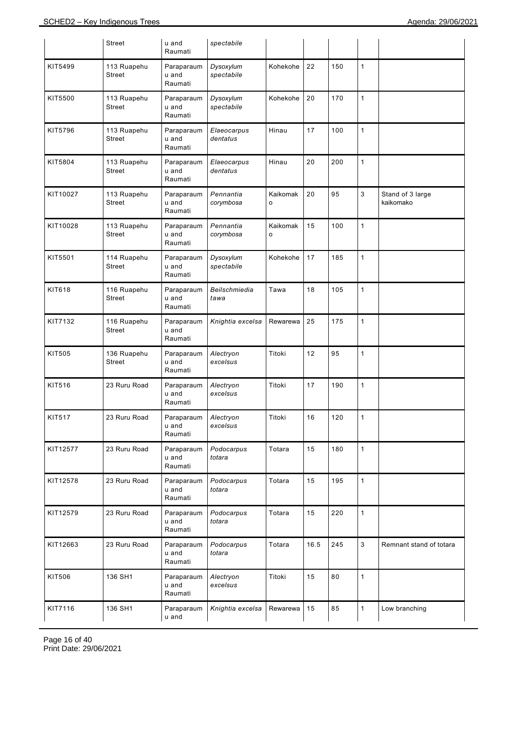|               | <b>Street</b>                | u and<br>Raumati               | spectabile              |                          |      |     |              |                               |
|---------------|------------------------------|--------------------------------|-------------------------|--------------------------|------|-----|--------------|-------------------------------|
| KIT5499       | 113 Ruapehu<br>Street        | Paraparaum<br>u and<br>Raumati | Dysoxylum<br>spectabile | Kohekohe                 | 22   | 150 | $\mathbf{1}$ |                               |
| KIT5500       | 113 Ruapehu<br>Street        | Paraparaum<br>u and<br>Raumati | Dysoxylum<br>spectabile | Kohekohe                 | 20   | 170 | $\mathbf{1}$ |                               |
| KIT5796       | 113 Ruapehu<br>Street        | Paraparaum<br>u and<br>Raumati | Elaeocarpus<br>dentatus | Hinau                    | 17   | 100 | $\mathbf{1}$ |                               |
| KIT5804       | 113 Ruapehu<br><b>Street</b> | Paraparaum<br>u and<br>Raumati | Elaeocarpus<br>dentatus | Hinau                    | 20   | 200 | $\mathbf{1}$ |                               |
| KIT10027      | 113 Ruapehu<br>Street        | Paraparaum<br>u and<br>Raumati | Pennantia<br>corymbosa  | Kaikomak<br>$\circ$      | 20   | 95  | 3            | Stand of 3 large<br>kaikomako |
| KIT10028      | 113 Ruapehu<br><b>Street</b> | Paraparaum<br>u and<br>Raumati | Pennantia<br>corymbosa  | Kaikomak<br>$\mathsf{o}$ | 15   | 100 | $\mathbf{1}$ |                               |
| KIT5501       | 114 Ruapehu<br><b>Street</b> | Paraparaum<br>u and<br>Raumati | Dysoxylum<br>spectabile | Kohekohe                 | 17   | 185 | $\mathbf{1}$ |                               |
| KIT618        | 116 Ruapehu<br>Street        | Paraparaum<br>u and<br>Raumati | Beilschmiedia<br>tawa   | Tawa                     | 18   | 105 | $\mathbf{1}$ |                               |
| KIT7132       | 116 Ruapehu<br><b>Street</b> | Paraparaum<br>u and<br>Raumati | Knightia excelsa        | Rewarewa                 | 25   | 175 | $\mathbf{1}$ |                               |
| <b>KIT505</b> | 136 Ruapehu<br>Street        | Paraparaum<br>u and<br>Raumati | Alectryon<br>excelsus   | Titoki                   | 12   | 95  | $\mathbf{1}$ |                               |
| KIT516        | 23 Ruru Road                 | Paraparaum<br>u and<br>Raumati | Alectryon<br>excelsus   | Titoki                   | 17   | 190 | $\mathbf{1}$ |                               |
| <b>KIT517</b> | 23 Ruru Road                 | Paraparaum<br>u and<br>Raumati | Alectryon<br>excelsus   | Titoki                   | 16   | 120 | 1            |                               |
| KIT12577      | 23 Ruru Road                 | Paraparaum<br>u and<br>Raumati | Podocarpus<br>totara    | Totara                   | 15   | 180 | $\mathbf{1}$ |                               |
| KIT12578      | 23 Ruru Road                 | Paraparaum<br>u and<br>Raumati | Podocarpus<br>totara    | Totara                   | 15   | 195 | $\mathbf{1}$ |                               |
| KIT12579      | 23 Ruru Road                 | Paraparaum<br>u and<br>Raumati | Podocarpus<br>totara    | Totara                   | 15   | 220 | $\mathbf{1}$ |                               |
| KIT12663      | 23 Ruru Road                 | Paraparaum<br>u and<br>Raumati | Podocarpus<br>totara    | Totara                   | 16.5 | 245 | 3            | Remnant stand of totara       |
| KIT506        | 136 SH1                      | Paraparaum<br>u and<br>Raumati | Alectryon<br>excelsus   | Titoki                   | 15   | 80  | $\mathbf{1}$ |                               |
| KIT7116       | 136 SH1                      | Paraparaum<br>u and            | Knightia excelsa        | Rewarewa                 | 15   | 85  | $\mathbf{1}$ | Low branching                 |

Page 16 of 40 Print Date: 29/06/2021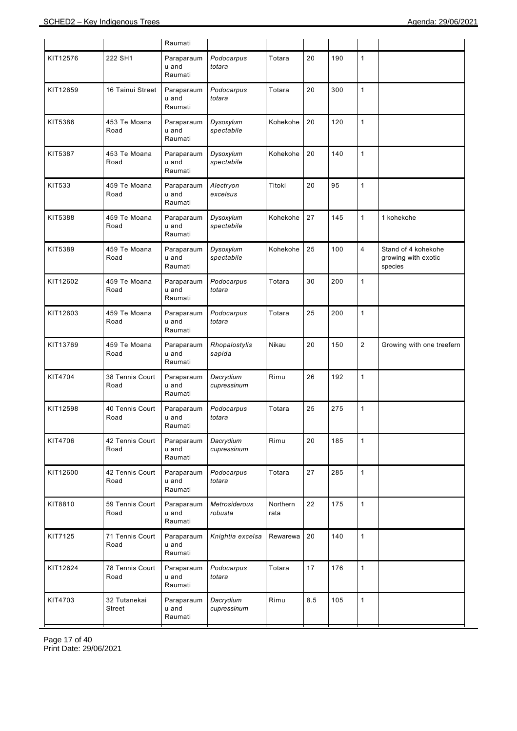|          |                         | Raumati                        |                          |                  |         |     |                |                                                       |
|----------|-------------------------|--------------------------------|--------------------------|------------------|---------|-----|----------------|-------------------------------------------------------|
| KIT12576 | 222 SH1                 | Paraparaum<br>u and<br>Raumati | Podocarpus<br>totara     | Totara           | 20      | 190 | 1              |                                                       |
| KIT12659 | 16 Tainui Street        | Paraparaum<br>u and<br>Raumati | Podocarpus<br>totara     | Totara           | 20      | 300 | $\mathbf{1}$   |                                                       |
| KIT5386  | 453 Te Moana<br>Road    | Paraparaum<br>u and<br>Raumati | Dysoxylum<br>spectabile  | Kohekohe         | 20      | 120 | 1              |                                                       |
| KIT5387  | 453 Te Moana<br>Road    | Paraparaum<br>u and<br>Raumati | Dysoxylum<br>spectabile  | Kohekohe         | 20      | 140 | $\mathbf{1}$   |                                                       |
| KIT533   | 459 Te Moana<br>Road    | Paraparaum<br>u and<br>Raumati | Alectryon<br>excelsus    | Titoki           | 20      | 95  | $\mathbf{1}$   |                                                       |
| KIT5388  | 459 Te Moana<br>Road    | Paraparaum<br>u and<br>Raumati | Dysoxylum<br>spectabile  | Kohekohe         | 27      | 145 | $\mathbf{1}$   | 1 kohekohe                                            |
| KIT5389  | 459 Te Moana<br>Road    | Paraparaum<br>u and<br>Raumati | Dysoxylum<br>spectabile  | Kohekohe         | 25      | 100 | $\overline{4}$ | Stand of 4 kohekohe<br>growing with exotic<br>species |
| KIT12602 | 459 Te Moana<br>Road    | Paraparaum<br>u and<br>Raumati | Podocarpus<br>totara     | Totara           | 30      | 200 | $\mathbf{1}$   |                                                       |
| KIT12603 | 459 Te Moana<br>Road    | Paraparaum<br>u and<br>Raumati | Podocarpus<br>totara     | Totara           | 25      | 200 | 1              |                                                       |
| KIT13769 | 459 Te Moana<br>Road    | Paraparaum<br>u and<br>Raumati | Rhopalostylis<br>sapida  | Nikau            | 20      | 150 | $\overline{2}$ | Growing with one treefern                             |
| KIT4704  | 38 Tennis Court<br>Road | Paraparaum<br>u and<br>Raumati | Dacrydium<br>cupressinum | Rimu             | 26      | 192 | $\mathbf{1}$   |                                                       |
| KIT12598 | 40 Tennis Court<br>Road | Paraparaum<br>u and<br>Raumati | Podocarpus<br>totara     | Totara           | 25      | 275 | 1              |                                                       |
| KIT4706  | 42 Tennis Court<br>Road | Paraparaum<br>u and<br>Raumati | Dacrydium<br>cupressinum | Rimu             | 20      | 185 | $\mathbf{1}$   |                                                       |
| KIT12600 | 42 Tennis Court<br>Road | Paraparaum<br>u and<br>Raumati | Podocarpus<br>totara     | Totara           | 27      | 285 | $\mathbf{1}$   |                                                       |
| KIT8810  | 59 Tennis Court<br>Road | Paraparaum<br>u and<br>Raumati | Metrosiderous<br>robusta | Northern<br>rata | 22      | 175 | $\mathbf{1}$   |                                                       |
| KIT7125  | 71 Tennis Court<br>Road | Paraparaum<br>u and<br>Raumati | Knightia excelsa         | Rewarewa         | 20      | 140 | $\mathbf{1}$   |                                                       |
| KIT12624 | 78 Tennis Court<br>Road | Paraparaum<br>u and<br>Raumati | Podocarpus<br>totara     | Totara           | 17      | 176 | $\mathbf{1}$   |                                                       |
| KIT4703  | 32 Tutanekai<br>Street  | Paraparaum<br>u and<br>Raumati | Dacrydium<br>cupressinum | Rimu             | $8.5\,$ | 105 | $\mathbf{1}$   |                                                       |

Page 17 of 40 Print Date: 29/06/2021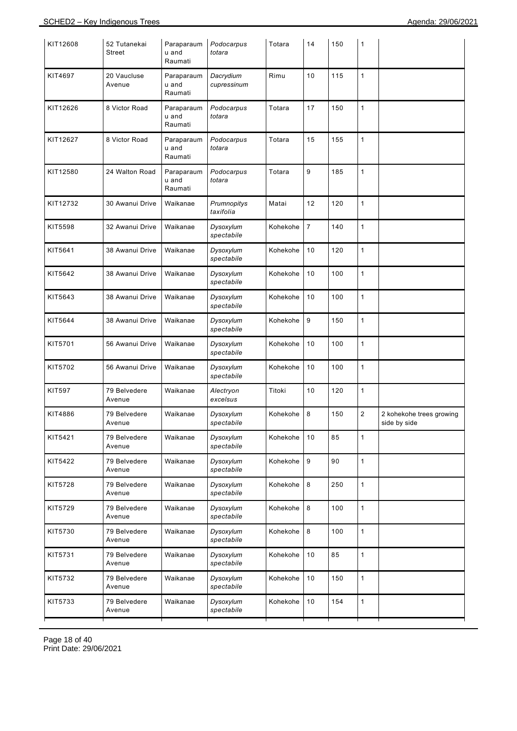| KIT12608      | 52 Tutanekai<br>Street | Paraparaum<br>u and<br>Raumati | Podocarpus<br>totara     | Totara   | 14             | 150 | 1            |                                          |
|---------------|------------------------|--------------------------------|--------------------------|----------|----------------|-----|--------------|------------------------------------------|
| KIT4697       | 20 Vaucluse<br>Avenue  | Paraparaum<br>u and<br>Raumati | Dacrydium<br>cupressinum | Rimu     | 10             | 115 | $\mathbf{1}$ |                                          |
| KIT12626      | 8 Victor Road          | Paraparaum<br>u and<br>Raumati | Podocarpus<br>totara     | Totara   | 17             | 150 | $\mathbf{1}$ |                                          |
| KIT12627      | 8 Victor Road          | Paraparaum<br>u and<br>Raumati | Podocarpus<br>totara     | Totara   | 15             | 155 | $\mathbf{1}$ |                                          |
| KIT12580      | 24 Walton Road         | Paraparaum<br>u and<br>Raumati | Podocarpus<br>totara     | Totara   | 9              | 185 | $\mathbf{1}$ |                                          |
| KIT12732      | 30 Awanui Drive        | Waikanae                       | Prumnopitys<br>taxifolia | Matai    | 12             | 120 | 1            |                                          |
| KIT5598       | 32 Awanui Drive        | Waikanae                       | Dysoxylum<br>spectabile  | Kohekohe | $\overline{7}$ | 140 | $\mathbf{1}$ |                                          |
| KIT5641       | 38 Awanui Drive        | Waikanae                       | Dysoxylum<br>spectabile  | Kohekohe | 10             | 120 | $\mathbf{1}$ |                                          |
| KIT5642       | 38 Awanui Drive        | Waikanae                       | Dysoxylum<br>spectabile  | Kohekohe | 10             | 100 | $\mathbf{1}$ |                                          |
| KIT5643       | 38 Awanui Drive        | Waikanae                       | Dysoxylum<br>spectabile  | Kohekohe | 10             | 100 | $\mathbf{1}$ |                                          |
| KIT5644       | 38 Awanui Drive        | Waikanae                       | Dysoxylum<br>spectabile  | Kohekohe | 9              | 150 | $\mathbf{1}$ |                                          |
| KIT5701       | 56 Awanui Drive        | Waikanae                       | Dysoxylum<br>spectabile  | Kohekohe | 10             | 100 | $\mathbf{1}$ |                                          |
| KIT5702       | 56 Awanui Drive        | Waikanae                       | Dysoxylum<br>spectabile  | Kohekohe | 10             | 100 | $\mathbf{1}$ |                                          |
| <b>KIT597</b> | 79 Belvedere<br>Avenue | Waikanae                       | Alectryon<br>excelsus    | Titoki   | 10             | 120 | $\mathbf{1}$ |                                          |
| KIT4886       | 79 Belvedere<br>Avenue | Waikanae                       | Dysoxylum<br>spectabile  | Kohekohe | 8              | 150 | $\sqrt{2}$   | 2 kohekohe trees growing<br>side by side |
| KIT5421       | 79 Belvedere<br>Avenue | Waikanae                       | Dysoxylum<br>spectabile  | Kohekohe | 10             | 85  | $\mathbf{1}$ |                                          |
| KIT5422       | 79 Belvedere<br>Avenue | Waikanae                       | Dysoxylum<br>spectabile  | Kohekohe | 9              | 90  | $\mathbf{1}$ |                                          |
| KIT5728       | 79 Belvedere<br>Avenue | Waikanae                       | Dysoxylum<br>spectabile  | Kohekohe | $\,8\,$        | 250 | $\mathbf{1}$ |                                          |
| KIT5729       | 79 Belvedere<br>Avenue | Waikanae                       | Dysoxylum<br>spectabile  | Kohekohe | $\,8\,$        | 100 | $\mathbf{1}$ |                                          |
| KIT5730       | 79 Belvedere<br>Avenue | Waikanae                       | Dysoxylum<br>spectabile  | Kohekohe | 8              | 100 | $\mathbf{1}$ |                                          |
| KIT5731       | 79 Belvedere<br>Avenue | Waikanae                       | Dysoxylum<br>spectabile  | Kohekohe | 10             | 85  | $\mathbf{1}$ |                                          |
| KIT5732       | 79 Belvedere<br>Avenue | Waikanae                       | Dysoxylum<br>spectabile  | Kohekohe | 10             | 150 | $\mathbf{1}$ |                                          |
| KIT5733       | 79 Belvedere<br>Avenue | Waikanae                       | Dysoxylum<br>spectabile  | Kohekohe | 10             | 154 | $\mathbf{1}$ |                                          |

Page 18 of 40 Print Date: 29/06/2021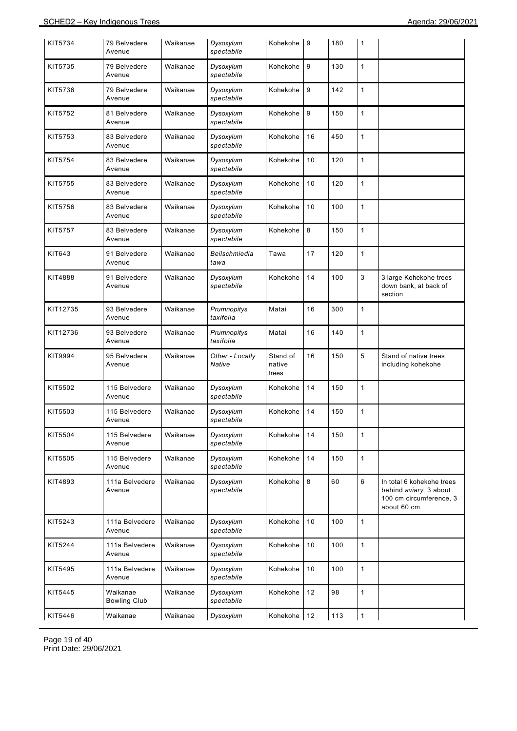| KIT5734  | 79 Belvedere<br>Avenue          | Waikanae | Dysoxylum<br>spectabile   | Kohekohe                    | 9  | 180 | 1            |                                                                                               |
|----------|---------------------------------|----------|---------------------------|-----------------------------|----|-----|--------------|-----------------------------------------------------------------------------------------------|
| KIT5735  | 79 Belvedere<br>Avenue          | Waikanae | Dysoxylum<br>spectabile   | Kohekohe                    | 9  | 130 | $\mathbf{1}$ |                                                                                               |
| KIT5736  | 79 Belvedere<br>Avenue          | Waikanae | Dysoxylum<br>spectabile   | Kohekohe                    | 9  | 142 | $\mathbf{1}$ |                                                                                               |
| KIT5752  | 81 Belvedere<br>Avenue          | Waikanae | Dysoxylum<br>spectabile   | Kohekohe                    | 9  | 150 | $\mathbf{1}$ |                                                                                               |
| KIT5753  | 83 Belvedere<br>Avenue          | Waikanae | Dysoxylum<br>spectabile   | Kohekohe                    | 16 | 450 | $\mathbf{1}$ |                                                                                               |
| KIT5754  | 83 Belvedere<br>Avenue          | Waikanae | Dysoxylum<br>spectabile   | Kohekohe                    | 10 | 120 | $\mathbf{1}$ |                                                                                               |
| KIT5755  | 83 Belvedere<br>Avenue          | Waikanae | Dysoxylum<br>spectabile   | Kohekohe                    | 10 | 120 | $\mathbf{1}$ |                                                                                               |
| KIT5756  | 83 Belvedere<br>Avenue          | Waikanae | Dysoxylum<br>spectabile   | Kohekohe                    | 10 | 100 | $\mathbf{1}$ |                                                                                               |
| KIT5757  | 83 Belvedere<br>Avenue          | Waikanae | Dysoxylum<br>spectabile   | Kohekohe                    | 8  | 150 | $\mathbf{1}$ |                                                                                               |
| KIT643   | 91 Belvedere<br>Avenue          | Waikanae | Beilschmiedia<br>tawa     | Tawa                        | 17 | 120 | $\mathbf{1}$ |                                                                                               |
| KIT4888  | 91 Belvedere<br>Avenue          | Waikanae | Dysoxylum<br>spectabile   | Kohekohe                    | 14 | 100 | 3            | 3 large Kohekohe trees<br>down bank, at back of<br>section                                    |
| KIT12735 | 93 Belvedere<br>Avenue          | Waikanae | Prumnopitys<br>taxifolia  | Matai                       | 16 | 300 | 1            |                                                                                               |
| KIT12736 | 93 Belvedere<br>Avenue          | Waikanae | Prumnopitys<br>taxifolia  | Matai                       | 16 | 140 | 1            |                                                                                               |
| KIT9994  | 95 Belvedere<br>Avenue          | Waikanae | Other - Locally<br>Native | Stand of<br>native<br>trees | 16 | 150 | 5            | Stand of native trees<br>including kohekohe                                                   |
| KIT5502  | 115 Belvedere<br>Avenue         | Waikanae | Dysoxylum<br>spectabile   | Kohekohe                    | 14 | 150 | $\mathbf{1}$ |                                                                                               |
| KIT5503  | 115 Belvedere<br>Avenue         | Waikanae | Dysoxylum<br>spectabile   | Kohekohe                    | 14 | 150 | $\mathbf{1}$ |                                                                                               |
| KIT5504  | 115 Belvedere<br>Avenue         | Waikanae | Dysoxylum<br>spectabile   | Kohekohe                    | 14 | 150 | $\mathbf{1}$ |                                                                                               |
| KIT5505  | 115 Belvedere<br>Avenue         | Waikanae | Dysoxylum<br>spectabile   | Kohekohe                    | 14 | 150 | $\mathbf{1}$ |                                                                                               |
| KIT4893  | 111a Belvedere<br>Avenue        | Waikanae | Dysoxylum<br>spectabile   | Kohekohe                    | 8  | 60  | 6            | In total 6 kohekohe trees<br>behind aviary, 3 about<br>100 cm circumference, 3<br>about 60 cm |
| KIT5243  | 111a Belvedere<br>Avenue        | Waikanae | Dysoxylum<br>spectabile   | Kohekohe                    | 10 | 100 | $\mathbf{1}$ |                                                                                               |
| KIT5244  | 111a Belvedere<br>Avenue        | Waikanae | Dysoxylum<br>spectabile   | Kohekohe                    | 10 | 100 | $\mathbf{1}$ |                                                                                               |
| KIT5495  | 111a Belvedere<br>Avenue        | Waikanae | Dysoxylum<br>spectabile   | Kohekohe                    | 10 | 100 | $\mathbf{1}$ |                                                                                               |
| KIT5445  | Waikanae<br><b>Bowling Club</b> | Waikanae | Dysoxylum<br>spectabile   | Kohekohe                    | 12 | 98  | $\mathbf{1}$ |                                                                                               |
| KIT5446  | Waikanae                        | Waikanae | Dysoxylum                 | Kohekohe 12                 |    | 113 | $\mathbf{1}$ |                                                                                               |

Page 19 of 40 Print Date: 29/06/2021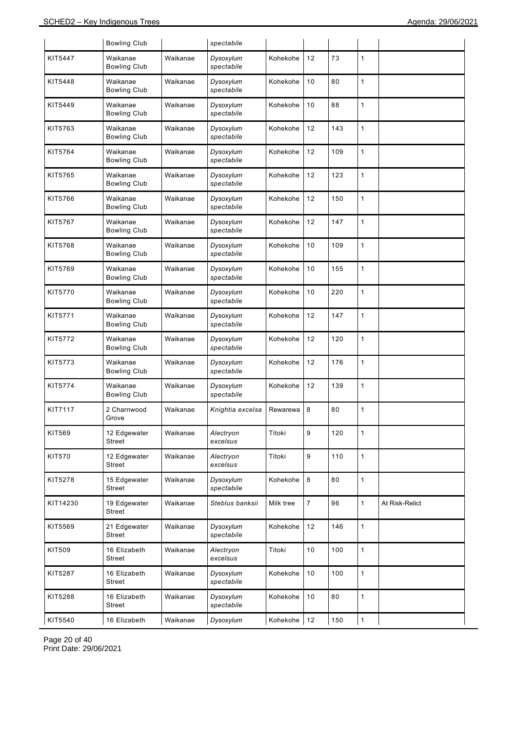|          | <b>Bowling Club</b>             |          | spectabile              |           |                |     |              |                |
|----------|---------------------------------|----------|-------------------------|-----------|----------------|-----|--------------|----------------|
| KIT5447  | Waikanae<br><b>Bowling Club</b> | Waikanae | Dysoxylum<br>spectabile | Kohekohe  | 12             | 73  | 1            |                |
| KIT5448  | Waikanae<br><b>Bowling Club</b> | Waikanae | Dysoxylum<br>spectabile | Kohekohe  | 10             | 80  | 1            |                |
| KIT5449  | Waikanae<br><b>Bowling Club</b> | Waikanae | Dysoxylum<br>spectabile | Kohekohe  | 10             | 88  | 1            |                |
| KIT5763  | Waikanae<br><b>Bowling Club</b> | Waikanae | Dysoxylum<br>spectabile | Kohekohe  | 12             | 143 | 1            |                |
| KIT5764  | Waikanae<br><b>Bowling Club</b> | Waikanae | Dysoxylum<br>spectabile | Kohekohe  | 12             | 109 | 1            |                |
| KIT5765  | Waikanae<br><b>Bowling Club</b> | Waikanae | Dysoxylum<br>spectabile | Kohekohe  | 12             | 123 | 1            |                |
| KIT5766  | Waikanae<br><b>Bowling Club</b> | Waikanae | Dysoxylum<br>spectabile | Kohekohe  | 12             | 150 | 1            |                |
| KIT5767  | Waikanae<br><b>Bowling Club</b> | Waikanae | Dysoxylum<br>spectabile | Kohekohe  | 12             | 147 | 1            |                |
| KIT5768  | Waikanae<br><b>Bowling Club</b> | Waikanae | Dysoxylum<br>spectabile | Kohekohe  | 10             | 109 | 1            |                |
| KIT5769  | Waikanae<br><b>Bowling Club</b> | Waikanae | Dysoxylum<br>spectabile | Kohekohe  | 10             | 155 | 1            |                |
| KIT5770  | Waikanae<br><b>Bowling Club</b> | Waikanae | Dysoxylum<br>spectabile | Kohekohe  | 10             | 220 | 1            |                |
| KIT5771  | Waikanae<br><b>Bowling Club</b> | Waikanae | Dysoxylum<br>spectabile | Kohekohe  | 12             | 147 | 1            |                |
| KIT5772  | Waikanae<br><b>Bowling Club</b> | Waikanae | Dysoxylum<br>spectabile | Kohekohe  | 12             | 120 | 1            |                |
| KIT5773  | Waikanae<br><b>Bowling Club</b> | Waikanae | Dysoxylum<br>spectabile | Kohekohe  | 12             | 176 | 1            |                |
| KIT5774  | Waikanae<br><b>Bowling Club</b> | Waikanae | Dysoxylum<br>spectabile | Kohekohe  | 12             | 139 | 1            |                |
| KIT7117  | 2 Charnwood<br>Grove            | Waikanae | Knightia excelsa        | Rewarewa  | 8              | 80  | 1            |                |
| KIT569   | 12 Edgewater<br>Street          | Waikanae | Alectryon<br>excelsus   | Titoki    | 9              | 120 | 1            |                |
| KIT570   | 12 Edgewater<br>Street          | Waikanae | Alectryon<br>excelsus   | Titoki    | 9              | 110 | $\mathbf{1}$ |                |
| KIT5278  | 15 Edgewater<br>Street          | Waikanae | Dysoxylum<br>spectabile | Kohekohe  | 8              | 80  | 1            |                |
| KIT14230 | 19 Edgewater<br>Street          | Waikanae | Steblus banksii         | Milk tree | $\overline{7}$ | 96  | $\mathbf{1}$ | At Risk-Relict |
| KIT5569  | 21 Edgewater<br>Street          | Waikanae | Dysoxylum<br>spectabile | Kohekohe  | 12             | 146 | 1            |                |
| KIT509   | 16 Elizabeth<br>Street          | Waikanae | Alectryon<br>excelsus   | Titoki    | 10             | 100 | $\mathbf{1}$ |                |
| KIT5287  | 16 Elizabeth<br>Street          | Waikanae | Dysoxylum<br>spectabile | Kohekohe  | 10             | 100 | 1            |                |
| KIT5288  | 16 Elizabeth<br>Street          | Waikanae | Dysoxylum<br>spectabile | Kohekohe  | 10             | 80  | 1            |                |
| KIT5540  | 16 Elizabeth                    | Waikanae | Dysoxylum               | Kohekohe  | 12             | 150 | 1            |                |

Page 20 of 40 Print Date: 29/06/2021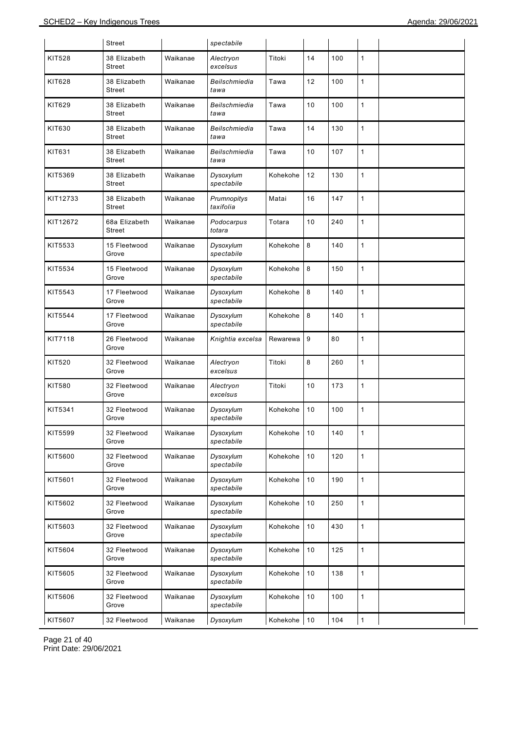|               | Street                  |          | spectabile               |          |    |     |              |  |
|---------------|-------------------------|----------|--------------------------|----------|----|-----|--------------|--|
| <b>KIT528</b> | 38 Elizabeth<br>Street  | Waikanae | Alectryon<br>excelsus    | Titoki   | 14 | 100 | $\mathbf{1}$ |  |
| <b>KIT628</b> | 38 Elizabeth<br>Street  | Waikanae | Beilschmiedia<br>tawa    | Tawa     | 12 | 100 | $\mathbf{1}$ |  |
| KIT629        | 38 Elizabeth<br>Street  | Waikanae | Beilschmiedia<br>tawa    | Tawa     | 10 | 100 | $\mathbf{1}$ |  |
| KIT630        | 38 Elizabeth<br>Street  | Waikanae | Beilschmiedia<br>tawa    | Tawa     | 14 | 130 | $\mathbf{1}$ |  |
| KIT631        | 38 Elizabeth<br>Street  | Waikanae | Beilschmiedia<br>tawa    | Tawa     | 10 | 107 | $\mathbf{1}$ |  |
| KIT5369       | 38 Elizabeth<br>Street  | Waikanae | Dysoxylum<br>spectabile  | Kohekohe | 12 | 130 | $\mathbf{1}$ |  |
| KIT12733      | 38 Elizabeth<br>Street  | Waikanae | Prumnopitys<br>taxifolia | Matai    | 16 | 147 | $\mathbf{1}$ |  |
| KIT12672      | 68a Elizabeth<br>Street | Waikanae | Podocarpus<br>totara     | Totara   | 10 | 240 | $\mathbf{1}$ |  |
| KIT5533       | 15 Fleetwood<br>Grove   | Waikanae | Dysoxylum<br>spectabile  | Kohekohe | 8  | 140 | $\mathbf{1}$ |  |
| KIT5534       | 15 Fleetwood<br>Grove   | Waikanae | Dysoxylum<br>spectabile  | Kohekohe | 8  | 150 | $\mathbf{1}$ |  |
| KIT5543       | 17 Fleetwood<br>Grove   | Waikanae | Dysoxylum<br>spectabile  | Kohekohe | 8  | 140 | $\mathbf{1}$ |  |
| KIT5544       | 17 Fleetwood<br>Grove   | Waikanae | Dysoxylum<br>spectabile  | Kohekohe | 8  | 140 | $\mathbf{1}$ |  |
| KIT7118       | 26 Fleetwood<br>Grove   | Waikanae | Knightia excelsa         | Rewarewa | 9  | 80  | $\mathbf{1}$ |  |
| KIT520        | 32 Fleetwood<br>Grove   | Waikanae | Alectryon<br>excelsus    | Titoki   | 8  | 260 | $\mathbf{1}$ |  |
| <b>KIT580</b> | 32 Fleetwood<br>Grove   | Waikanae | Alectryon<br>excelsus    | Titoki   | 10 | 173 | $\mathbf{1}$ |  |
| KIT5341       | 32 Fleetwood<br>Grove   | Waikanae | Dysoxylum<br>spectabile  | Kohekohe | 10 | 100 | $\mathbf{1}$ |  |
| KIT5599       | 32 Fleetwood<br>Grove   | Waikanae | Dysoxylum<br>spectabile  | Kohekohe | 10 | 140 | 1            |  |
| KIT5600       | 32 Fleetwood<br>Grove   | Waikanae | Dysoxylum<br>spectabile  | Kohekohe | 10 | 120 | $\mathbf{1}$ |  |
| KIT5601       | 32 Fleetwood<br>Grove   | Waikanae | Dysoxylum<br>spectabile  | Kohekohe | 10 | 190 | $\mathbf{1}$ |  |
| KIT5602       | 32 Fleetwood<br>Grove   | Waikanae | Dysoxylum<br>spectabile  | Kohekohe | 10 | 250 | $\mathbf{1}$ |  |
| KIT5603       | 32 Fleetwood<br>Grove   | Waikanae | Dysoxylum<br>spectabile  | Kohekohe | 10 | 430 | $\mathbf{1}$ |  |
| KIT5604       | 32 Fleetwood<br>Grove   | Waikanae | Dysoxylum<br>spectabile  | Kohekohe | 10 | 125 | $\mathbf{1}$ |  |
| KIT5605       | 32 Fleetwood<br>Grove   | Waikanae | Dysoxylum<br>spectabile  | Kohekohe | 10 | 138 | $\mathbf{1}$ |  |
| KIT5606       | 32 Fleetwood<br>Grove   | Waikanae | Dysoxylum<br>spectabile  | Kohekohe | 10 | 100 | $\mathbf{1}$ |  |
| KIT5607       | 32 Fleetwood            | Waikanae | Dysoxylum                | Kohekohe | 10 | 104 | $\mathbf{1}$ |  |

Page 21 of 40 Print Date: 29/06/2021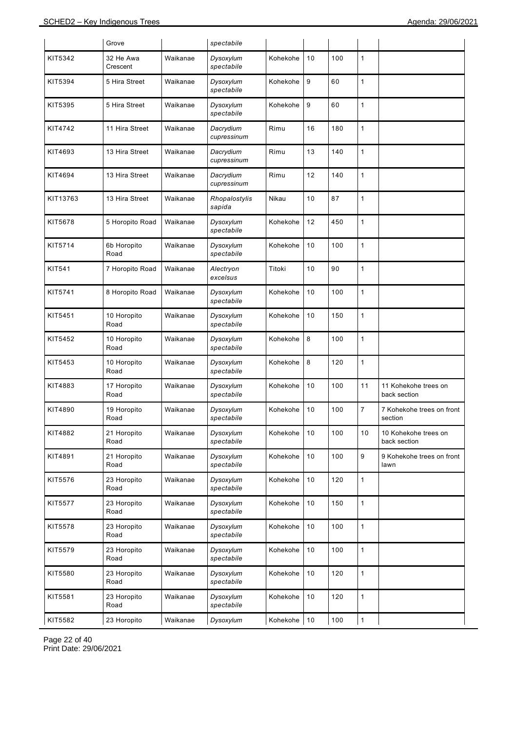|          | Grove                 |          | spectabile               |          |      |     |              |                                      |
|----------|-----------------------|----------|--------------------------|----------|------|-----|--------------|--------------------------------------|
| KIT5342  | 32 He Awa<br>Crescent | Waikanae | Dysoxylum<br>spectabile  | Kohekohe | 10   | 100 | 1            |                                      |
| KIT5394  | 5 Hira Street         | Waikanae | Dysoxylum<br>spectabile  | Kohekohe | 9    | 60  | 1            |                                      |
| KIT5395  | 5 Hira Street         | Waikanae | Dysoxylum<br>spectabile  | Kohekohe | 9    | 60  | 1            |                                      |
| KIT4742  | 11 Hira Street        | Waikanae | Dacrydium<br>cupressinum | Rimu     | 16   | 180 | 1            |                                      |
| KIT4693  | 13 Hira Street        | Waikanae | Dacrydium<br>cupressinum | Rimu     | 13   | 140 | 1            |                                      |
| KIT4694  | 13 Hira Street        | Waikanae | Dacrydium<br>cupressinum | Rimu     | 12   | 140 | 1            |                                      |
| KIT13763 | 13 Hira Street        | Waikanae | Rhopalostylis<br>sapida  | Nikau    | 10   | 87  | 1            |                                      |
| KIT5678  | 5 Horopito Road       | Waikanae | Dysoxylum<br>spectabile  | Kohekohe | 12   | 450 | 1            |                                      |
| KIT5714  | 6b Horopito<br>Road   | Waikanae | Dysoxylum<br>spectabile  | Kohekohe | 10   | 100 | 1            |                                      |
| KIT541   | 7 Horopito Road       | Waikanae | Alectryon<br>excelsus    | Titoki   | 10   | 90  | 1            |                                      |
| KIT5741  | 8 Horopito Road       | Waikanae | Dysoxylum<br>spectabile  | Kohekohe | 10   | 100 | 1            |                                      |
| KIT5451  | 10 Horopito<br>Road   | Waikanae | Dysoxylum<br>spectabile  | Kohekohe | 10   | 150 | 1            |                                      |
| KIT5452  | 10 Horopito<br>Road   | Waikanae | Dysoxylum<br>spectabile  | Kohekohe | 8    | 100 | 1            |                                      |
| KIT5453  | 10 Horopito<br>Road   | Waikanae | Dysoxylum<br>spectabile  | Kohekohe | 8    | 120 | 1            |                                      |
| KIT4883  | 17 Horopito<br>Road   | Waikanae | Dysoxylum<br>spectabile  | Kohekohe | 10   | 100 | 11           | 11 Kohekohe trees on<br>back section |
| KIT4890  | 19 Horopito<br>Road   | Waikanae | Dysoxylum<br>spectabile  | Kohekohe | 10   | 100 | 7            | 7 Kohekohe trees on front<br>section |
| KIT4882  | 21 Horopito<br>Road   | Waikanae | Dysoxylum<br>spectabile  | Kohekohe | 10   | 100 | 10           | 10 Kohekohe trees on<br>back section |
| KIT4891  | 21 Horopito<br>Road   | Waikanae | Dysoxylum<br>spectabile  | Kohekohe | 10   | 100 | 9            | 9 Kohekohe trees on front<br>lawn    |
| KIT5576  | 23 Horopito<br>Road   | Waikanae | Dysoxylum<br>spectabile  | Kohekohe | 10   | 120 | 1            |                                      |
| KIT5577  | 23 Horopito<br>Road   | Waikanae | Dysoxylum<br>spectabile  | Kohekohe | $10$ | 150 | $\mathbf{1}$ |                                      |
| KIT5578  | 23 Horopito<br>Road   | Waikanae | Dysoxylum<br>spectabile  | Kohekohe | 10   | 100 | $\mathbf{1}$ |                                      |
| KIT5579  | 23 Horopito<br>Road   | Waikanae | Dysoxylum<br>spectabile  | Kohekohe | 10   | 100 | $\mathbf{1}$ |                                      |
| KIT5580  | 23 Horopito<br>Road   | Waikanae | Dysoxylum<br>spectabile  | Kohekohe | 10   | 120 | $\mathbf{1}$ |                                      |
| KIT5581  | 23 Horopito<br>Road   | Waikanae | Dysoxylum<br>spectabile  | Kohekohe | $10$ | 120 | 1            |                                      |
| KIT5582  | 23 Horopito           | Waikanae | Dysoxylum                | Kohekohe | $10$ | 100 | 1            |                                      |

Page 22 of 40 Print Date: 29/06/2021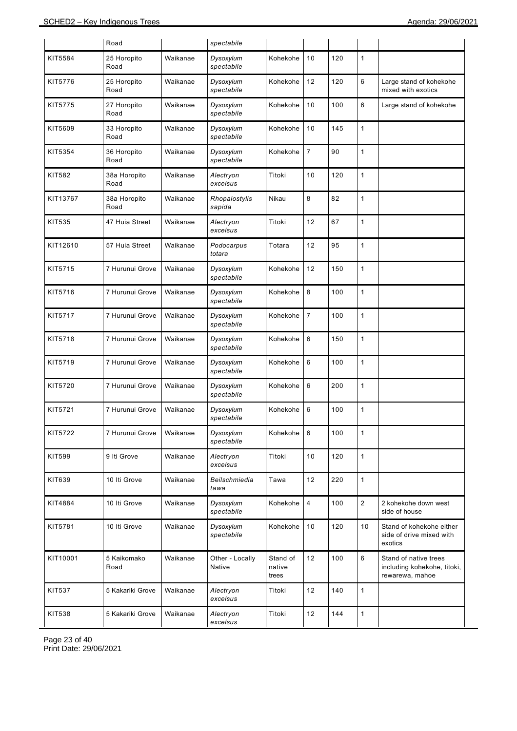|               | Road                 |          | spectabile                |                             |                |     |                |                                                                         |
|---------------|----------------------|----------|---------------------------|-----------------------------|----------------|-----|----------------|-------------------------------------------------------------------------|
| KIT5584       | 25 Horopito<br>Road  | Waikanae | Dysoxylum<br>spectabile   | Kohekohe                    | 10             | 120 | $\mathbf{1}$   |                                                                         |
| KIT5776       | 25 Horopito<br>Road  | Waikanae | Dysoxylum<br>spectabile   | Kohekohe                    | 12             | 120 | 6              | Large stand of kohekohe<br>mixed with exotics                           |
| KIT5775       | 27 Horopito<br>Road  | Waikanae | Dysoxylum<br>spectabile   | Kohekohe                    | 10             | 100 | 6              | Large stand of kohekohe                                                 |
| KIT5609       | 33 Horopito<br>Road  | Waikanae | Dysoxylum<br>spectabile   | Kohekohe                    | 10             | 145 | $\mathbf{1}$   |                                                                         |
| KIT5354       | 36 Horopito<br>Road  | Waikanae | Dysoxylum<br>spectabile   | Kohekohe                    | $\overline{7}$ | 90  | $\mathbf{1}$   |                                                                         |
| <b>KIT582</b> | 38a Horopito<br>Road | Waikanae | Alectryon<br>excelsus     | Titoki                      | 10             | 120 | $\mathbf{1}$   |                                                                         |
| KIT13767      | 38a Horopito<br>Road | Waikanae | Rhopalostylis<br>sapida   | Nikau                       | 8              | 82  | $\mathbf{1}$   |                                                                         |
| KIT535        | 47 Huia Street       | Waikanae | Alectryon<br>excelsus     | Titoki                      | 12             | 67  | $\mathbf{1}$   |                                                                         |
| KIT12610      | 57 Huia Street       | Waikanae | Podocarpus<br>totara      | Totara                      | 12             | 95  | $\mathbf{1}$   |                                                                         |
| KIT5715       | 7 Hurunui Grove      | Waikanae | Dysoxylum<br>spectabile   | Kohekohe                    | 12             | 150 | $\mathbf{1}$   |                                                                         |
| KIT5716       | 7 Hurunui Grove      | Waikanae | Dysoxylum<br>spectabile   | Kohekohe                    | 8              | 100 | $\mathbf{1}$   |                                                                         |
| KIT5717       | 7 Hurunui Grove      | Waikanae | Dysoxylum<br>spectabile   | Kohekohe                    | $\overline{7}$ | 100 | $\mathbf{1}$   |                                                                         |
| KIT5718       | 7 Hurunui Grove      | Waikanae | Dysoxylum<br>spectabile   | Kohekohe                    | 6              | 150 | 1              |                                                                         |
| KIT5719       | 7 Hurunui Grove      | Waikanae | Dysoxylum<br>spectabile   | Kohekohe                    | 6              | 100 | $\mathbf{1}$   |                                                                         |
| KIT5720       | 7 Hurunui Grove      | Waikanae | Dysoxylum<br>spectabile   | Kohekohe                    | 6              | 200 | 1              |                                                                         |
| KIT5721       | 7 Hurunui Grove      | Waikanae | Dysoxylum<br>spectabile   | Kohekohe                    | 6              | 100 | 1              |                                                                         |
| KIT5722       | 7 Hurunui Grove      | Waikanae | Dysoxylum<br>spectabile   | Kohekohe                    | 6              | 100 | 1              |                                                                         |
| <b>KIT599</b> | 9 Iti Grove          | Waikanae | Alectryon<br>excelsus     | Titoki                      | 10             | 120 | $\mathbf{1}$   |                                                                         |
| KIT639        | 10 Iti Grove         | Waikanae | Beilschmiedia<br>tawa     | Tawa                        | 12             | 220 | $\mathbf{1}$   |                                                                         |
| KIT4884       | 10 Iti Grove         | Waikanae | Dysoxylum<br>spectabile   | Kohekohe                    | 4              | 100 | $\overline{c}$ | 2 kohekohe down west<br>side of house                                   |
| KIT5781       | 10 Iti Grove         | Waikanae | Dysoxylum<br>spectabile   | Kohekohe                    | 10             | 120 | 10             | Stand of kohekohe either<br>side of drive mixed with<br>exotics         |
| KIT10001      | 5 Kaikomako<br>Road  | Waikanae | Other - Locally<br>Native | Stand of<br>native<br>trees | 12             | 100 | 6              | Stand of native trees<br>including kohekohe, titoki,<br>rewarewa, mahoe |
| <b>KIT537</b> | 5 Kakariki Grove     | Waikanae | Alectryon<br>excelsus     | Titoki                      | 12             | 140 | $\mathbf{1}$   |                                                                         |
| KIT538        | 5 Kakariki Grove     | Waikanae | Alectryon<br>excelsus     | Titoki                      | 12             | 144 | $\mathbf{1}$   |                                                                         |

Page 23 of 40 Print Date: 29/06/2021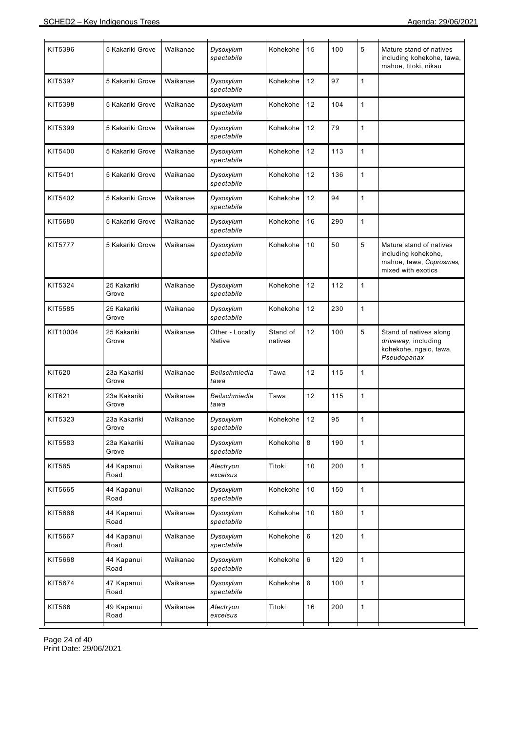| KIT5396        | 5 Kakariki Grove      | Waikanae | Dysoxylum<br>spectabile   | Kohekohe            | 15 | 100 | 5            | Mature stand of natives<br>including kohekohe, tawa,<br>mahoe, titoki, nikau                    |
|----------------|-----------------------|----------|---------------------------|---------------------|----|-----|--------------|-------------------------------------------------------------------------------------------------|
| KIT5397        | 5 Kakariki Grove      | Waikanae | Dysoxylum<br>spectabile   | Kohekohe            | 12 | 97  | $\mathbf{1}$ |                                                                                                 |
| KIT5398        | 5 Kakariki Grove      | Waikanae | Dysoxylum<br>spectabile   | Kohekohe            | 12 | 104 | $\mathbf{1}$ |                                                                                                 |
| KIT5399        | 5 Kakariki Grove      | Waikanae | Dysoxylum<br>spectabile   | Kohekohe            | 12 | 79  | $\mathbf{1}$ |                                                                                                 |
| KIT5400        | 5 Kakariki Grove      | Waikanae | Dysoxylum<br>spectabile   | Kohekohe            | 12 | 113 | $\mathbf{1}$ |                                                                                                 |
| KIT5401        | 5 Kakariki Grove      | Waikanae | Dysoxylum<br>spectabile   | Kohekohe            | 12 | 136 | $\mathbf{1}$ |                                                                                                 |
| KIT5402        | 5 Kakariki Grove      | Waikanae | Dysoxylum<br>spectabile   | Kohekohe            | 12 | 94  | $\mathbf{1}$ |                                                                                                 |
| KIT5680        | 5 Kakariki Grove      | Waikanae | Dysoxylum<br>spectabile   | Kohekohe            | 16 | 290 | $\mathbf{1}$ |                                                                                                 |
| <b>KIT5777</b> | 5 Kakariki Grove      | Waikanae | Dysoxylum<br>spectabile   | Kohekohe            | 10 | 50  | 5            | Mature stand of natives<br>including kohekohe,<br>mahoe, tawa, Coprosmas,<br>mixed with exotics |
| KIT5324        | 25 Kakariki<br>Grove  | Waikanae | Dysoxylum<br>spectabile   | Kohekohe            | 12 | 112 | $\mathbf{1}$ |                                                                                                 |
| KIT5585        | 25 Kakariki<br>Grove  | Waikanae | Dysoxylum<br>spectabile   | Kohekohe            | 12 | 230 | 1            |                                                                                                 |
| KIT10004       | 25 Kakariki<br>Grove  | Waikanae | Other - Locally<br>Native | Stand of<br>natives | 12 | 100 | 5            | Stand of natives along<br>driveway, including<br>kohekohe, ngaio, tawa,<br>Pseudopanax          |
| KIT620         | 23a Kakariki<br>Grove | Waikanae | Beilschmiedia<br>tawa     | Tawa                | 12 | 115 | 1            |                                                                                                 |
| KIT621         | 23a Kakariki<br>Grove | Waikanae | Beilschmiedia<br>tawa     | Tawa                | 12 | 115 | $\mathbf{1}$ |                                                                                                 |
| KIT5323        | 23a Kakariki<br>Grove | Waikanae | Dysoxylum<br>spectabile   | Kohekohe            | 12 | 95  | 1            |                                                                                                 |
| KIT5583        | 23a Kakariki<br>Grove | Waikanae | Dysoxylum<br>spectabile   | Kohekohe            | 8  | 190 | $\mathbf{1}$ |                                                                                                 |
| KIT585         | 44 Kapanui<br>Road    | Waikanae | Alectryon<br>excelsus     | Titoki              | 10 | 200 | $\mathbf{1}$ |                                                                                                 |
| KIT5665        | 44 Kapanui<br>Road    | Waikanae | Dysoxylum<br>spectabile   | Kohekohe            | 10 | 150 | $\mathbf{1}$ |                                                                                                 |
| KIT5666        | 44 Kapanui<br>Road    | Waikanae | Dysoxylum<br>spectabile   | Kohekohe            | 10 | 180 | $\mathbf{1}$ |                                                                                                 |
| KIT5667        | 44 Kapanui<br>Road    | Waikanae | Dysoxylum<br>spectabile   | Kohekohe            | 6  | 120 | $\mathbf{1}$ |                                                                                                 |
| KIT5668        | 44 Kapanui<br>Road    | Waikanae | Dysoxylum<br>spectabile   | Kohekohe            | 6  | 120 | $\mathbf{1}$ |                                                                                                 |
| KIT5674        | 47 Kapanui<br>Road    | Waikanae | Dysoxylum<br>spectabile   | Kohekohe            | 8  | 100 | $\mathbf{1}$ |                                                                                                 |
| KIT586         | 49 Kapanui<br>Road    | Waikanae | Alectryon<br>excelsus     | Titoki              | 16 | 200 | $\mathbf{1}$ |                                                                                                 |
|                |                       |          |                           |                     |    |     |              |                                                                                                 |

Page 24 of 40 Print Date: 29/06/2021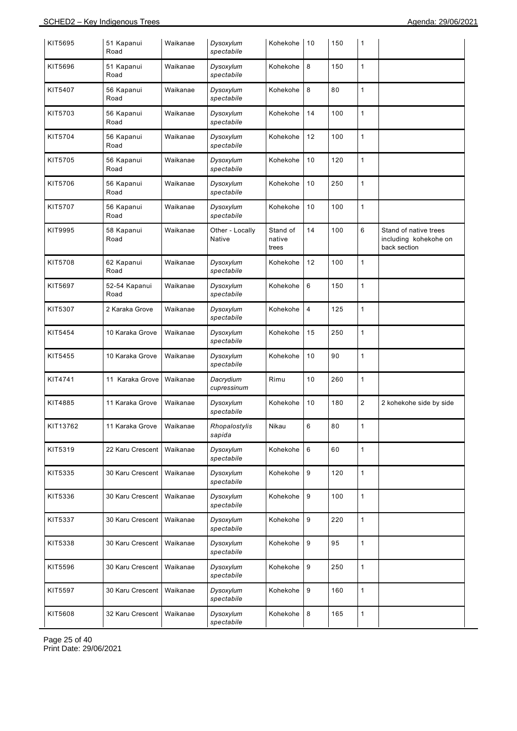| KIT5695  | 51 Kapanui<br>Road    | Waikanae | Dysoxylum<br>spectabile          | Kohekohe                    | 10             | 150 | 1              |                                                                |
|----------|-----------------------|----------|----------------------------------|-----------------------------|----------------|-----|----------------|----------------------------------------------------------------|
| KIT5696  | 51 Kapanui<br>Road    | Waikanae | Dysoxylum<br>spectabile          | Kohekohe                    | 8              | 150 | $\mathbf{1}$   |                                                                |
| KIT5407  | 56 Kapanui<br>Road    | Waikanae | Dysoxylum<br>spectabile          | Kohekohe                    | 8              | 80  | 1              |                                                                |
| KIT5703  | 56 Kapanui<br>Road    | Waikanae | Dysoxylum<br>spectabile          | Kohekohe                    | 14             | 100 | $\mathbf{1}$   |                                                                |
| KIT5704  | 56 Kapanui<br>Road    | Waikanae | Dysoxylum<br>spectabile          | Kohekohe                    | 12             | 100 | $\mathbf{1}$   |                                                                |
| KIT5705  | 56 Kapanui<br>Road    | Waikanae | Dysoxylum<br>spectabile          | Kohekohe                    | 10             | 120 | $\mathbf{1}$   |                                                                |
| KIT5706  | 56 Kapanui<br>Road    | Waikanae | Dysoxylum<br>spectabile          | Kohekohe                    | 10             | 250 | $\mathbf{1}$   |                                                                |
| KIT5707  | 56 Kapanui<br>Road    | Waikanae | Dysoxylum<br>spectabile          | Kohekohe                    | 10             | 100 | $\mathbf{1}$   |                                                                |
| KIT9995  | 58 Kapanui<br>Road    | Waikanae | Other - Locally<br><b>Native</b> | Stand of<br>native<br>trees | 14             | 100 | 6              | Stand of native trees<br>including kohekohe on<br>back section |
| KIT5708  | 62 Kapanui<br>Road    | Waikanae | Dysoxylum<br>spectabile          | Kohekohe                    | 12             | 100 | $\mathbf{1}$   |                                                                |
| KIT5697  | 52-54 Kapanui<br>Road | Waikanae | Dysoxylum<br>spectabile          | Kohekohe                    | 6              | 150 | $\mathbf{1}$   |                                                                |
| KIT5307  | 2 Karaka Grove        | Waikanae | Dysoxylum<br>spectabile          | Kohekohe                    | $\overline{4}$ | 125 | $\mathbf{1}$   |                                                                |
| KIT5454  | 10 Karaka Grove       | Waikanae | Dysoxylum<br>spectabile          | Kohekohe                    | 15             | 250 | $\mathbf{1}$   |                                                                |
| KIT5455  | 10 Karaka Grove       | Waikanae | Dysoxylum<br>spectabile          | Kohekohe                    | 10             | 90  | $\mathbf{1}$   |                                                                |
| KIT4741  | 11 Karaka Grove       | Waikanae | Dacrydium<br>cupressinum         | Rimu                        | 10             | 260 | $\mathbf{1}$   |                                                                |
| KIT4885  | 11 Karaka Grove       | Waikanae | Dysoxylum<br>spectabile          | Kohekohe                    | 10             | 180 | $\overline{2}$ | 2 kohekohe side by side                                        |
| KIT13762 | 11 Karaka Grove       | Waikanae | Rhopalostylis<br>sapida          | Nikau                       | 6              | 80  | $\mathbf{1}$   |                                                                |
| KIT5319  | 22 Karu Crescent      | Waikanae | Dysoxylum<br>spectabile          | Kohekohe                    | 6              | 60  | $\mathbf{1}$   |                                                                |
| KIT5335  | 30 Karu Crescent      | Waikanae | Dysoxylum<br>spectabile          | Kohekohe                    | 9              | 120 | $\mathbf{1}$   |                                                                |
| KIT5336  | 30 Karu Crescent      | Waikanae | Dysoxylum<br>spectabile          | Kohekohe                    | 9              | 100 | $\mathbf{1}$   |                                                                |
| KIT5337  | 30 Karu Crescent      | Waikanae | Dysoxylum<br>spectabile          | Kohekohe                    | 9              | 220 | $\mathbf{1}$   |                                                                |
| KIT5338  | 30 Karu Crescent      | Waikanae | Dysoxylum<br>spectabile          | Kohekohe                    | 9              | 95  | $\mathbf{1}$   |                                                                |
| KIT5596  | 30 Karu Crescent      | Waikanae | Dysoxylum<br>spectabile          | Kohekohe                    | 9              | 250 | $\mathbf{1}$   |                                                                |
| KIT5597  | 30 Karu Crescent      | Waikanae | Dysoxylum<br>spectabile          | Kohekohe                    | 9              | 160 | $\mathbf{1}$   |                                                                |
| KIT5608  | 32 Karu Crescent      | Waikanae | Dysoxylum<br>spectabile          | Kohekohe                    | 8              | 165 | $\mathbf{1}$   |                                                                |

Page 25 of 40 Print Date: 29/06/2021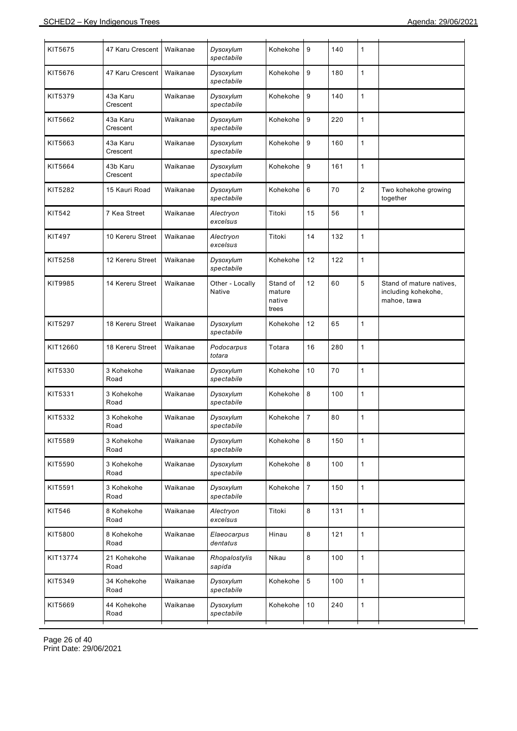| KIT5675       | 47 Karu Crescent     | Waikanae | Dysoxylum<br>spectabile          | Kohekohe                              | 9                | 140 | $\mathbf{1}$   |                                                                |
|---------------|----------------------|----------|----------------------------------|---------------------------------------|------------------|-----|----------------|----------------------------------------------------------------|
| KIT5676       | 47 Karu Crescent     | Waikanae | Dysoxylum<br>spectabile          | Kohekohe                              | $9\,$            | 180 | 1              |                                                                |
| KIT5379       | 43a Karu<br>Crescent | Waikanae | Dysoxylum<br>spectabile          | Kohekohe                              | 9                | 140 | $\mathbf{1}$   |                                                                |
| KIT5662       | 43a Karu<br>Crescent | Waikanae | Dysoxylum<br>spectabile          | Kohekohe                              | $\boldsymbol{9}$ | 220 | 1              |                                                                |
| KIT5663       | 43a Karu<br>Crescent | Waikanae | Dysoxylum<br>spectabile          | Kohekohe                              | 9                | 160 | $\mathbf{1}$   |                                                                |
| KIT5664       | 43b Karu<br>Crescent | Waikanae | Dysoxylum<br>spectabile          | Kohekohe                              | $9\,$            | 161 | $\mathbf{1}$   |                                                                |
| KIT5282       | 15 Kauri Road        | Waikanae | Dysoxylum<br>spectabile          | Kohekohe                              | 6                | 70  | $\overline{2}$ | Two kohekohe growing<br>together                               |
| <b>KIT542</b> | 7 Kea Street         | Waikanae | Alectryon<br>excelsus            | Titoki                                | 15               | 56  | 1              |                                                                |
| <b>KIT497</b> | 10 Kereru Street     | Waikanae | Alectryon<br>excelsus            | Titoki                                | 14               | 132 | $\mathbf{1}$   |                                                                |
| KIT5258       | 12 Kereru Street     | Waikanae | Dysoxylum<br>spectabile          | Kohekohe                              | 12               | 122 | 1              |                                                                |
| KIT9985       | 14 Kereru Street     | Waikanae | Other - Locally<br><b>Native</b> | Stand of<br>mature<br>native<br>trees | 12               | 60  | 5              | Stand of mature natives,<br>including kohekohe,<br>mahoe, tawa |
| KIT5297       | 18 Kereru Street     | Waikanae | Dysoxylum<br>spectabile          | Kohekohe                              | 12               | 65  | 1              |                                                                |
| KIT12660      | 18 Kereru Street     | Waikanae | Podocarpus<br>totara             | Totara                                | 16               | 280 | 1              |                                                                |
| KIT5330       | 3 Kohekohe<br>Road   | Waikanae | Dysoxylum<br>spectabile          | Kohekohe                              | 10               | 70  | 1              |                                                                |
| KIT5331       | 3 Kohekohe<br>Road   | Waikanae | Dysoxylum<br>spectabile          | Kohekohe                              | $\,8\,$          | 100 | 1              |                                                                |
| KIT5332       | 3 Kohekohe<br>Road   | Waikanae | Dysoxylum<br>spectabile          | Kohekohe                              | $\overline{7}$   | 80  | 1              |                                                                |
| KIT5589       | 3 Kohekohe<br>Road   | Waikanae | Dysoxylum<br>spectabile          | Kohekohe                              | 8                | 150 | $\mathbf{1}$   |                                                                |
| KIT5590       | 3 Kohekohe<br>Road   | Waikanae | Dysoxylum<br>spectabile          | Kohekohe                              | $\,8\,$          | 100 | $\mathbf{1}$   |                                                                |
| KIT5591       | 3 Kohekohe<br>Road   | Waikanae | Dysoxylum<br>spectabile          | Kohekohe                              | $\overline{7}$   | 150 | $\mathbf{1}$   |                                                                |
| KIT546        | 8 Kohekohe<br>Road   | Waikanae | Alectryon<br>excelsus            | Titoki                                | $\,8\,$          | 131 | $\mathbf{1}$   |                                                                |
| KIT5800       | 8 Kohekohe<br>Road   | Waikanae | Elaeocarpus<br>dentatus          | Hinau                                 | $\,8\,$          | 121 | $\mathbf{1}$   |                                                                |
| KIT13774      | 21 Kohekohe<br>Road  | Waikanae | Rhopalostylis<br>sapida          | Nikau                                 | 8                | 100 | $\mathbf{1}$   |                                                                |
| KIT5349       | 34 Kohekohe<br>Road  | Waikanae | Dysoxylum<br>spectabile          | Kohekohe                              | $\sqrt{5}$       | 100 | $\mathbf{1}$   |                                                                |
| KIT5669       | 44 Kohekohe<br>Road  | Waikanae | Dysoxylum<br>spectabile          | Kohekohe                              | 10               | 240 | $\mathbf{1}$   |                                                                |
|               |                      |          |                                  |                                       |                  |     |                |                                                                |

Page 26 of 40 Print Date: 29/06/2021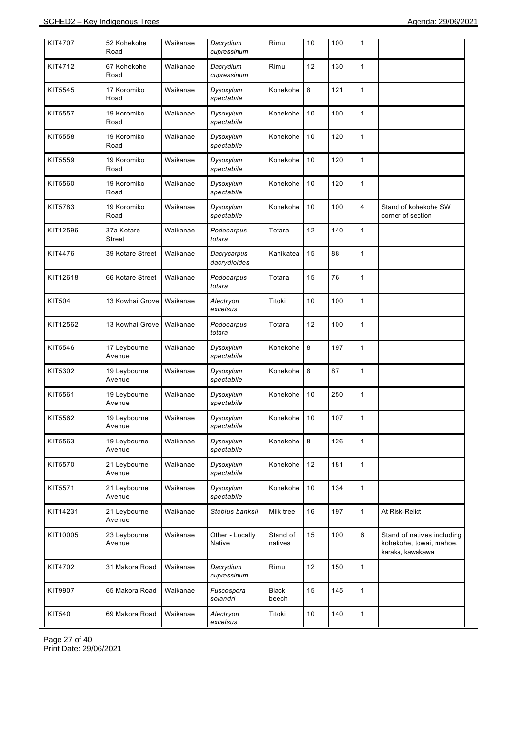| KIT4707       | 52 Kohekohe<br>Road    | Waikanae | Dacrydium<br>cupressinum    | Rimu                  | 10 | 100 | 1              |                                                                           |
|---------------|------------------------|----------|-----------------------------|-----------------------|----|-----|----------------|---------------------------------------------------------------------------|
| KIT4712       | 67 Kohekohe<br>Road    | Waikanae | Dacrydium<br>cupressinum    | Rimu                  | 12 | 130 | 1              |                                                                           |
| KIT5545       | 17 Koromiko<br>Road    | Waikanae | Dysoxylum<br>spectabile     | Kohekohe              | 8  | 121 | $\mathbf{1}$   |                                                                           |
| KIT5557       | 19 Koromiko<br>Road    | Waikanae | Dysoxylum<br>spectabile     | Kohekohe              | 10 | 100 | 1              |                                                                           |
| KIT5558       | 19 Koromiko<br>Road    | Waikanae | Dysoxylum<br>spectabile     | Kohekohe              | 10 | 120 | $\mathbf{1}$   |                                                                           |
| KIT5559       | 19 Koromiko<br>Road    | Waikanae | Dysoxylum<br>spectabile     | Kohekohe              | 10 | 120 | 1              |                                                                           |
| KIT5560       | 19 Koromiko<br>Road    | Waikanae | Dysoxylum<br>spectabile     | Kohekohe              | 10 | 120 | 1              |                                                                           |
| KIT5783       | 19 Koromiko<br>Road    | Waikanae | Dysoxylum<br>spectabile     | Kohekohe              | 10 | 100 | $\overline{4}$ | Stand of kohekohe SW<br>corner of section                                 |
| KIT12596      | 37a Kotare<br>Street   | Waikanae | Podocarpus<br>totara        | Totara                | 12 | 140 | 1              |                                                                           |
| KIT4476       | 39 Kotare Street       | Waikanae | Dacrycarpus<br>dacrydioides | Kahikatea             | 15 | 88  | 1              |                                                                           |
| KIT12618      | 66 Kotare Street       | Waikanae | Podocarpus<br>totara        | Totara                | 15 | 76  | 1              |                                                                           |
| <b>KIT504</b> | 13 Kowhai Grove        | Waikanae | Alectryon<br>excelsus       | Titoki                | 10 | 100 | $\mathbf{1}$   |                                                                           |
| KIT12562      | 13 Kowhai Grove        | Waikanae | Podocarpus<br>totara        | Totara                | 12 | 100 | $\mathbf{1}$   |                                                                           |
| KIT5546       | 17 Leybourne<br>Avenue | Waikanae | Dysoxylum<br>spectabile     | Kohekohe              | 8  | 197 | 1              |                                                                           |
| KIT5302       | 19 Leybourne<br>Avenue | Waikanae | Dysoxylum<br>spectabile     | Kohekohe              | 8  | 87  | $\mathbf{1}$   |                                                                           |
| KIT5561       | 19 Leybourne<br>Avenue | Waikanae | Dysoxylum<br>spectabile     | Kohekohe              | 10 | 250 | 1              |                                                                           |
| KIT5562       | 19 Leybourne<br>Avenue | Waikanae | Dysoxylum<br>spectabile     | Kohekohe              | 10 | 107 | $\mathbf{1}$   |                                                                           |
| KIT5563       | 19 Leybourne<br>Avenue | Waikanae | Dysoxylum<br>spectabile     | Kohekohe              | 8  | 126 | $\mathbf{1}$   |                                                                           |
| KIT5570       | 21 Leybourne<br>Avenue | Waikanae | Dysoxylum<br>spectabile     | Kohekohe              | 12 | 181 | $\mathbf{1}$   |                                                                           |
| KIT5571       | 21 Leybourne<br>Avenue | Waikanae | Dysoxylum<br>spectabile     | Kohekohe              | 10 | 134 | $\mathbf{1}$   |                                                                           |
| KIT14231      | 21 Leybourne<br>Avenue | Waikanae | Steblus banksii             | Milk tree             | 16 | 197 | $\mathbf{1}$   | At Risk-Relict                                                            |
| KIT10005      | 23 Leybourne<br>Avenue | Waikanae | Other - Locally<br>Native   | Stand of<br>natives   | 15 | 100 | 6              | Stand of natives including<br>kohekohe, towai, mahoe,<br>karaka, kawakawa |
| KIT4702       | 31 Makora Road         | Waikanae | Dacrydium<br>cupressinum    | Rimu                  | 12 | 150 | $\mathbf{1}$   |                                                                           |
| KIT9907       | 65 Makora Road         | Waikanae | Fuscospora<br>solandri      | <b>Black</b><br>beech | 15 | 145 | $\mathbf{1}$   |                                                                           |
| KIT540        | 69 Makora Road         | Waikanae | Alectryon<br>excelsus       | Titoki                | 10 | 140 | $\mathbf{1}$   |                                                                           |

Page 27 of 40 Print Date: 29/06/2021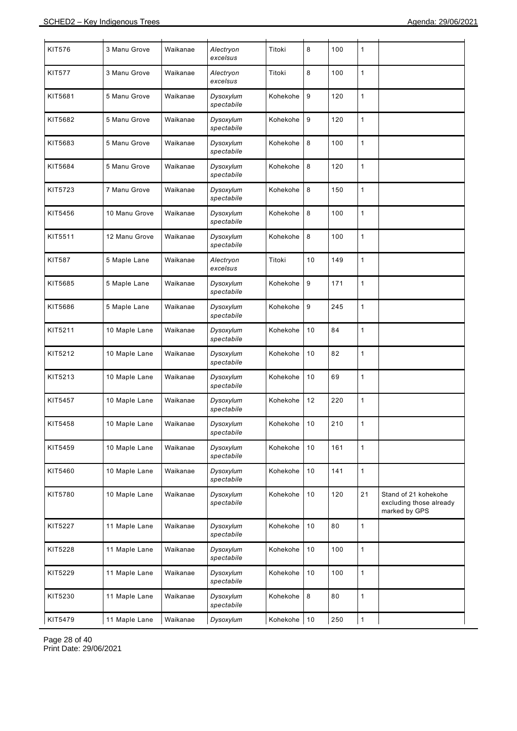| <b>KIT576</b> | 3 Manu Grove  | Waikanae | Alectryon<br>excelsus   | Titoki   | 8  | 100 | 1            |                                                                  |
|---------------|---------------|----------|-------------------------|----------|----|-----|--------------|------------------------------------------------------------------|
| <b>KIT577</b> | 3 Manu Grove  | Waikanae | Alectryon<br>excelsus   | Titoki   | 8  | 100 | 1            |                                                                  |
| KIT5681       | 5 Manu Grove  | Waikanae | Dysoxylum<br>spectabile | Kohekohe | 9  | 120 | $\mathbf{1}$ |                                                                  |
| KIT5682       | 5 Manu Grove  | Waikanae | Dysoxylum<br>spectabile | Kohekohe | 9  | 120 | 1            |                                                                  |
| KIT5683       | 5 Manu Grove  | Waikanae | Dysoxylum<br>spectabile | Kohekohe | 8  | 100 | 1            |                                                                  |
| KIT5684       | 5 Manu Grove  | Waikanae | Dysoxylum<br>spectabile | Kohekohe | 8  | 120 | 1            |                                                                  |
| KIT5723       | 7 Manu Grove  | Waikanae | Dysoxylum<br>spectabile | Kohekohe | 8  | 150 | 1            |                                                                  |
| KIT5456       | 10 Manu Grove | Waikanae | Dysoxylum<br>spectabile | Kohekohe | 8  | 100 | 1            |                                                                  |
| KIT5511       | 12 Manu Grove | Waikanae | Dysoxylum<br>spectabile | Kohekohe | 8  | 100 | 1            |                                                                  |
| <b>KIT587</b> | 5 Maple Lane  | Waikanae | Alectryon<br>excelsus   | Titoki   | 10 | 149 | 1            |                                                                  |
| KIT5685       | 5 Maple Lane  | Waikanae | Dysoxylum<br>spectabile | Kohekohe | 9  | 171 | 1            |                                                                  |
| KIT5686       | 5 Maple Lane  | Waikanae | Dysoxylum<br>spectabile | Kohekohe | 9  | 245 | 1            |                                                                  |
| KIT5211       | 10 Maple Lane | Waikanae | Dysoxylum<br>spectabile | Kohekohe | 10 | 84  | 1            |                                                                  |
| KIT5212       | 10 Maple Lane | Waikanae | Dysoxylum<br>spectabile | Kohekohe | 10 | 82  | 1            |                                                                  |
| KIT5213       | 10 Maple Lane | Waikanae | Dysoxylum<br>spectabile | Kohekohe | 10 | 69  | 1            |                                                                  |
| KIT5457       | 10 Maple Lane | Waikanae | Dysoxylum<br>spectabile | Kohekohe | 12 | 220 | 1            |                                                                  |
| KIT5458       | 10 Maple Lane | Waikanae | Dysoxylum<br>spectabile | Kohekohe | 10 | 210 | 1            |                                                                  |
| KIT5459       | 10 Maple Lane | Waikanae | Dysoxylum<br>spectabile | Kohekohe | 10 | 161 | $\mathbf{1}$ |                                                                  |
| KIT5460       | 10 Maple Lane | Waikanae | Dysoxylum<br>spectabile | Kohekohe | 10 | 141 | $\mathbf{1}$ |                                                                  |
| KIT5780       | 10 Maple Lane | Waikanae | Dysoxylum<br>spectabile | Kohekohe | 10 | 120 | 21           | Stand of 21 kohekohe<br>excluding those already<br>marked by GPS |
| KIT5227       | 11 Maple Lane | Waikanae | Dysoxylum<br>spectabile | Kohekohe | 10 | 80  | 1            |                                                                  |
| KIT5228       | 11 Maple Lane | Waikanae | Dysoxylum<br>spectabile | Kohekohe | 10 | 100 | 1            |                                                                  |
| KIT5229       | 11 Maple Lane | Waikanae | Dysoxylum<br>spectabile | Kohekohe | 10 | 100 | 1            |                                                                  |
| KIT5230       | 11 Maple Lane | Waikanae | Dysoxylum<br>spectabile | Kohekohe | 8  | 80  | 1            |                                                                  |
| KIT5479       | 11 Maple Lane | Waikanae | Dysoxylum               | Kohekohe | 10 | 250 | 1            |                                                                  |

Page 28 of 40 Print Date: 29/06/2021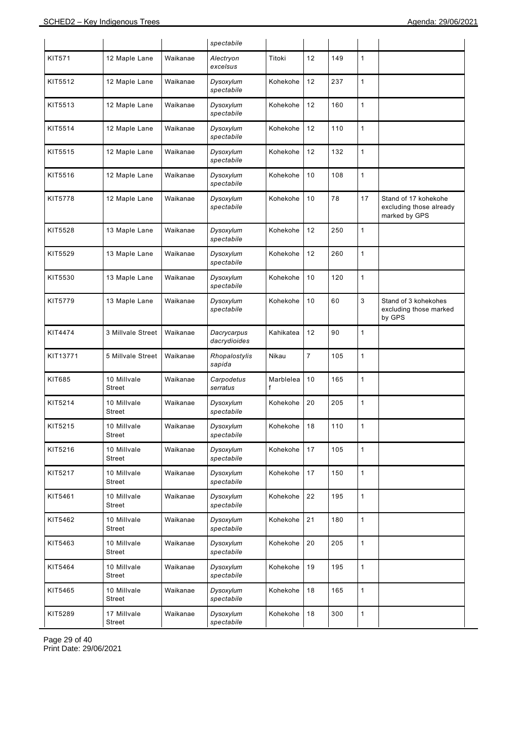|               |                       |          | spectabile                  |                |                |     |              |                                                                  |
|---------------|-----------------------|----------|-----------------------------|----------------|----------------|-----|--------------|------------------------------------------------------------------|
| <b>KIT571</b> | 12 Maple Lane         | Waikanae | Alectryon<br>excelsus       | Titoki         | 12             | 149 | 1            |                                                                  |
| KIT5512       | 12 Maple Lane         | Waikanae | Dysoxylum<br>spectabile     | Kohekohe       | 12             | 237 | $\mathbf{1}$ |                                                                  |
| KIT5513       | 12 Maple Lane         | Waikanae | Dysoxylum<br>spectabile     | Kohekohe       | 12             | 160 | $\mathbf{1}$ |                                                                  |
| KIT5514       | 12 Maple Lane         | Waikanae | Dysoxylum<br>spectabile     | Kohekohe       | 12             | 110 | $\mathbf{1}$ |                                                                  |
| KIT5515       | 12 Maple Lane         | Waikanae | Dysoxylum<br>spectabile     | Kohekohe       | 12             | 132 | $\mathbf{1}$ |                                                                  |
| KIT5516       | 12 Maple Lane         | Waikanae | Dysoxylum<br>spectabile     | Kohekohe       | 10             | 108 | $\mathbf{1}$ |                                                                  |
| KIT5778       | 12 Maple Lane         | Waikanae | Dysoxylum<br>spectabile     | Kohekohe       | 10             | 78  | 17           | Stand of 17 kohekohe<br>excluding those already<br>marked by GPS |
| KIT5528       | 13 Maple Lane         | Waikanae | Dysoxylum<br>spectabile     | Kohekohe       | 12             | 250 | 1            |                                                                  |
| KIT5529       | 13 Maple Lane         | Waikanae | Dysoxylum<br>spectabile     | Kohekohe       | 12             | 260 | $\mathbf{1}$ |                                                                  |
| KIT5530       | 13 Maple Lane         | Waikanae | Dysoxylum<br>spectabile     | Kohekohe       | 10             | 120 | 1            |                                                                  |
| KIT5779       | 13 Maple Lane         | Waikanae | Dysoxylum<br>spectabile     | Kohekohe       | 10             | 60  | 3            | Stand of 3 kohekohes<br>excluding those marked<br>by GPS         |
| KIT4474       | 3 Millvale Street     | Waikanae | Dacrycarpus<br>dacrydioides | Kahikatea      | 12             | 90  | 1            |                                                                  |
| KIT13771      | 5 Millvale Street     | Waikanae | Rhopalostylis<br>sapida     | Nikau          | $\overline{7}$ | 105 | $\mathbf{1}$ |                                                                  |
| KIT685        | 10 Millvale<br>Street | Waikanae | Carpodetus<br>serratus      | Marblelea<br>f | 10             | 165 | $\mathbf{1}$ |                                                                  |
| KIT5214       | 10 Millvale<br>Street | Waikanae | Dysoxylum<br>spectabile     | Kohekohe       | 20             | 205 | $\mathbf{1}$ |                                                                  |
| KIT5215       | 10 Millvale<br>Street | Waikanae | Dysoxylum<br>spectabile     | Kohekohe       | 18             | 110 | $\mathbf{1}$ |                                                                  |
| KIT5216       | 10 Millvale<br>Street | Waikanae | Dysoxylum<br>spectabile     | Kohekohe       | 17             | 105 | $\mathbf{1}$ |                                                                  |
| KIT5217       | 10 Millvale<br>Street | Waikanae | Dysoxylum<br>spectabile     | Kohekohe       | 17             | 150 | $\mathbf{1}$ |                                                                  |
| KIT5461       | 10 Millvale<br>Street | Waikanae | Dysoxylum<br>spectabile     | Kohekohe       | 22             | 195 | $\mathbf{1}$ |                                                                  |
| KIT5462       | 10 Millvale<br>Street | Waikanae | Dysoxylum<br>spectabile     | Kohekohe       | 21             | 180 | $\mathbf{1}$ |                                                                  |
| KIT5463       | 10 Millvale<br>Street | Waikanae | Dysoxylum<br>spectabile     | Kohekohe       | 20             | 205 | $\mathbf{1}$ |                                                                  |
| KIT5464       | 10 Millvale<br>Street | Waikanae | Dysoxylum<br>spectabile     | Kohekohe       | 19             | 195 | $\mathbf{1}$ |                                                                  |
| KIT5465       | 10 Millvale<br>Street | Waikanae | Dysoxylum<br>spectabile     | Kohekohe       | 18             | 165 | $\mathbf{1}$ |                                                                  |
| KIT5289       | 17 Millvale<br>Street | Waikanae | Dysoxylum<br>spectabile     | Kohekohe       | 18             | 300 | $\mathbf{1}$ |                                                                  |

Page 29 of 40 Print Date: 29/06/2021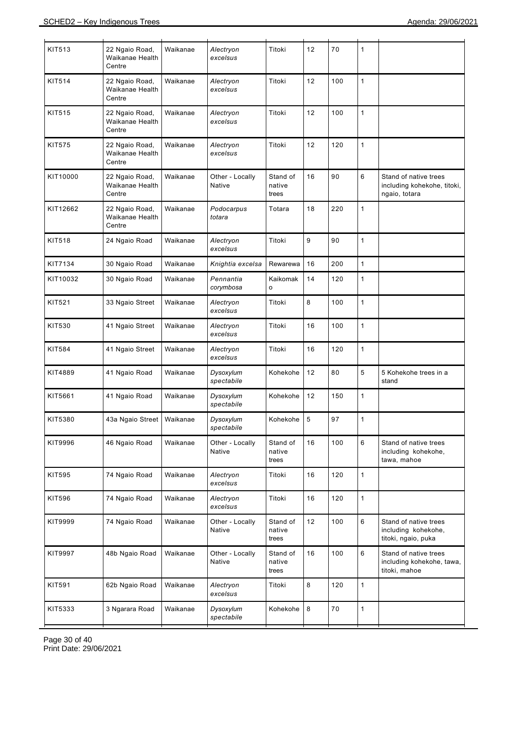| KIT513        | 22 Ngaio Road,<br>Waikanae Health<br>Centre | Waikanae | Alectryon<br>excelsus     | Titoki                      | 12 | $70$ | 1            |                                                                       |
|---------------|---------------------------------------------|----------|---------------------------|-----------------------------|----|------|--------------|-----------------------------------------------------------------------|
| <b>KIT514</b> | 22 Ngaio Road,<br>Waikanae Health<br>Centre | Waikanae | Alectryon<br>excelsus     | Titoki                      | 12 | 100  | $\mathbf{1}$ |                                                                       |
| <b>KIT515</b> | 22 Ngaio Road,<br>Waikanae Health<br>Centre | Waikanae | Alectryon<br>excelsus     | Titoki                      | 12 | 100  | $\mathbf{1}$ |                                                                       |
| <b>KIT575</b> | 22 Ngaio Road,<br>Waikanae Health<br>Centre | Waikanae | Alectryon<br>excelsus     | Titoki                      | 12 | 120  | $\mathbf{1}$ |                                                                       |
| KIT10000      | 22 Ngaio Road,<br>Waikanae Health<br>Centre | Waikanae | Other - Locally<br>Native | Stand of<br>native<br>trees | 16 | 90   | 6            | Stand of native trees<br>including kohekohe, titoki,<br>ngaio, totara |
| KIT12662      | 22 Ngaio Road,<br>Waikanae Health<br>Centre | Waikanae | Podocarpus<br>totara      | Totara                      | 18 | 220  | $\mathbf{1}$ |                                                                       |
| <b>KIT518</b> | 24 Ngaio Road                               | Waikanae | Alectryon<br>excelsus     | Titoki                      | 9  | 90   | $\mathbf{1}$ |                                                                       |
| KIT7134       | 30 Ngaio Road                               | Waikanae | Knightia excelsa          | Rewarewa                    | 16 | 200  | $\mathbf{1}$ |                                                                       |
| KIT10032      | 30 Ngaio Road                               | Waikanae | Pennantia<br>corymbosa    | Kaikomak<br>o               | 14 | 120  | $\mathbf{1}$ |                                                                       |
| <b>KIT521</b> | 33 Ngaio Street                             | Waikanae | Alectryon<br>excelsus     | Titoki                      | 8  | 100  | $\mathbf{1}$ |                                                                       |
| KIT530        | 41 Ngaio Street                             | Waikanae | Alectryon<br>excelsus     | Titoki                      | 16 | 100  | $\mathbf{1}$ |                                                                       |
| <b>KIT584</b> | 41 Ngaio Street                             | Waikanae | Alectryon<br>excelsus     | Titoki                      | 16 | 120  | $\mathbf{1}$ |                                                                       |
| KIT4889       | 41 Ngaio Road                               | Waikanae | Dysoxylum<br>spectabile   | Kohekohe                    | 12 | 80   | 5            | 5 Kohekohe trees in a<br>stand                                        |
| KIT5661       | 41 Ngaio Road                               | Waikanae | Dysoxylum<br>spectabile   | Kohekohe                    | 12 | 150  | $\mathbf{1}$ |                                                                       |
| KIT5380       | 43a Ngaio Street                            | Waikanae | Dysoxylum<br>spectabile   | Kohekohe                    | 5  | 97   | 1            |                                                                       |
| KIT9996       | 46 Ngaio Road                               | Waikanae | Other - Locally<br>Native | Stand of<br>native<br>trees | 16 | 100  | 6            | Stand of native trees<br>including kohekohe,<br>tawa, mahoe           |
| <b>KIT595</b> | 74 Ngaio Road                               | Waikanae | Alectryon<br>excelsus     | Titoki                      | 16 | 120  | $\mathbf{1}$ |                                                                       |
| KIT596        | 74 Ngaio Road                               | Waikanae | Alectryon<br>excelsus     | Titoki                      | 16 | 120  | $\mathbf{1}$ |                                                                       |
| KIT9999       | 74 Ngaio Road                               | Waikanae | Other - Locally<br>Native | Stand of<br>native<br>trees | 12 | 100  | 6            | Stand of native trees<br>including kohekohe,<br>titoki, ngaio, puka   |
| KIT9997       | 48b Ngaio Road                              | Waikanae | Other - Locally<br>Native | Stand of<br>native<br>trees | 16 | 100  | 6            | Stand of native trees<br>including kohekohe, tawa,<br>titoki, mahoe   |
| <b>KIT591</b> | 62b Ngaio Road                              | Waikanae | Alectryon<br>excelsus     | Titoki                      | 8  | 120  | $\mathbf{1}$ |                                                                       |
| KIT5333       | 3 Ngarara Road                              | Waikanae | Dysoxylum<br>spectabile   | Kohekohe                    | 8  | 70   | $\mathbf{1}$ |                                                                       |
|               |                                             |          |                           |                             |    |      |              |                                                                       |

Page 30 of 40 Print Date: 29/06/2021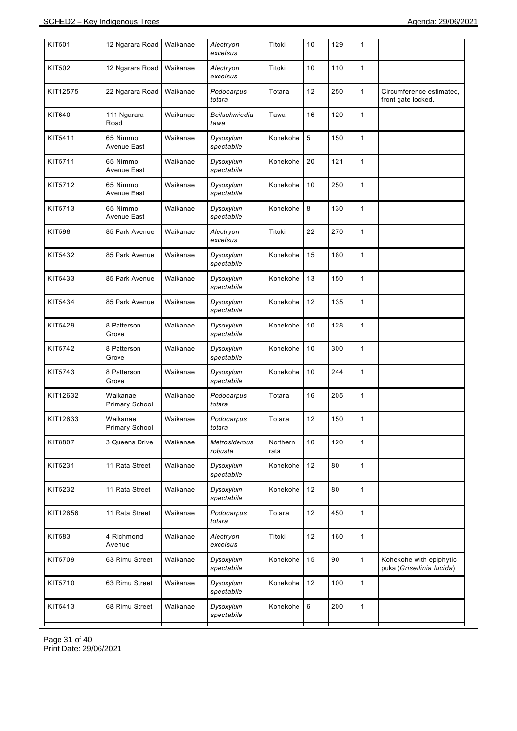| <b>KIT501</b> | 12 Ngarara Road                   | Waikanae | Alectryon<br>excelsus    | Titoki           | 10      | 129 | 1            |                                                      |
|---------------|-----------------------------------|----------|--------------------------|------------------|---------|-----|--------------|------------------------------------------------------|
| KIT502        | 12 Ngarara Road                   | Waikanae | Alectryon<br>excelsus    | Titoki           | 10      | 110 | 1            |                                                      |
| KIT12575      | 22 Ngarara Road                   | Waikanae | Podocarpus<br>totara     | Totara           | 12      | 250 | 1            | Circumference estimated,<br>front gate locked.       |
| KIT640        | 111 Ngarara<br>Road               | Waikanae | Beilschmiedia<br>tawa    | Tawa             | 16      | 120 | 1            |                                                      |
| KIT5411       | 65 Nimmo<br>Avenue East           | Waikanae | Dysoxylum<br>spectabile  | Kohekohe         | 5       | 150 | 1            |                                                      |
| KIT5711       | 65 Nimmo<br>Avenue East           | Waikanae | Dysoxylum<br>spectabile  | Kohekohe         | 20      | 121 | 1            |                                                      |
| KIT5712       | 65 Nimmo<br>Avenue East           | Waikanae | Dysoxylum<br>spectabile  | Kohekohe         | 10      | 250 | 1            |                                                      |
| KIT5713       | 65 Nimmo<br>Avenue East           | Waikanae | Dysoxylum<br>spectabile  | Kohekohe         | 8       | 130 | 1            |                                                      |
| KIT598        | 85 Park Avenue                    | Waikanae | Alectryon<br>excelsus    | Titoki           | 22      | 270 | 1            |                                                      |
| KIT5432       | 85 Park Avenue                    | Waikanae | Dysoxylum<br>spectabile  | Kohekohe         | 15      | 180 | 1            |                                                      |
| KIT5433       | 85 Park Avenue                    | Waikanae | Dysoxylum<br>spectabile  | Kohekohe         | 13      | 150 | 1            |                                                      |
| KIT5434       | 85 Park Avenue                    | Waikanae | Dysoxylum<br>spectabile  | Kohekohe         | 12      | 135 | 1            |                                                      |
| KIT5429       | 8 Patterson<br>Grove              | Waikanae | Dysoxylum<br>spectabile  | Kohekohe         | 10      | 128 | 1            |                                                      |
| KIT5742       | 8 Patterson<br>Grove              | Waikanae | Dysoxylum<br>spectabile  | Kohekohe         | 10      | 300 | 1            |                                                      |
| KIT5743       | 8 Patterson<br>Grove              | Waikanae | Dysoxylum<br>spectabile  | Kohekohe         | 10      | 244 | 1            |                                                      |
| KIT12632      | Waikanae<br><b>Primary School</b> | Waikanae | Podocarpus<br>totara     | Totara           | 16      | 205 | 1            |                                                      |
| KIT12633      | Waikanae<br><b>Primary School</b> | Waikanae | Podocarpus<br>totara     | Totara           | 12      | 150 | 1            |                                                      |
| KIT8807       | 3 Queens Drive                    | Waikanae | Metrosiderous<br>robusta | Northern<br>rata | 10      | 120 | 1            |                                                      |
| KIT5231       | 11 Rata Street                    | Waikanae | Dysoxylum<br>spectabile  | Kohekohe         | 12      | 80  | 1            |                                                      |
| KIT5232       | 11 Rata Street                    | Waikanae | Dysoxylum<br>spectabile  | Kohekohe         | 12      | 80  | 1            |                                                      |
| KIT12656      | 11 Rata Street                    | Waikanae | Podocarpus<br>totara     | Totara           | 12      | 450 | $\mathbf{1}$ |                                                      |
| KIT583        | 4 Richmond<br>Avenue              | Waikanae | Alectryon<br>excelsus    | Titoki           | 12      | 160 | 1            |                                                      |
| KIT5709       | 63 Rimu Street                    | Waikanae | Dysoxylum<br>spectabile  | Kohekohe         | 15      | 90  | $\mathbf{1}$ | Kohekohe with epiphytic<br>puka (Grisellinia lucida) |
| KIT5710       | 63 Rimu Street                    | Waikanae | Dysoxylum<br>spectabile  | Kohekohe         | 12      | 100 | 1            |                                                      |
| KIT5413       | 68 Rimu Street                    | Waikanae | Dysoxylum<br>spectabile  | Kohekohe         | $\,6\,$ | 200 | 1            |                                                      |
|               |                                   |          |                          |                  |         |     |              |                                                      |

Page 31 of 40 Print Date: 29/06/2021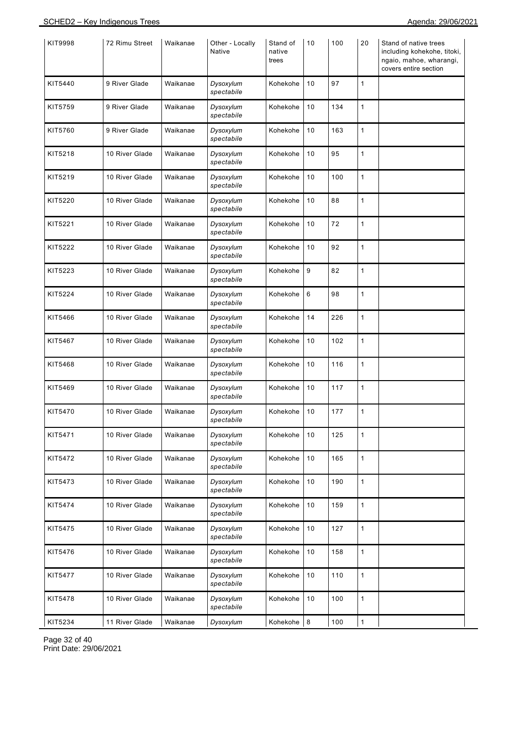| KIT9998 | 72 Rimu Street | Waikanae | Other - Locally<br>Native | Stand of<br>native<br>trees | 10   | 100 | 20           | Stand of native trees<br>including kohekohe, titoki,<br>ngaio, mahoe, wharangi,<br>covers entire section |
|---------|----------------|----------|---------------------------|-----------------------------|------|-----|--------------|----------------------------------------------------------------------------------------------------------|
| KIT5440 | 9 River Glade  | Waikanae | Dysoxylum<br>spectabile   | Kohekohe                    | 10   | 97  | $\mathbf{1}$ |                                                                                                          |
| KIT5759 | 9 River Glade  | Waikanae | Dysoxylum<br>spectabile   | Kohekohe                    | 10   | 134 | $\mathbf{1}$ |                                                                                                          |
| KIT5760 | 9 River Glade  | Waikanae | Dysoxylum<br>spectabile   | Kohekohe                    | 10   | 163 | $\mathbf{1}$ |                                                                                                          |
| KIT5218 | 10 River Glade | Waikanae | Dysoxylum<br>spectabile   | Kohekohe                    | 10   | 95  | $\mathbf{1}$ |                                                                                                          |
| KIT5219 | 10 River Glade | Waikanae | Dysoxylum<br>spectabile   | Kohekohe                    | 10   | 100 | $\mathbf{1}$ |                                                                                                          |
| KIT5220 | 10 River Glade | Waikanae | Dysoxylum<br>spectabile   | Kohekohe                    | 10   | 88  | $\mathbf{1}$ |                                                                                                          |
| KIT5221 | 10 River Glade | Waikanae | Dysoxylum<br>spectabile   | Kohekohe                    | 10   | 72  | $\mathbf{1}$ |                                                                                                          |
| KIT5222 | 10 River Glade | Waikanae | Dysoxylum<br>spectabile   | Kohekohe                    | $10$ | 92  | $\mathbf{1}$ |                                                                                                          |
| KIT5223 | 10 River Glade | Waikanae | Dysoxylum<br>spectabile   | Kohekohe                    | 9    | 82  | $\mathbf{1}$ |                                                                                                          |
| KIT5224 | 10 River Glade | Waikanae | Dysoxylum<br>spectabile   | Kohekohe                    | 6    | 98  | $\mathbf{1}$ |                                                                                                          |
| KIT5466 | 10 River Glade | Waikanae | Dysoxylum<br>spectabile   | Kohekohe                    | 14   | 226 | $\mathbf{1}$ |                                                                                                          |
| KIT5467 | 10 River Glade | Waikanae | Dysoxylum<br>spectabile   | Kohekohe                    | 10   | 102 | $\mathbf{1}$ |                                                                                                          |
| KIT5468 | 10 River Glade | Waikanae | Dysoxylum<br>spectabile   | Kohekohe                    | 10   | 116 | $\mathbf{1}$ |                                                                                                          |
| KIT5469 | 10 River Glade | Waikanae | Dysoxylum<br>spectabile   | Kohekohe                    | 10   | 117 | $\mathbf{1}$ |                                                                                                          |
| KIT5470 | 10 River Glade | Waikanae | Dysoxylum<br>spectabile   | Kohekohe                    | 10   | 177 | $\mathbf{1}$ |                                                                                                          |
| KIT5471 | 10 River Glade | Waikanae | Dysoxylum<br>spectabile   | Kohekohe                    | 10   | 125 | $\mathbf{1}$ |                                                                                                          |
| KIT5472 | 10 River Glade | Waikanae | Dysoxylum<br>spectabile   | Kohekohe                    | 10   | 165 | $\mathbf{1}$ |                                                                                                          |
| KIT5473 | 10 River Glade | Waikanae | Dysoxylum<br>spectabile   | Kohekohe                    | 10   | 190 | $\mathbf{1}$ |                                                                                                          |
| KIT5474 | 10 River Glade | Waikanae | Dysoxylum<br>spectabile   | Kohekohe                    | 10   | 159 | $\mathbf{1}$ |                                                                                                          |
| KIT5475 | 10 River Glade | Waikanae | Dysoxylum<br>spectabile   | Kohekohe                    | 10   | 127 | $\mathbf{1}$ |                                                                                                          |
| KIT5476 | 10 River Glade | Waikanae | Dysoxylum<br>spectabile   | Kohekohe                    | 10   | 158 | $\mathbf{1}$ |                                                                                                          |
| KIT5477 | 10 River Glade | Waikanae | Dysoxylum<br>spectabile   | Kohekohe                    | 10   | 110 | $\mathbf{1}$ |                                                                                                          |
| KIT5478 | 10 River Glade | Waikanae | Dysoxylum<br>spectabile   | Kohekohe                    | 10   | 100 | $\mathbf{1}$ |                                                                                                          |
| KIT5234 | 11 River Glade | Waikanae | Dysoxylum                 | Kohekohe                    | 8    | 100 | $\mathbf{1}$ |                                                                                                          |

Page 32 of 40 Print Date: 29/06/2021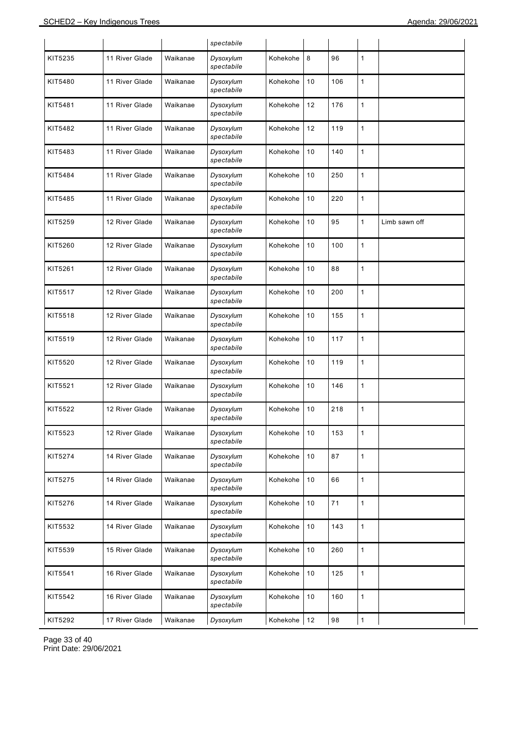|         |                |          | spectabile              |          |      |     |              |               |
|---------|----------------|----------|-------------------------|----------|------|-----|--------------|---------------|
| KIT5235 | 11 River Glade | Waikanae | Dysoxylum<br>spectabile | Kohekohe | 8    | 96  | 1            |               |
| KIT5480 | 11 River Glade | Waikanae | Dysoxylum<br>spectabile | Kohekohe | 10   | 106 | 1            |               |
| KIT5481 | 11 River Glade | Waikanae | Dysoxylum<br>spectabile | Kohekohe | 12   | 176 | 1            |               |
| KIT5482 | 11 River Glade | Waikanae | Dysoxylum<br>spectabile | Kohekohe | 12   | 119 | 1            |               |
| KIT5483 | 11 River Glade | Waikanae | Dysoxylum<br>spectabile | Kohekohe | 10   | 140 | 1            |               |
| KIT5484 | 11 River Glade | Waikanae | Dysoxylum<br>spectabile | Kohekohe | 10   | 250 | 1            |               |
| KIT5485 | 11 River Glade | Waikanae | Dysoxylum<br>spectabile | Kohekohe | 10   | 220 | 1            |               |
| KIT5259 | 12 River Glade | Waikanae | Dysoxylum<br>spectabile | Kohekohe | 10   | 95  | 1            | Limb sawn off |
| KIT5260 | 12 River Glade | Waikanae | Dysoxylum<br>spectabile | Kohekohe | 10   | 100 | 1            |               |
| KIT5261 | 12 River Glade | Waikanae | Dysoxylum<br>spectabile | Kohekohe | 10   | 88  | 1            |               |
| KIT5517 | 12 River Glade | Waikanae | Dysoxylum<br>spectabile | Kohekohe | 10   | 200 | 1            |               |
| KIT5518 | 12 River Glade | Waikanae | Dysoxylum<br>spectabile | Kohekohe | 10   | 155 | 1            |               |
| KIT5519 | 12 River Glade | Waikanae | Dysoxylum<br>spectabile | Kohekohe | 10   | 117 | 1            |               |
| KIT5520 | 12 River Glade | Waikanae | Dysoxylum<br>spectabile | Kohekohe | 10   | 119 | 1            |               |
| KIT5521 | 12 River Glade | Waikanae | Dysoxylum<br>spectabile | Kohekohe | 10   | 146 | 1            |               |
| KIT5522 | 12 River Glade | Waikanae | Dysoxylum<br>spectabile | Kohekohe | 10   | 218 | 1            |               |
| KIT5523 | 12 River Glade | Waikanae | Dysoxylum<br>spectabile | Kohekohe | 10   | 153 | 1            |               |
| KIT5274 | 14 River Glade | Waikanae | Dysoxylum<br>spectabile | Kohekohe | 10   | 87  | $\mathbf{1}$ |               |
| KIT5275 | 14 River Glade | Waikanae | Dysoxylum<br>spectabile | Kohekohe | 10   | 66  | 1            |               |
| KIT5276 | 14 River Glade | Waikanae | Dysoxylum<br>spectabile | Kohekohe | 10   | 71  | $\mathbf{1}$ |               |
| KIT5532 | 14 River Glade | Waikanae | Dysoxylum<br>spectabile | Kohekohe | 10   | 143 | 1            |               |
| KIT5539 | 15 River Glade | Waikanae | Dysoxylum<br>spectabile | Kohekohe | 10   | 260 | $\mathbf{1}$ |               |
| KIT5541 | 16 River Glade | Waikanae | Dysoxylum<br>spectabile | Kohekohe | 10   | 125 | 1            |               |
| KIT5542 | 16 River Glade | Waikanae | Dysoxylum<br>spectabile | Kohekohe | 10   | 160 | 1            |               |
| KIT5292 | 17 River Glade | Waikanae | Dysoxylum               | Kohekohe | $12$ | 98  | 1            |               |

Page 33 of 40 Print Date: 29/06/2021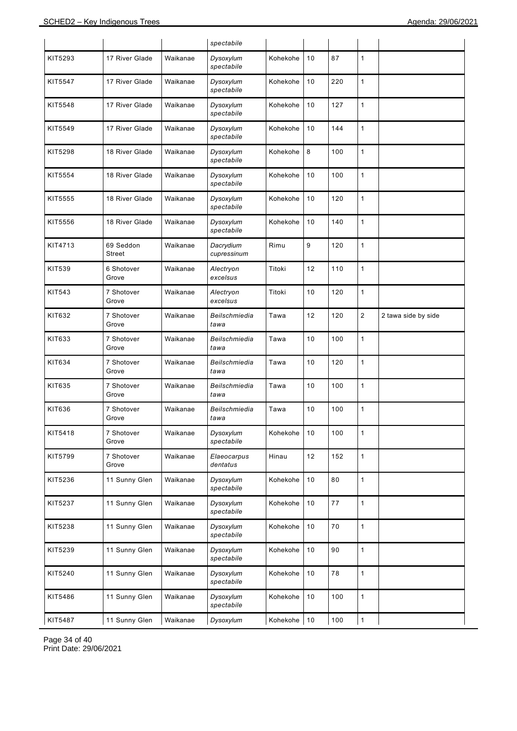|               |                     |          | spectabile               |          |      |     |                |                     |
|---------------|---------------------|----------|--------------------------|----------|------|-----|----------------|---------------------|
| KIT5293       | 17 River Glade      | Waikanae | Dysoxylum<br>spectabile  | Kohekohe | 10   | 87  | $\mathbf{1}$   |                     |
| KIT5547       | 17 River Glade      | Waikanae | Dysoxylum<br>spectabile  | Kohekohe | 10   | 220 | $\mathbf{1}$   |                     |
| KIT5548       | 17 River Glade      | Waikanae | Dysoxylum<br>spectabile  | Kohekohe | 10   | 127 | $\mathbf{1}$   |                     |
| KIT5549       | 17 River Glade      | Waikanae | Dysoxylum<br>spectabile  | Kohekohe | 10   | 144 | $\mathbf{1}$   |                     |
| KIT5298       | 18 River Glade      | Waikanae | Dysoxylum<br>spectabile  | Kohekohe | 8    | 100 | $\mathbf{1}$   |                     |
| KIT5554       | 18 River Glade      | Waikanae | Dysoxylum<br>spectabile  | Kohekohe | 10   | 100 | $\mathbf{1}$   |                     |
| KIT5555       | 18 River Glade      | Waikanae | Dysoxylum<br>spectabile  | Kohekohe | 10   | 120 | $\mathbf{1}$   |                     |
| KIT5556       | 18 River Glade      | Waikanae | Dysoxylum<br>spectabile  | Kohekohe | 10   | 140 | $\mathbf{1}$   |                     |
| KIT4713       | 69 Seddon<br>Street | Waikanae | Dacrydium<br>cupressinum | Rimu     | 9    | 120 | $\mathbf{1}$   |                     |
| <b>KIT539</b> | 6 Shotover<br>Grove | Waikanae | Alectryon<br>excelsus    | Titoki   | 12   | 110 | 1              |                     |
| KIT543        | 7 Shotover<br>Grove | Waikanae | Alectryon<br>excelsus    | Titoki   | 10   | 120 | $\mathbf{1}$   |                     |
| KIT632        | 7 Shotover<br>Grove | Waikanae | Beilschmiedia<br>tawa    | Tawa     | 12   | 120 | $\overline{2}$ | 2 tawa side by side |
| KIT633        | 7 Shotover<br>Grove | Waikanae | Beilschmiedia<br>tawa    | Tawa     | 10   | 100 | $\mathbf{1}$   |                     |
| KIT634        | 7 Shotover<br>Grove | Waikanae | Beilschmiedia<br>tawa    | Tawa     | 10   | 120 | 1              |                     |
| KIT635        | 7 Shotover<br>Grove | Waikanae | Beilschmiedia<br>tawa    | Tawa     | 10   | 100 | $\mathbf{1}$   |                     |
| KIT636        | 7 Shotover<br>Grove | Waikanae | Beilschmiedia<br>tawa    | Tawa     | 10   | 100 | 1              |                     |
| KIT5418       | 7 Shotover<br>Grove | Waikanae | Dysoxylum<br>spectabile  | Kohekohe | 10   | 100 | 1              |                     |
| KIT5799       | 7 Shotover<br>Grove | Waikanae | Elaeocarpus<br>dentatus  | Hinau    | 12   | 152 | $\mathbf{1}$   |                     |
| KIT5236       | 11 Sunny Glen       | Waikanae | Dysoxylum<br>spectabile  | Kohekohe | 10   | 80  | $\mathbf{1}$   |                     |
| KIT5237       | 11 Sunny Glen       | Waikanae | Dysoxylum<br>spectabile  | Kohekohe | 10   | 77  | $\mathbf{1}$   |                     |
| KIT5238       | 11 Sunny Glen       | Waikanae | Dysoxylum<br>spectabile  | Kohekohe | $10$ | 70  | $\mathbf{1}$   |                     |
| KIT5239       | 11 Sunny Glen       | Waikanae | Dysoxylum<br>spectabile  | Kohekohe | 10   | 90  | $\mathbf{1}$   |                     |
| KIT5240       | 11 Sunny Glen       | Waikanae | Dysoxylum<br>spectabile  | Kohekohe | 10   | 78  | $\mathbf{1}$   |                     |
| KIT5486       | 11 Sunny Glen       | Waikanae | Dysoxylum<br>spectabile  | Kohekohe | 10   | 100 | $\mathbf{1}$   |                     |
| KIT5487       | 11 Sunny Glen       | Waikanae | Dysoxylum                | Kohekohe | $10$ | 100 | $\mathbf{1}$   |                     |

Page 34 of 40 Print Date: 29/06/2021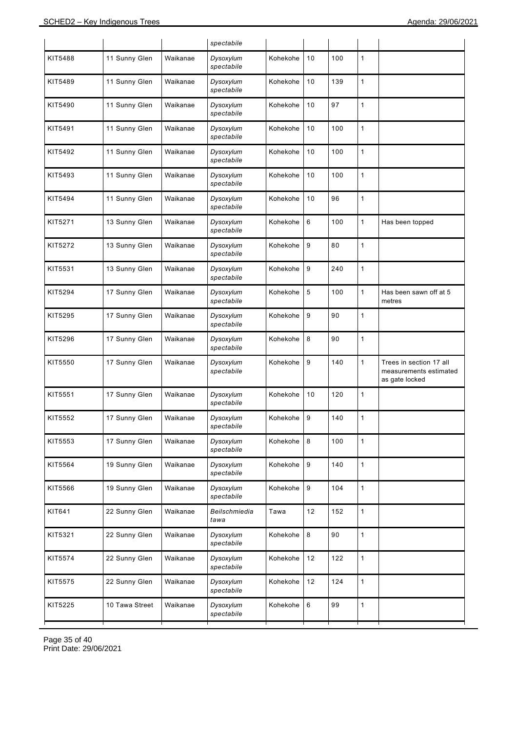|         |                |          | spectabile              |          |         |     |              |                                                                     |
|---------|----------------|----------|-------------------------|----------|---------|-----|--------------|---------------------------------------------------------------------|
| KIT5488 | 11 Sunny Glen  | Waikanae | Dysoxylum<br>spectabile | Kohekohe | 10      | 100 | 1            |                                                                     |
| KIT5489 | 11 Sunny Glen  | Waikanae | Dysoxylum<br>spectabile | Kohekohe | 10      | 139 | $\mathbf{1}$ |                                                                     |
| KIT5490 | 11 Sunny Glen  | Waikanae | Dysoxylum<br>spectabile | Kohekohe | 10      | 97  | $\mathbf{1}$ |                                                                     |
| KIT5491 | 11 Sunny Glen  | Waikanae | Dysoxylum<br>spectabile | Kohekohe | 10      | 100 | $\mathbf{1}$ |                                                                     |
| KIT5492 | 11 Sunny Glen  | Waikanae | Dysoxylum<br>spectabile | Kohekohe | 10      | 100 | 1            |                                                                     |
| KIT5493 | 11 Sunny Glen  | Waikanae | Dysoxylum<br>spectabile | Kohekohe | 10      | 100 | $\mathbf{1}$ |                                                                     |
| KIT5494 | 11 Sunny Glen  | Waikanae | Dysoxylum<br>spectabile | Kohekohe | 10      | 96  | $\mathbf{1}$ |                                                                     |
| KIT5271 | 13 Sunny Glen  | Waikanae | Dysoxylum<br>spectabile | Kohekohe | 6       | 100 | $\mathbf{1}$ | Has been topped                                                     |
| KIT5272 | 13 Sunny Glen  | Waikanae | Dysoxylum<br>spectabile | Kohekohe | 9       | 80  | 1            |                                                                     |
| KIT5531 | 13 Sunny Glen  | Waikanae | Dysoxylum<br>spectabile | Kohekohe | 9       | 240 | $\mathbf{1}$ |                                                                     |
| KIT5294 | 17 Sunny Glen  | Waikanae | Dysoxylum<br>spectabile | Kohekohe | 5       | 100 | $\mathbf{1}$ | Has been sawn off at 5<br>metres                                    |
| KIT5295 | 17 Sunny Glen  | Waikanae | Dysoxylum<br>spectabile | Kohekohe | 9       | 90  | $\mathbf{1}$ |                                                                     |
| KIT5296 | 17 Sunny Glen  | Waikanae | Dysoxylum<br>spectabile | Kohekohe | 8       | 90  | $\mathbf{1}$ |                                                                     |
| KIT5550 | 17 Sunny Glen  | Waikanae | Dysoxylum<br>spectabile | Kohekohe | 9       | 140 | $\mathbf{1}$ | Trees in section 17 all<br>measurements estimated<br>as gate locked |
| KIT5551 | 17 Sunny Glen  | Waikanae | Dysoxylum<br>spectabile | Kohekohe | 10      | 120 | 1            |                                                                     |
| KIT5552 | 17 Sunny Glen  | Waikanae | Dysoxylum<br>spectabile | Kohekohe | 9       | 140 | 1            |                                                                     |
| KIT5553 | 17 Sunny Glen  | Waikanae | Dysoxylum<br>spectabile | Kohekohe | $\,8\,$ | 100 | $\mathbf{1}$ |                                                                     |
| KIT5564 | 19 Sunny Glen  | Waikanae | Dysoxylum<br>spectabile | Kohekohe | 9       | 140 | $\mathbf{1}$ |                                                                     |
| KIT5566 | 19 Sunny Glen  | Waikanae | Dysoxylum<br>spectabile | Kohekohe | 9       | 104 | $\mathbf{1}$ |                                                                     |
| KIT641  | 22 Sunny Glen  | Waikanae | Beilschmiedia<br>tawa   | Tawa     | 12      | 152 | $\mathbf{1}$ |                                                                     |
| KIT5321 | 22 Sunny Glen  | Waikanae | Dysoxylum<br>spectabile | Kohekohe | 8       | 90  | $\mathbf{1}$ |                                                                     |
| KIT5574 | 22 Sunny Glen  | Waikanae | Dysoxylum<br>spectabile | Kohekohe | 12      | 122 | $\mathbf{1}$ |                                                                     |
| KIT5575 | 22 Sunny Glen  | Waikanae | Dysoxylum<br>spectabile | Kohekohe | 12      | 124 | $\mathbf{1}$ |                                                                     |
| KIT5225 | 10 Tawa Street | Waikanae | Dysoxylum<br>spectabile | Kohekohe | 6       | 99  | $\mathbf{1}$ |                                                                     |
|         |                |          |                         |          |         |     |              |                                                                     |

Page 35 of 40 Print Date: 29/06/2021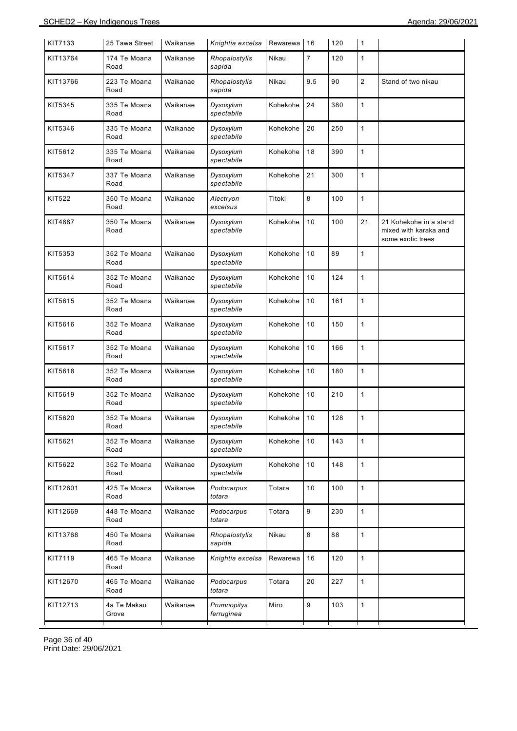| 25 Tawa Street       | Waikanae |                           | Rewarewa | 16               | 120 | $\mathbf{1}$ |                                                                      |
|----------------------|----------|---------------------------|----------|------------------|-----|--------------|----------------------------------------------------------------------|
| 174 Te Moana<br>Road | Waikanae | Rhopalostylis<br>sapida   | Nikau    | 7                | 120 | 1            |                                                                      |
| 223 Te Moana<br>Road | Waikanae | Rhopalostylis<br>sapida   | Nikau    | 9.5              | 90  | $\sqrt{2}$   | Stand of two nikau                                                   |
| 335 Te Moana<br>Road | Waikanae | Dysoxylum<br>spectabile   | Kohekohe | 24               | 380 | 1            |                                                                      |
| 335 Te Moana<br>Road | Waikanae | Dysoxylum<br>spectabile   | Kohekohe | 20               | 250 | 1            |                                                                      |
| 335 Te Moana<br>Road | Waikanae | Dysoxylum<br>spectabile   | Kohekohe | 18               | 390 | 1            |                                                                      |
| 337 Te Moana<br>Road | Waikanae | Dysoxylum<br>spectabile   | Kohekohe | 21               | 300 | 1            |                                                                      |
| 350 Te Moana<br>Road | Waikanae | Alectryon<br>excelsus     | Titoki   | 8                | 100 | 1            |                                                                      |
| 350 Te Moana<br>Road | Waikanae | Dysoxylum<br>spectabile   | Kohekohe | 10               | 100 | 21           | 21 Kohekohe in a stand<br>mixed with karaka and<br>some exotic trees |
| 352 Te Moana<br>Road | Waikanae | Dysoxylum<br>spectabile   | Kohekohe | 10               | 89  | $\mathbf{1}$ |                                                                      |
| 352 Te Moana<br>Road | Waikanae | Dysoxylum<br>spectabile   | Kohekohe | 10               | 124 | 1            |                                                                      |
| 352 Te Moana<br>Road | Waikanae | Dysoxylum<br>spectabile   | Kohekohe | 10               | 161 | 1            |                                                                      |
| 352 Te Moana<br>Road | Waikanae | Dysoxylum<br>spectabile   | Kohekohe | 10               | 150 | 1            |                                                                      |
| 352 Te Moana<br>Road | Waikanae | Dysoxylum<br>spectabile   | Kohekohe | 10               | 166 | 1            |                                                                      |
| 352 Te Moana<br>Road | Waikanae | Dysoxylum<br>spectabile   | Kohekohe | 10               | 180 | 1            |                                                                      |
| 352 Te Moana<br>Road | Waikanae | Dysoxylum<br>spectabile   | Kohekohe | 10               | 210 | 1            |                                                                      |
| 352 Te Moana<br>Road | Waikanae | Dysoxylum<br>spectabile   | Kohekohe | 10               | 128 | 1            |                                                                      |
| 352 Te Moana<br>Road | Waikanae | Dysoxylum<br>spectabile   | Kohekohe | 10               | 143 | 1            |                                                                      |
| 352 Te Moana<br>Road | Waikanae | Dysoxylum<br>spectabile   | Kohekohe | 10               | 148 | 1            |                                                                      |
| 425 Te Moana<br>Road | Waikanae | Podocarpus<br>totara      | Totara   | 10               | 100 | $\mathbf{1}$ |                                                                      |
| 448 Te Moana<br>Road | Waikanae | Podocarpus<br>totara      | Totara   | 9                | 230 | 1            |                                                                      |
| 450 Te Moana<br>Road | Waikanae | Rhopalostylis<br>sapida   | Nikau    | 8                | 88  | $\mathbf{1}$ |                                                                      |
| 465 Te Moana<br>Road | Waikanae | Knightia excelsa          | Rewarewa | 16               | 120 | 1            |                                                                      |
| 465 Te Moana<br>Road | Waikanae | Podocarpus<br>totara      | Totara   | 20               | 227 | $\mathbf{1}$ |                                                                      |
| 4a Te Makau<br>Grove | Waikanae | Prumnopitys<br>ferruginea | Miro     | 9                | 103 | 1            |                                                                      |
|                      |          |                           |          | Knightia excelsa |     |              |                                                                      |

Page 36 of 40 Print Date: 29/06/2021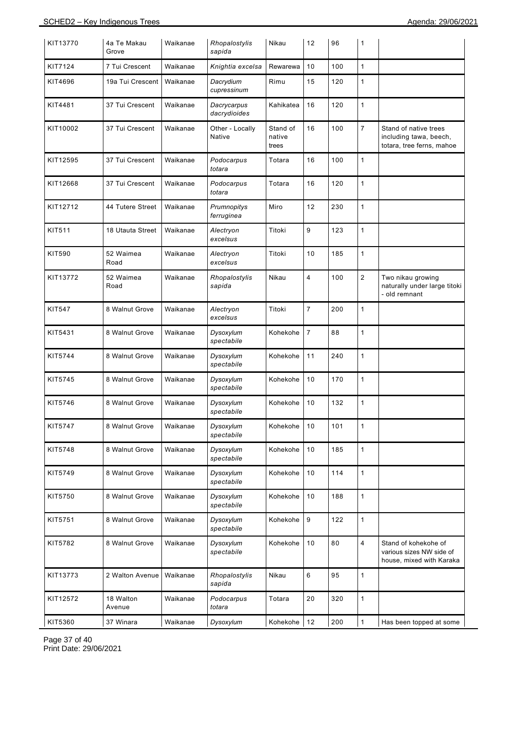| KIT13770 | 4a Te Makau<br>Grove | Waikanae | Rhopalostylis<br>sapida     | Nikau                       | 12                      | 96  | 1              |                                                                              |
|----------|----------------------|----------|-----------------------------|-----------------------------|-------------------------|-----|----------------|------------------------------------------------------------------------------|
| KIT7124  | 7 Tui Crescent       | Waikanae | Knightia excelsa            | Rewarewa                    | 10                      | 100 | $\mathbf{1}$   |                                                                              |
| KIT4696  | 19a Tui Crescent     | Waikanae | Dacrydium<br>cupressinum    | Rimu                        | 15                      | 120 | $\mathbf{1}$   |                                                                              |
| KIT4481  | 37 Tui Crescent      | Waikanae | Dacrycarpus<br>dacrydioides | Kahikatea                   | 16                      | 120 | 1              |                                                                              |
| KIT10002 | 37 Tui Crescent      | Waikanae | Other - Locally<br>Native   | Stand of<br>native<br>trees | 16                      | 100 | $\overline{7}$ | Stand of native trees<br>including tawa, beech,<br>totara, tree ferns, mahoe |
| KIT12595 | 37 Tui Crescent      | Waikanae | Podocarpus<br>totara        | Totara                      | 16                      | 100 | 1              |                                                                              |
| KIT12668 | 37 Tui Crescent      | Waikanae | Podocarpus<br>totara        | Totara                      | 16                      | 120 | 1              |                                                                              |
| KIT12712 | 44 Tutere Street     | Waikanae | Prumnopitys<br>ferruginea   | Miro                        | 12                      | 230 | $\mathbf{1}$   |                                                                              |
| KIT511   | 18 Utauta Street     | Waikanae | Alectryon<br>excelsus       | Titoki                      | 9                       | 123 | $\mathbf{1}$   |                                                                              |
| KIT590   | 52 Waimea<br>Road    | Waikanae | Alectryon<br>excelsus       | Titoki                      | 10                      | 185 | $\mathbf{1}$   |                                                                              |
| KIT13772 | 52 Waimea<br>Road    | Waikanae | Rhopalostylis<br>sapida     | Nikau                       | $\overline{\mathbf{4}}$ | 100 | $\overline{c}$ | Two nikau growing<br>naturally under large titoki<br>- old remnant           |
| KIT547   | 8 Walnut Grove       | Waikanae | Alectryon<br>excelsus       | Titoki                      | 7                       | 200 | 1              |                                                                              |
| KIT5431  | 8 Walnut Grove       | Waikanae | Dysoxylum<br>spectabile     | Kohekohe                    | $\overline{7}$          | 88  | $\mathbf{1}$   |                                                                              |
| KIT5744  | 8 Walnut Grove       | Waikanae | Dysoxylum<br>spectabile     | Kohekohe                    | 11                      | 240 | $\mathbf{1}$   |                                                                              |
| KIT5745  | 8 Walnut Grove       | Waikanae | Dysoxylum<br>spectabile     | Kohekohe                    | 10                      | 170 | $\mathbf{1}$   |                                                                              |
| KIT5746  | 8 Walnut Grove       | Waikanae | Dysoxylum<br>spectabile     | Kohekohe                    | 10                      | 132 | $\mathbf{1}$   |                                                                              |
| KIT5747  | 8 Walnut Grove       | Waikanae | Dysoxylum<br>spectabile     | Kohekohe 10                 |                         | 101 |                |                                                                              |
| KIT5748  | 8 Walnut Grove       | Waikanae | Dysoxylum<br>spectabile     | Kohekohe                    | 10                      | 185 | 1              |                                                                              |
| KIT5749  | 8 Walnut Grove       | Waikanae | Dysoxylum<br>spectabile     | Kohekohe                    | 10                      | 114 | $\mathbf{1}$   |                                                                              |
| KIT5750  | 8 Walnut Grove       | Waikanae | Dysoxylum<br>spectabile     | Kohekohe                    | 10                      | 188 | 1              |                                                                              |
| KIT5751  | 8 Walnut Grove       | Waikanae | Dysoxylum<br>spectabile     | Kohekohe                    | 9                       | 122 | $\mathbf{1}$   |                                                                              |
| KIT5782  | 8 Walnut Grove       | Waikanae | Dysoxylum<br>spectabile     | Kohekohe                    | 10                      | 80  | 4              | Stand of kohekohe of<br>various sizes NW side of<br>house, mixed with Karaka |
| KIT13773 | 2 Walton Avenue      | Waikanae | Rhopalostylis<br>sapida     | Nikau                       | 6                       | 95  | $\mathbf{1}$   |                                                                              |
| KIT12572 | 18 Walton<br>Avenue  | Waikanae | Podocarpus<br>totara        | Totara                      | 20                      | 320 | $\mathbf{1}$   |                                                                              |
| KIT5360  | 37 Winara            | Waikanae | Dysoxylum                   | Kohekohe                    | 12                      | 200 | $\mathbf{1}$   | Has been topped at some                                                      |

Page 37 of 40 Print Date: 29/06/2021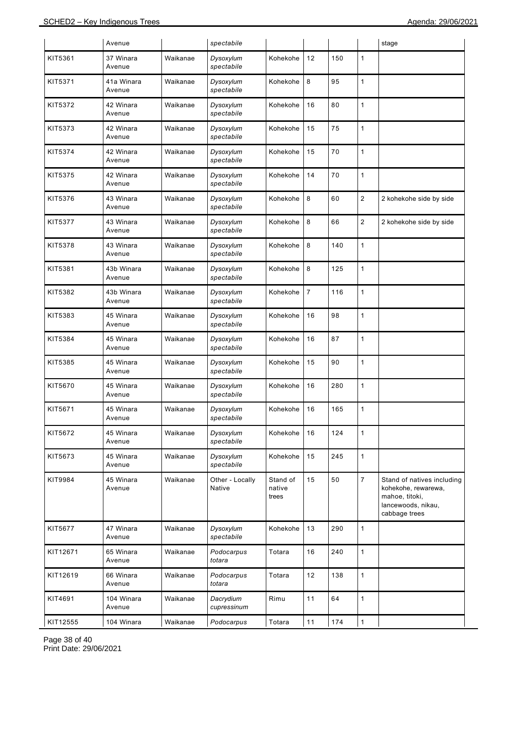|          | Avenue               |          | spectabile                |                             |                |     |                | stage                                                                                                      |
|----------|----------------------|----------|---------------------------|-----------------------------|----------------|-----|----------------|------------------------------------------------------------------------------------------------------------|
| KIT5361  | 37 Winara<br>Avenue  | Waikanae | Dysoxylum<br>spectabile   | Kohekohe                    | 12             | 150 | 1              |                                                                                                            |
| KIT5371  | 41a Winara<br>Avenue | Waikanae | Dysoxylum<br>spectabile   | Kohekohe                    | 8              | 95  | 1              |                                                                                                            |
| KIT5372  | 42 Winara<br>Avenue  | Waikanae | Dysoxylum<br>spectabile   | Kohekohe                    | 16             | 80  | 1              |                                                                                                            |
| KIT5373  | 42 Winara<br>Avenue  | Waikanae | Dysoxylum<br>spectabile   | Kohekohe                    | 15             | 75  | 1              |                                                                                                            |
| KIT5374  | 42 Winara<br>Avenue  | Waikanae | Dysoxylum<br>spectabile   | Kohekohe                    | 15             | 70  | 1              |                                                                                                            |
| KIT5375  | 42 Winara<br>Avenue  | Waikanae | Dysoxylum<br>spectabile   | Kohekohe                    | 14             | 70  | 1              |                                                                                                            |
| KIT5376  | 43 Winara<br>Avenue  | Waikanae | Dysoxylum<br>spectabile   | Kohekohe                    | 8              | 60  | $\sqrt{2}$     | 2 kohekohe side by side                                                                                    |
| KIT5377  | 43 Winara<br>Avenue  | Waikanae | Dysoxylum<br>spectabile   | Kohekohe                    | 8              | 66  | $\overline{c}$ | 2 kohekohe side by side                                                                                    |
| KIT5378  | 43 Winara<br>Avenue  | Waikanae | Dysoxylum<br>spectabile   | Kohekohe                    | 8              | 140 | 1              |                                                                                                            |
| KIT5381  | 43b Winara<br>Avenue | Waikanae | Dysoxylum<br>spectabile   | Kohekohe                    | 8              | 125 | 1              |                                                                                                            |
| KIT5382  | 43b Winara<br>Avenue | Waikanae | Dysoxylum<br>spectabile   | Kohekohe                    | $\overline{7}$ | 116 | 1              |                                                                                                            |
| KIT5383  | 45 Winara<br>Avenue  | Waikanae | Dysoxylum<br>spectabile   | Kohekohe                    | 16             | 98  | 1              |                                                                                                            |
| KIT5384  | 45 Winara<br>Avenue  | Waikanae | Dysoxylum<br>spectabile   | Kohekohe                    | 16             | 87  | 1              |                                                                                                            |
| KIT5385  | 45 Winara<br>Avenue  | Waikanae | Dysoxylum<br>spectabile   | Kohekohe                    | 15             | 90  | 1              |                                                                                                            |
| KIT5670  | 45 Winara<br>Avenue  | Waikanae | Dysoxylum<br>spectabile   | Kohekohe                    | 16             | 280 | 1              |                                                                                                            |
| KIT5671  | 45 Winara<br>Avenue  | Waikanae | Dysoxylum<br>spectabile   | Kohekohe                    | 16             | 165 | 1              |                                                                                                            |
| KIT5672  | 45 Winara<br>Avenue  | Waikanae | Dysoxylum<br>spectabile   | Kohekohe                    | 16             | 124 | 1              |                                                                                                            |
| KIT5673  | 45 Winara<br>Avenue  | Waikanae | Dysoxylum<br>spectabile   | Kohekohe                    | 15             | 245 | $\mathbf{1}$   |                                                                                                            |
| KIT9984  | 45 Winara<br>Avenue  | Waikanae | Other - Locally<br>Native | Stand of<br>native<br>trees | 15             | 50  | $\overline{7}$ | Stand of natives including<br>kohekohe, rewarewa,<br>mahoe, titoki,<br>lancewoods, nikau,<br>cabbage trees |
| KIT5677  | 47 Winara<br>Avenue  | Waikanae | Dysoxylum<br>spectabile   | Kohekohe                    | 13             | 290 | 1              |                                                                                                            |
| KIT12671 | 65 Winara<br>Avenue  | Waikanae | Podocarpus<br>totara      | Totara                      | 16             | 240 | $\mathbf{1}$   |                                                                                                            |
| KIT12619 | 66 Winara<br>Avenue  | Waikanae | Podocarpus<br>totara      | Totara                      | 12             | 138 | $\mathbf{1}$   |                                                                                                            |
| KIT4691  | 104 Winara<br>Avenue | Waikanae | Dacrydium<br>cupressinum  | Rimu                        | 11             | 64  | 1              |                                                                                                            |
| KIT12555 | 104 Winara           | Waikanae | Podocarpus                | Totara                      | $11$           | 174 | $\mathbf{1}$   |                                                                                                            |

Page 38 of 40 Print Date: 29/06/2021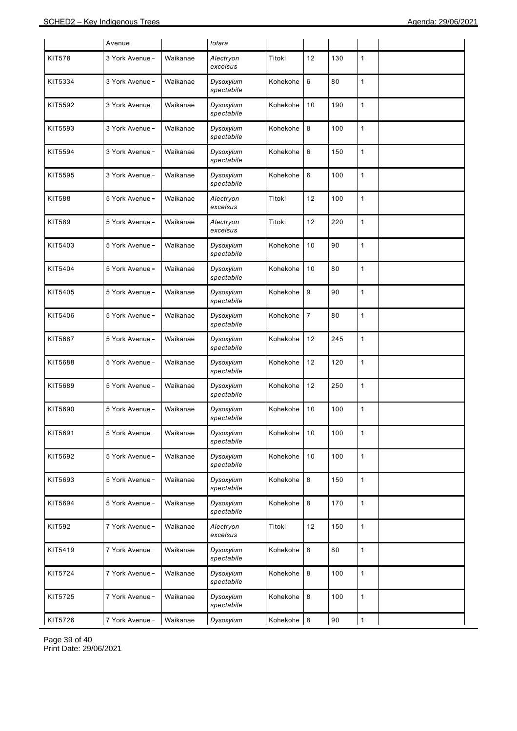|         | Avenue          |          | totara                  |          |                |     |              |  |
|---------|-----------------|----------|-------------------------|----------|----------------|-----|--------------|--|
| KIT578  | 3 York Avenue - | Waikanae | Alectryon<br>excelsus   | Titoki   | 12             | 130 | 1            |  |
| KIT5334 | 3 York Avenue - | Waikanae | Dysoxylum<br>spectabile | Kohekohe | 6              | 80  | 1            |  |
| KIT5592 | 3 York Avenue - | Waikanae | Dysoxylum<br>spectabile | Kohekohe | 10             | 190 | 1            |  |
| KIT5593 | 3 York Avenue - | Waikanae | Dysoxylum<br>spectabile | Kohekohe | 8              | 100 | 1            |  |
| KIT5594 | 3 York Avenue - | Waikanae | Dysoxylum<br>spectabile | Kohekohe | 6              | 150 | 1            |  |
| KIT5595 | 3 York Avenue - | Waikanae | Dysoxylum<br>spectabile | Kohekohe | 6              | 100 | 1            |  |
| KIT588  | 5 York Avenue - | Waikanae | Alectryon<br>excelsus   | Titoki   | 12             | 100 | 1            |  |
| KIT589  | 5 York Avenue - | Waikanae | Alectryon<br>excelsus   | Titoki   | 12             | 220 | 1            |  |
| KIT5403 | 5 York Avenue - | Waikanae | Dysoxylum<br>spectabile | Kohekohe | 10             | 90  | 1            |  |
| KIT5404 | 5 York Avenue - | Waikanae | Dysoxylum<br>spectabile | Kohekohe | 10             | 80  | 1            |  |
| KIT5405 | 5 York Avenue - | Waikanae | Dysoxylum<br>spectabile | Kohekohe | 9              | 90  | 1            |  |
| KIT5406 | 5 York Avenue - | Waikanae | Dysoxylum<br>spectabile | Kohekohe | $\overline{7}$ | 80  | 1            |  |
| KIT5687 | 5 York Avenue - | Waikanae | Dysoxylum<br>spectabile | Kohekohe | 12             | 245 | 1            |  |
| KIT5688 | 5 York Avenue - | Waikanae | Dysoxylum<br>spectabile | Kohekohe | 12             | 120 | 1            |  |
| KIT5689 | 5 York Avenue - | Waikanae | Dysoxylum<br>spectabile | Kohekohe | 12             | 250 | 1            |  |
| KIT5690 | 5 York Avenue - | Waikanae | Dysoxylum<br>spectabile | Kohekohe | 10             | 100 | 1            |  |
| KIT5691 | 5 York Avenue - | Waikanae | Dysoxylum<br>spectabile | Kohekohe | 10             | 100 | $\mathbf{1}$ |  |
| KIT5692 | 5 York Avenue - | Waikanae | Dysoxylum<br>spectabile | Kohekohe | 10             | 100 | $\mathbf{1}$ |  |
| KIT5693 | 5 York Avenue - | Waikanae | Dysoxylum<br>spectabile | Kohekohe | 8              | 150 | 1            |  |
| KIT5694 | 5 York Avenue - | Waikanae | Dysoxylum<br>spectabile | Kohekohe | 8              | 170 | $\mathbf{1}$ |  |
| KIT592  | 7 York Avenue - | Waikanae | Alectryon<br>excelsus   | Titoki   | 12             | 150 | 1            |  |
| KIT5419 | 7 York Avenue - | Waikanae | Dysoxylum<br>spectabile | Kohekohe | 8              | 80  | $\mathbf{1}$ |  |
| KIT5724 | 7 York Avenue - | Waikanae | Dysoxylum<br>spectabile | Kohekohe | 8              | 100 | 1            |  |
| KIT5725 | 7 York Avenue - | Waikanae | Dysoxylum<br>spectabile | Kohekohe | 8              | 100 | 1            |  |
| KIT5726 | 7 York Avenue - | Waikanae | Dysoxylum               | Kohekohe | $\,8\,$        | 90  | 1            |  |

Page 39 of 40 Print Date: 29/06/2021